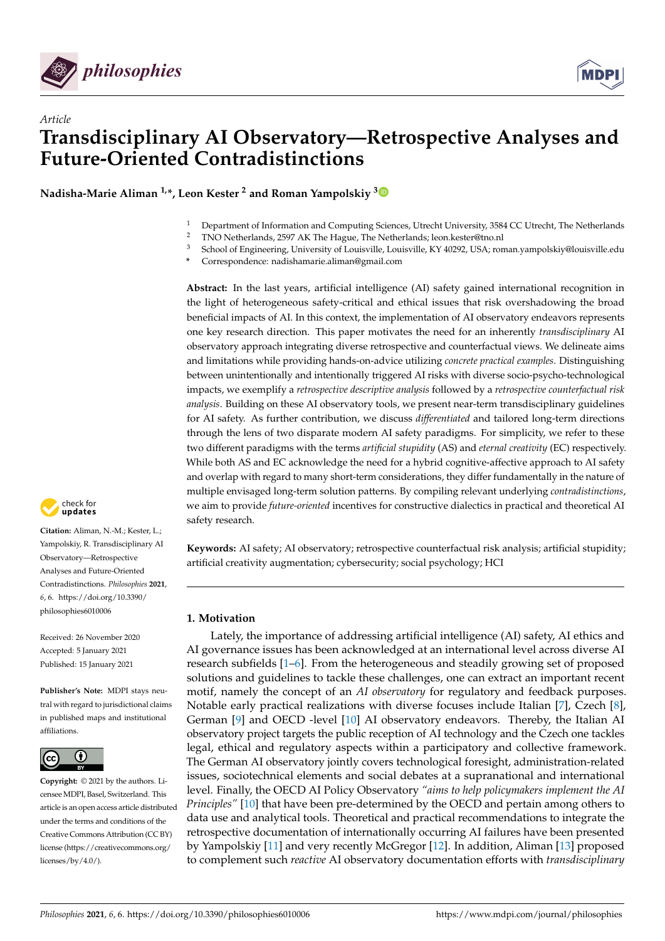

# *Article* **Transdisciplinary AI Observatory—Retrospective Analyses and Future-Oriented Contradistinctions**

**Nadisha-Marie Aliman 1,\*, Leon Kester <sup>2</sup> and Roman Yampolskiy [3](https://orcid.org/0000-0001-9637-1161)**

- <sup>1</sup> Department of Information and Computing Sciences, Utrecht University, 3584 CC Utrecht, The Netherlands
- <sup>2</sup> TNO Netherlands, 2597 AK The Hague, The Netherlands; leon.kester@tno.nl
- <sup>3</sup> School of Engineering, University of Louisville, Louisville, KY 40292, USA; roman.yampolskiy@louisville.edu
- **\*** Correspondence: nadishamarie.aliman@gmail.com

**Abstract:** In the last years, artificial intelligence (AI) safety gained international recognition in the light of heterogeneous safety-critical and ethical issues that risk overshadowing the broad beneficial impacts of AI. In this context, the implementation of AI observatory endeavors represents one key research direction. This paper motivates the need for an inherently *transdisciplinary* AI observatory approach integrating diverse retrospective and counterfactual views. We delineate aims and limitations while providing hands-on-advice utilizing *concrete practical examples*. Distinguishing between unintentionally and intentionally triggered AI risks with diverse socio-psycho-technological impacts, we exemplify a *retrospective descriptive analysis* followed by a *retrospective counterfactual risk analysis*. Building on these AI observatory tools, we present near-term transdisciplinary guidelines for AI safety. As further contribution, we discuss *differentiated* and tailored long-term directions through the lens of two disparate modern AI safety paradigms. For simplicity, we refer to these two different paradigms with the terms *artificial stupidity* (AS) and *eternal creativity* (EC) respectively. While both AS and EC acknowledge the need for a hybrid cognitive-affective approach to AI safety and overlap with regard to many short-term considerations, they differ fundamentally in the nature of multiple envisaged long-term solution patterns. By compiling relevant underlying *contradistinctions*, we aim to provide *future-oriented* incentives for constructive dialectics in practical and theoretical AI safety research.

**Keywords:** AI safety; AI observatory; retrospective counterfactual risk analysis; artificial stupidity; artificial creativity augmentation; cybersecurity; social psychology; HCI

## **1. Motivation**

Lately, the importance of addressing artificial intelligence (AI) safety, AI ethics and AI governance issues has been acknowledged at an international level across diverse AI research subfields [\[1–](#page-26-0)[6\]](#page-26-1). From the heterogeneous and steadily growing set of proposed solutions and guidelines to tackle these challenges, one can extract an important recent motif, namely the concept of an *AI observatory* for regulatory and feedback purposes. Notable early practical realizations with diverse focuses include Italian [\[7\]](#page-26-2), Czech [\[8\]](#page-26-3), German [\[9\]](#page-26-4) and OECD -level [\[10\]](#page-26-5) AI observatory endeavors. Thereby, the Italian AI observatory project targets the public reception of AI technology and the Czech one tackles legal, ethical and regulatory aspects within a participatory and collective framework. The German AI observatory jointly covers technological foresight, administration-related issues, sociotechnical elements and social debates at a supranational and international level. Finally, the OECD AI Policy Observatory *"aims to help policymakers implement the AI Principles"* [\[10\]](#page-26-5) that have been pre-determined by the OECD and pertain among others to data use and analytical tools. Theoretical and practical recommendations to integrate the retrospective documentation of internationally occurring AI failures have been presented by Yampolskiy [\[11\]](#page-26-6) and very recently McGregor [\[12\]](#page-26-7). In addition, Aliman [\[13\]](#page-26-8) proposed to complement such *reactive* AI observatory documentation efforts with *transdisciplinary*



**Citation:** Aliman, N.-M.; Kester, L.; Yampolskiy, R. Transdisciplinary AI Observatory—Retrospective Analyses and Future-Oriented Contradistinctions. *Philosophies* **2021**, *6*, 6. [https://doi.org/10.3390/](https://doi.org/10.3390/philosophies6010006) [philosophies6010006](https://doi.org/10.3390/philosophies6010006)

Received: 26 November 2020 Accepted: 5 January 2021 Published: 15 January 2021

**Publisher's Note:** MDPI stays neutral with regard to jurisdictional claims in published maps and institutional affiliations.



**Copyright:** © 2021 by the authors. Licensee MDPI, Basel, Switzerland. This article is an open access article distributed under the terms and conditions of the Creative Commons Attribution (CC BY) license [\(https://creativecommons.org/](https://creativecommons.org/licenses/by/4.0/) [licenses/by/4.0/\)](https://creativecommons.org/licenses/by/4.0/).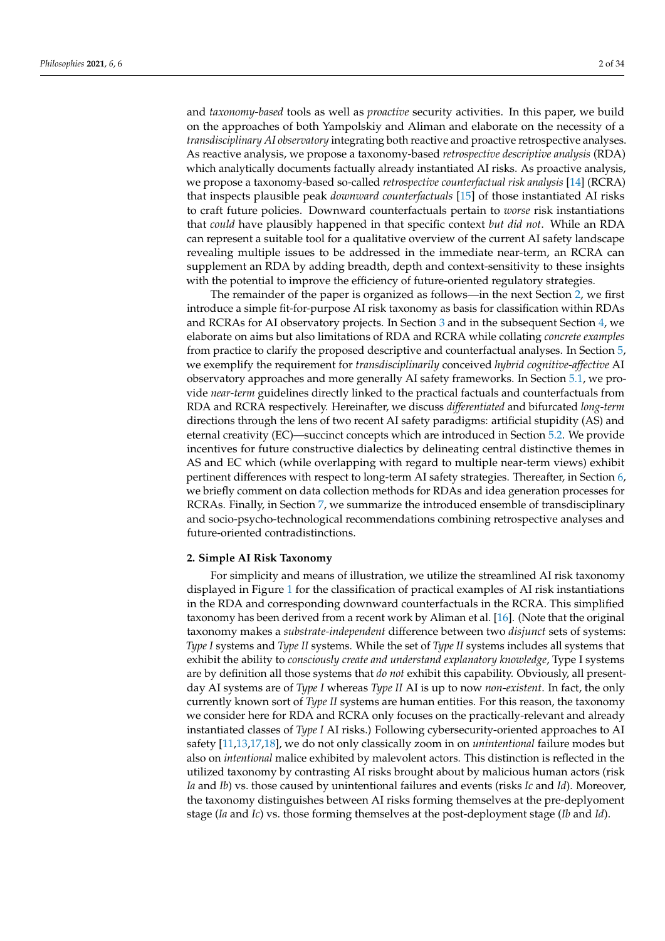and *taxonomy-based* tools as well as *proactive* security activities. In this paper, we build on the approaches of both Yampolskiy and Aliman and elaborate on the necessity of a *transdisciplinary AI observatory* integrating both reactive and proactive retrospective analyses. As reactive analysis, we propose a taxonomy-based *retrospective descriptive analysis* (RDA) which analytically documents factually already instantiated AI risks. As proactive analysis, we propose a taxonomy-based so-called *retrospective counterfactual risk analysis* [\[14\]](#page-26-9) (RCRA) that inspects plausible peak *downward counterfactuals* [\[15\]](#page-26-10) of those instantiated AI risks to craft future policies. Downward counterfactuals pertain to *worse* risk instantiations that *could* have plausibly happened in that specific context *but did not*. While an RDA can represent a suitable tool for a qualitative overview of the current AI safety landscape revealing multiple issues to be addressed in the immediate near-term, an RCRA can supplement an RDA by adding breadth, depth and context-sensitivity to these insights with the potential to improve the efficiency of future-oriented regulatory strategies.

The remainder of the paper is organized as follows—in the next Section [2,](#page-1-0) we first introduce a simple fit-for-purpose AI risk taxonomy as basis for classification within RDAs and RCRAs for AI observatory projects. In Section [3](#page-2-0) and in the subsequent Section [4,](#page-5-0) we elaborate on aims but also limitations of RDA and RCRA while collating *concrete examples* from practice to clarify the proposed descriptive and counterfactual analyses. In Section [5,](#page-12-0) we exemplify the requirement for *transdisciplinarily* conceived *hybrid cognitive-affective* AI observatory approaches and more generally AI safety frameworks. In Section [5.1,](#page-12-1) we provide *near-term* guidelines directly linked to the practical factuals and counterfactuals from RDA and RCRA respectively. Hereinafter, we discuss *differentiated* and bifurcated *long-term* directions through the lens of two recent AI safety paradigms: artificial stupidity (AS) and eternal creativity (EC)—succinct concepts which are introduced in Section [5.2.](#page-19-0) We provide incentives for future constructive dialectics by delineating central distinctive themes in AS and EC which (while overlapping with regard to multiple near-term views) exhibit pertinent differences with respect to long-term AI safety strategies. Thereafter, in Section [6,](#page-23-0) we briefly comment on data collection methods for RDAs and idea generation processes for RCRAs. Finally, in Section [7,](#page-25-0) we summarize the introduced ensemble of transdisciplinary and socio-psycho-technological recommendations combining retrospective analyses and future-oriented contradistinctions.

## <span id="page-1-0"></span>**2. Simple AI Risk Taxonomy**

For simplicity and means of illustration, we utilize the streamlined AI risk taxonomy displayed in Figure [1](#page-2-1) for the classification of practical examples of AI risk instantiations in the RDA and corresponding downward counterfactuals in the RCRA. This simplified taxonomy has been derived from a recent work by Aliman et al. [\[16\]](#page-26-11). (Note that the original taxonomy makes a *substrate-independent* difference between two *disjunct* sets of systems: *Type I* systems and *Type II* systems. While the set of *Type II* systems includes all systems that exhibit the ability to *consciously create and understand explanatory knowledge*, Type I systems are by definition all those systems that *do not* exhibit this capability. Obviously, all presentday AI systems are of *Type I* whereas *Type II* AI is up to now *non-existent*. In fact, the only currently known sort of *Type II* systems are human entities. For this reason, the taxonomy we consider here for RDA and RCRA only focuses on the practically-relevant and already instantiated classes of *Type I* AI risks.) Following cybersecurity-oriented approaches to AI safety [\[11,](#page-26-6)[13,](#page-26-8)[17,](#page-26-12)[18\]](#page-26-13), we do not only classically zoom in on *unintentional* failure modes but also on *intentional* malice exhibited by malevolent actors. This distinction is reflected in the utilized taxonomy by contrasting AI risks brought about by malicious human actors (risk *Ia* and *Ib*) vs. those caused by unintentional failures and events (risks *Ic* and *Id*). Moreover, the taxonomy distinguishes between AI risks forming themselves at the pre-deplyoment stage (*Ia* and *Ic*) vs. those forming themselves at the post-deployment stage (*Ib* and *Id*).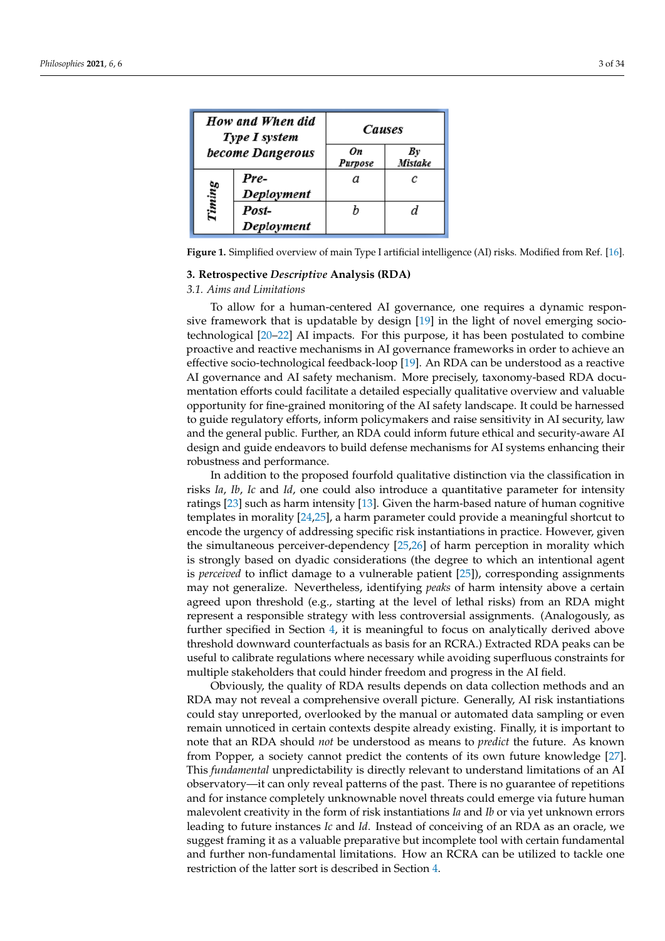<span id="page-2-1"></span>

| How and When did<br>Type I system<br>become Dangerous |            | Causes        |                      |
|-------------------------------------------------------|------------|---------------|----------------------|
|                                                       |            | Oп<br>Purpose | Βv<br><b>Mistake</b> |
| <b>Timing</b>                                         | Pre-       | a             | c                    |
|                                                       | Deployment |               |                      |
|                                                       | Post-      |               |                      |
|                                                       | Deployment |               |                      |

**Figure 1.** Simplified overview of main Type I artificial intelligence (AI) risks. Modified from Ref. [\[16\]](#page-26-11).

#### <span id="page-2-0"></span>**3. Retrospective** *Descriptive* **Analysis (RDA)**

#### <span id="page-2-2"></span>*3.1. Aims and Limitations*

To allow for a human-centered AI governance, one requires a dynamic responsive framework that is updatable by design [\[19\]](#page-26-14) in the light of novel emerging sociotechnological [\[20–](#page-26-15)[22\]](#page-26-16) AI impacts. For this purpose, it has been postulated to combine proactive and reactive mechanisms in AI governance frameworks in order to achieve an effective socio-technological feedback-loop [\[19\]](#page-26-14). An RDA can be understood as a reactive AI governance and AI safety mechanism. More precisely, taxonomy-based RDA documentation efforts could facilitate a detailed especially qualitative overview and valuable opportunity for fine-grained monitoring of the AI safety landscape. It could be harnessed to guide regulatory efforts, inform policymakers and raise sensitivity in AI security, law and the general public. Further, an RDA could inform future ethical and security-aware AI design and guide endeavors to build defense mechanisms for AI systems enhancing their robustness and performance.

In addition to the proposed fourfold qualitative distinction via the classification in risks *Ia*, *Ib*, *Ic* and *Id*, one could also introduce a quantitative parameter for intensity ratings [\[23\]](#page-26-17) such as harm intensity [\[13\]](#page-26-8). Given the harm-based nature of human cognitive templates in morality [\[24](#page-26-18)[,25\]](#page-26-19), a harm parameter could provide a meaningful shortcut to encode the urgency of addressing specific risk instantiations in practice. However, given the simultaneous perceiver-dependency [\[25,](#page-26-19)[26\]](#page-26-20) of harm perception in morality which is strongly based on dyadic considerations (the degree to which an intentional agent is *perceived* to inflict damage to a vulnerable patient [\[25\]](#page-26-19)), corresponding assignments may not generalize. Nevertheless, identifying *peaks* of harm intensity above a certain agreed upon threshold (e.g., starting at the level of lethal risks) from an RDA might represent a responsible strategy with less controversial assignments. (Analogously, as further specified in Section [4,](#page-5-0) it is meaningful to focus on analytically derived above threshold downward counterfactuals as basis for an RCRA.) Extracted RDA peaks can be useful to calibrate regulations where necessary while avoiding superfluous constraints for multiple stakeholders that could hinder freedom and progress in the AI field.

Obviously, the quality of RDA results depends on data collection methods and an RDA may not reveal a comprehensive overall picture. Generally, AI risk instantiations could stay unreported, overlooked by the manual or automated data sampling or even remain unnoticed in certain contexts despite already existing. Finally, it is important to note that an RDA should *not* be understood as means to *predict* the future. As known from Popper, a society cannot predict the contents of its own future knowledge [\[27\]](#page-26-21). This *fundamental* unpredictability is directly relevant to understand limitations of an AI observatory—it can only reveal patterns of the past. There is no guarantee of repetitions and for instance completely unknownable novel threats could emerge via future human malevolent creativity in the form of risk instantiations *Ia* and *Ib* or via yet unknown errors leading to future instances *Ic* and *Id*. Instead of conceiving of an RDA as an oracle, we suggest framing it as a valuable preparative but incomplete tool with certain fundamental and further non-fundamental limitations. How an RCRA can be utilized to tackle one restriction of the latter sort is described in Section [4.](#page-5-0)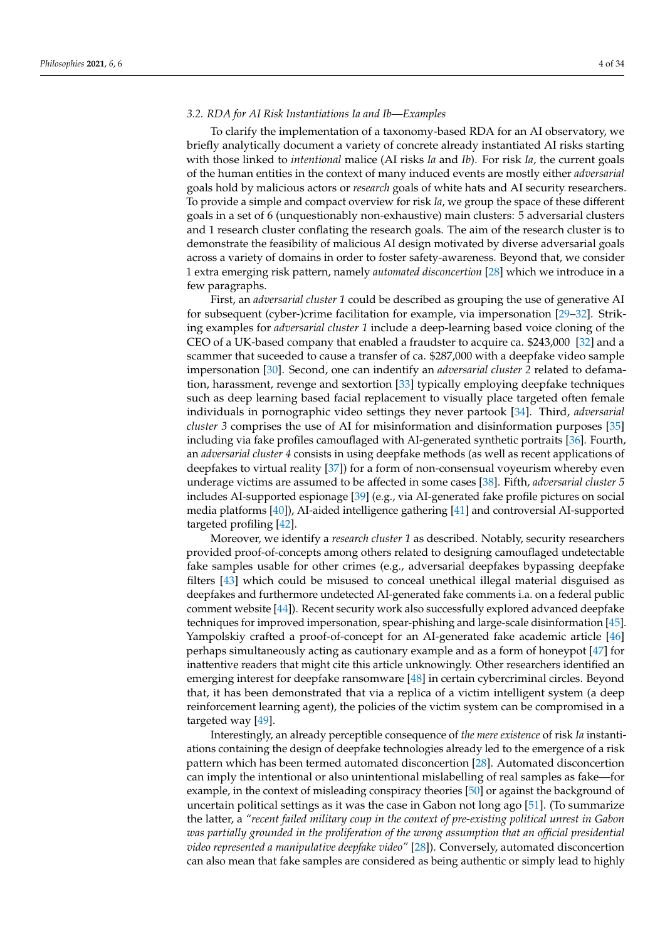#### <span id="page-3-0"></span>*3.2. RDA for AI Risk Instantiations Ia and Ib—Examples*

To clarify the implementation of a taxonomy-based RDA for an AI observatory, we briefly analytically document a variety of concrete already instantiated AI risks starting with those linked to *intentional* malice (AI risks *Ia* and *Ib*). For risk *Ia*, the current goals of the human entities in the context of many induced events are mostly either *adversarial* goals hold by malicious actors or *research* goals of white hats and AI security researchers. To provide a simple and compact overview for risk *Ia*, we group the space of these different goals in a set of 6 (unquestionably non-exhaustive) main clusters: 5 adversarial clusters and 1 research cluster conflating the research goals. The aim of the research cluster is to demonstrate the feasibility of malicious AI design motivated by diverse adversarial goals across a variety of domains in order to foster safety-awareness. Beyond that, we consider 1 extra emerging risk pattern, namely *automated disconcertion* [\[28\]](#page-26-22) which we introduce in a few paragraphs.

First, an *adversarial cluster 1* could be described as grouping the use of generative AI for subsequent (cyber-)crime facilitation for example, via impersonation [\[29](#page-27-0)[–32\]](#page-27-1). Striking examples for *adversarial cluster 1* include a deep-learning based voice cloning of the CEO of a UK-based company that enabled a fraudster to acquire ca. \$243,000 [\[32\]](#page-27-1) and a scammer that suceeded to cause a transfer of ca. \$287,000 with a deepfake video sample impersonation [\[30\]](#page-27-2). Second, one can indentify an *adversarial cluster 2* related to defamation, harassment, revenge and sextortion [\[33\]](#page-27-3) typically employing deepfake techniques such as deep learning based facial replacement to visually place targeted often female individuals in pornographic video settings they never partook [\[34\]](#page-27-4). Third, *adversarial cluster 3* comprises the use of AI for misinformation and disinformation purposes [\[35\]](#page-27-5) including via fake profiles camouflaged with AI-generated synthetic portraits [\[36\]](#page-27-6). Fourth, an *adversarial cluster 4* consists in using deepfake methods (as well as recent applications of deepfakes to virtual reality [\[37\]](#page-27-7)) for a form of non-consensual voyeurism whereby even underage victims are assumed to be affected in some cases [\[38\]](#page-27-8). Fifth, *adversarial cluster 5* includes AI-supported espionage [\[39\]](#page-27-9) (e.g., via AI-generated fake profile pictures on social media platforms [\[40\]](#page-27-10)), AI-aided intelligence gathering [\[41\]](#page-27-11) and controversial AI-supported targeted profiling [\[42\]](#page-27-12).

Moreover, we identify a *research cluster 1* as described. Notably, security researchers provided proof-of-concepts among others related to designing camouflaged undetectable fake samples usable for other crimes (e.g., adversarial deepfakes bypassing deepfake filters [\[43\]](#page-27-13) which could be misused to conceal unethical illegal material disguised as deepfakes and furthermore undetected AI-generated fake comments i.a. on a federal public comment website [\[44\]](#page-27-14)). Recent security work also successfully explored advanced deepfake techniques for improved impersonation, spear-phishing and large-scale disinformation [\[45\]](#page-27-15). Yampolskiy crafted a proof-of-concept for an AI-generated fake academic article [\[46\]](#page-27-16) perhaps simultaneously acting as cautionary example and as a form of honeypot [\[47\]](#page-27-17) for inattentive readers that might cite this article unknowingly. Other researchers identified an emerging interest for deepfake ransomware [\[48\]](#page-27-18) in certain cybercriminal circles. Beyond that, it has been demonstrated that via a replica of a victim intelligent system (a deep reinforcement learning agent), the policies of the victim system can be compromised in a targeted way [\[49\]](#page-27-19).

Interestingly, an already perceptible consequence of *the mere existence* of risk *Ia* instantiations containing the design of deepfake technologies already led to the emergence of a risk pattern which has been termed automated disconcertion [\[28\]](#page-26-22). Automated disconcertion can imply the intentional or also unintentional mislabelling of real samples as fake—for example, in the context of misleading conspiracy theories [\[50\]](#page-27-20) or against the background of uncertain political settings as it was the case in Gabon not long ago [\[51\]](#page-28-0). (To summarize the latter, a *"recent failed military coup in the context of pre-existing political unrest in Gabon was partially grounded in the proliferation of the wrong assumption that an official presidential video represented a manipulative deepfake video"* [\[28\]](#page-26-22)). Conversely, automated disconcertion can also mean that fake samples are considered as being authentic or simply lead to highly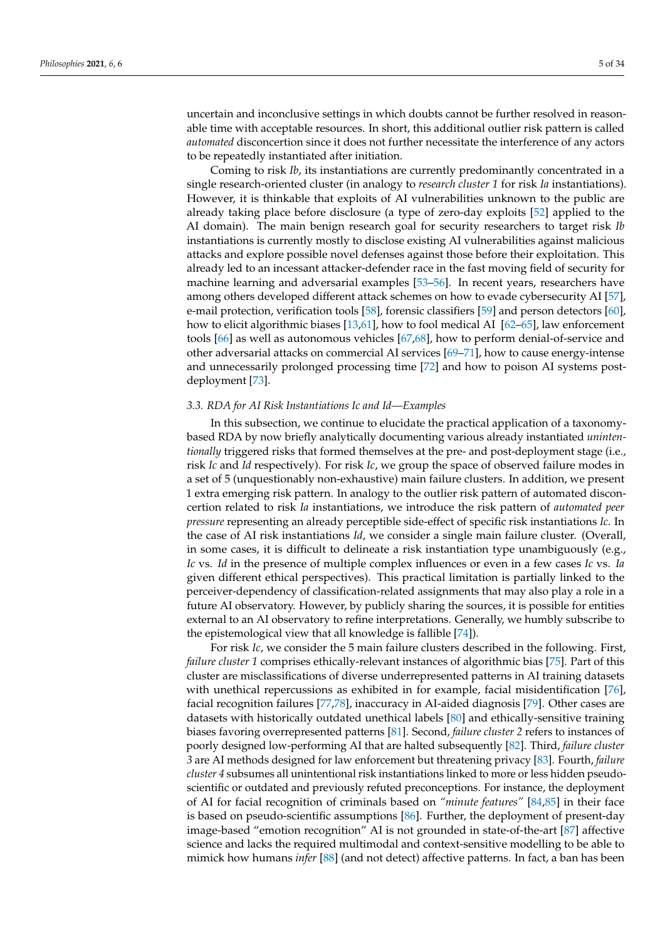uncertain and inconclusive settings in which doubts cannot be further resolved in reasonable time with acceptable resources. In short, this additional outlier risk pattern is called *automated* disconcertion since it does not further necessitate the interference of any actors to be repeatedly instantiated after initiation.

Coming to risk *Ib*, its instantiations are currently predominantly concentrated in a single research-oriented cluster (in analogy to *research cluster 1* for risk *Ia* instantiations). However, it is thinkable that exploits of AI vulnerabilities unknown to the public are already taking place before disclosure (a type of zero-day exploits [\[52\]](#page-28-1) applied to the AI domain). The main benign research goal for security researchers to target risk *Ib* instantiations is currently mostly to disclose existing AI vulnerabilities against malicious attacks and explore possible novel defenses against those before their exploitation. This already led to an incessant attacker-defender race in the fast moving field of security for machine learning and adversarial examples [\[53](#page-28-2)[–56\]](#page-28-3). In recent years, researchers have among others developed different attack schemes on how to evade cybersecurity AI [\[57\]](#page-28-4), e-mail protection, verification tools [\[58\]](#page-28-5), forensic classifiers [\[59\]](#page-28-6) and person detectors [\[60\]](#page-28-7), how to elicit algorithmic biases [\[13](#page-26-8)[,61\]](#page-28-8), how to fool medical AI [\[62–](#page-28-9)[65\]](#page-28-10), law enforcement tools [\[66\]](#page-28-11) as well as autonomous vehicles [\[67,](#page-28-12)[68\]](#page-28-13), how to perform denial-of-service and other adversarial attacks on commercial AI services [\[69](#page-28-14)[–71\]](#page-28-15), how to cause energy-intense and unnecessarily prolonged processing time [\[72\]](#page-28-16) and how to poison AI systems postdeployment [\[73\]](#page-28-17).

#### <span id="page-4-0"></span>*3.3. RDA for AI Risk Instantiations Ic and Id—Examples*

In this subsection, we continue to elucidate the practical application of a taxonomybased RDA by now briefly analytically documenting various already instantiated *unintentionally* triggered risks that formed themselves at the pre- and post-deployment stage (i.e., risk *Ic* and *Id* respectively). For risk *Ic*, we group the space of observed failure modes in a set of 5 (unquestionably non-exhaustive) main failure clusters. In addition, we present 1 extra emerging risk pattern. In analogy to the outlier risk pattern of automated disconcertion related to risk *Ia* instantiations, we introduce the risk pattern of *automated peer pressure* representing an already perceptible side-effect of specific risk instantiations *Ic*. In the case of AI risk instantiations *Id*, we consider a single main failure cluster. (Overall, in some cases, it is difficult to delineate a risk instantiation type unambiguously (e.g., *Ic* vs. *Id* in the presence of multiple complex influences or even in a few cases *Ic* vs. *Ia* given different ethical perspectives). This practical limitation is partially linked to the perceiver-dependency of classification-related assignments that may also play a role in a future AI observatory. However, by publicly sharing the sources, it is possible for entities external to an AI observatory to refine interpretations. Generally, we humbly subscribe to the epistemological view that all knowledge is fallible [\[74\]](#page-28-18)).

For risk *Ic*, we consider the 5 main failure clusters described in the following. First, *failure cluster 1* comprises ethically-relevant instances of algorithmic bias [\[75\]](#page-28-19). Part of this cluster are misclassifications of diverse underrepresented patterns in AI training datasets with unethical repercussions as exhibited in for example, facial misidentification [\[76\]](#page-28-20), facial recognition failures [\[77](#page-28-21)[,78\]](#page-28-22), inaccuracy in AI-aided diagnosis [\[79\]](#page-28-23). Other cases are datasets with historically outdated unethical labels [\[80\]](#page-28-24) and ethically-sensitive training biases favoring overrepresented patterns [\[81\]](#page-29-0). Second, *failure cluster 2* refers to instances of poorly designed low-performing AI that are halted subsequently [\[82\]](#page-29-1). Third, *failure cluster 3* are AI methods designed for law enforcement but threatening privacy [\[83\]](#page-29-2). Fourth, *failure cluster 4* subsumes all unintentional risk instantiations linked to more or less hidden pseudoscientific or outdated and previously refuted preconceptions. For instance, the deployment of AI for facial recognition of criminals based on *"minute features"* [\[84,](#page-29-3)[85\]](#page-29-4) in their face is based on pseudo-scientific assumptions [\[86\]](#page-29-5). Further, the deployment of present-day image-based "emotion recognition" AI is not grounded in state-of-the-art [\[87\]](#page-29-6) affective science and lacks the required multimodal and context-sensitive modelling to be able to mimick how humans *infer* [\[88\]](#page-29-7) (and not detect) affective patterns. In fact, a ban has been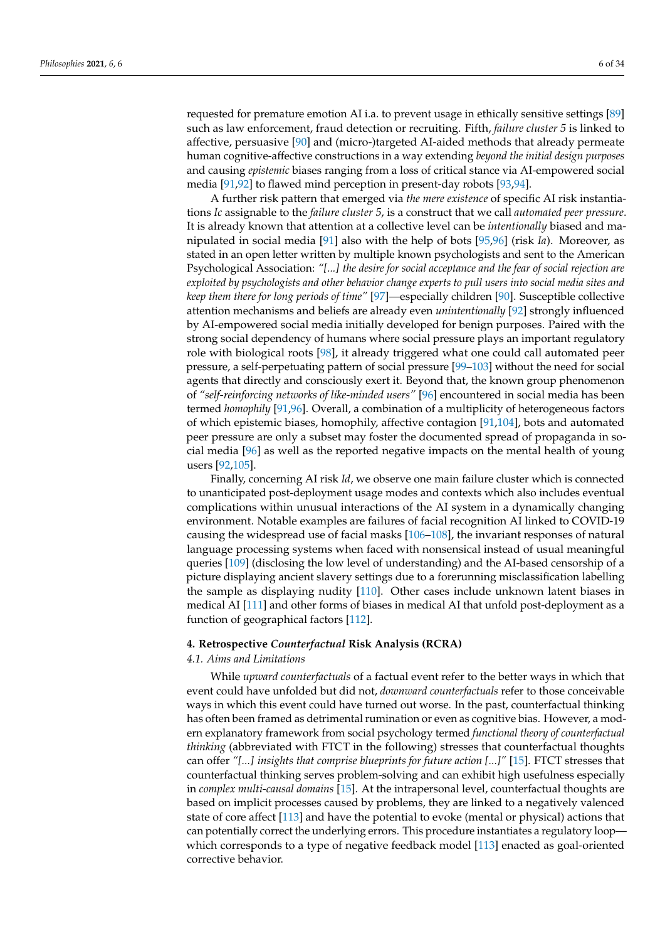requested for premature emotion AI i.a. to prevent usage in ethically sensitive settings [\[89\]](#page-29-8) such as law enforcement, fraud detection or recruiting. Fifth, *failure cluster 5* is linked to affective, persuasive [\[90\]](#page-29-9) and (micro-)targeted AI-aided methods that already permeate human cognitive-affective constructions in a way extending *beyond the initial design purposes* and causing *epistemic* biases ranging from a loss of critical stance via AI-empowered social media [\[91,](#page-29-10)[92\]](#page-29-11) to flawed mind perception in present-day robots [\[93](#page-29-12)[,94\]](#page-29-13).

A further risk pattern that emerged via *the mere existence* of specific AI risk instantiations *Ic* assignable to the *failure cluster 5*, is a construct that we call *automated peer pressure*. It is already known that attention at a collective level can be *intentionally* biased and manipulated in social media [\[91\]](#page-29-10) also with the help of bots [\[95](#page-29-14)[,96\]](#page-29-15) (risk *Ia*). Moreover, as stated in an open letter written by multiple known psychologists and sent to the American Psychological Association: *"[...] the desire for social acceptance and the fear of social rejection are exploited by psychologists and other behavior change experts to pull users into social media sites and keep them there for long periods of time"* [\[97\]](#page-29-16)—especially children [\[90\]](#page-29-9). Susceptible collective attention mechanisms and beliefs are already even *unintentionally* [\[92\]](#page-29-11) strongly influenced by AI-empowered social media initially developed for benign purposes. Paired with the strong social dependency of humans where social pressure plays an important regulatory role with biological roots [\[98\]](#page-29-17), it already triggered what one could call automated peer pressure, a self-perpetuating pattern of social pressure [\[99–](#page-29-18)[103\]](#page-29-19) without the need for social agents that directly and consciously exert it. Beyond that, the known group phenomenon of *"self-reinforcing networks of like-minded users"* [\[96\]](#page-29-15) encountered in social media has been termed *homophily* [\[91,](#page-29-10)[96\]](#page-29-15). Overall, a combination of a multiplicity of heterogeneous factors of which epistemic biases, homophily, affective contagion [\[91](#page-29-10)[,104\]](#page-29-20), bots and automated peer pressure are only a subset may foster the documented spread of propaganda in social media [\[96\]](#page-29-15) as well as the reported negative impacts on the mental health of young users [\[92,](#page-29-11)[105\]](#page-29-21).

Finally, concerning AI risk *Id*, we observe one main failure cluster which is connected to unanticipated post-deployment usage modes and contexts which also includes eventual complications within unusual interactions of the AI system in a dynamically changing environment. Notable examples are failures of facial recognition AI linked to COVID-19 causing the widespread use of facial masks [\[106–](#page-29-22)[108\]](#page-29-23), the invariant responses of natural language processing systems when faced with nonsensical instead of usual meaningful queries [\[109\]](#page-29-24) (disclosing the low level of understanding) and the AI-based censorship of a picture displaying ancient slavery settings due to a forerunning misclassification labelling the sample as displaying nudity [\[110\]](#page-30-0). Other cases include unknown latent biases in medical AI [\[111\]](#page-30-1) and other forms of biases in medical AI that unfold post-deployment as a function of geographical factors [\[112\]](#page-30-2).

#### <span id="page-5-0"></span>**4. Retrospective** *Counterfactual* **Risk Analysis (RCRA)**

#### <span id="page-5-1"></span>*4.1. Aims and Limitations*

While *upward counterfactuals* of a factual event refer to the better ways in which that event could have unfolded but did not, *downward counterfactuals* refer to those conceivable ways in which this event could have turned out worse. In the past, counterfactual thinking has often been framed as detrimental rumination or even as cognitive bias. However, a modern explanatory framework from social psychology termed *functional theory of counterfactual thinking* (abbreviated with FTCT in the following) stresses that counterfactual thoughts can offer *"[...] insights that comprise blueprints for future action [...]"* [\[15\]](#page-26-10). FTCT stresses that counterfactual thinking serves problem-solving and can exhibit high usefulness especially in *complex multi-causal domains* [\[15\]](#page-26-10). At the intrapersonal level, counterfactual thoughts are based on implicit processes caused by problems, they are linked to a negatively valenced state of core affect [\[113\]](#page-30-3) and have the potential to evoke (mental or physical) actions that can potentially correct the underlying errors. This procedure instantiates a regulatory loop which corresponds to a type of negative feedback model [\[113\]](#page-30-3) enacted as goal-oriented corrective behavior.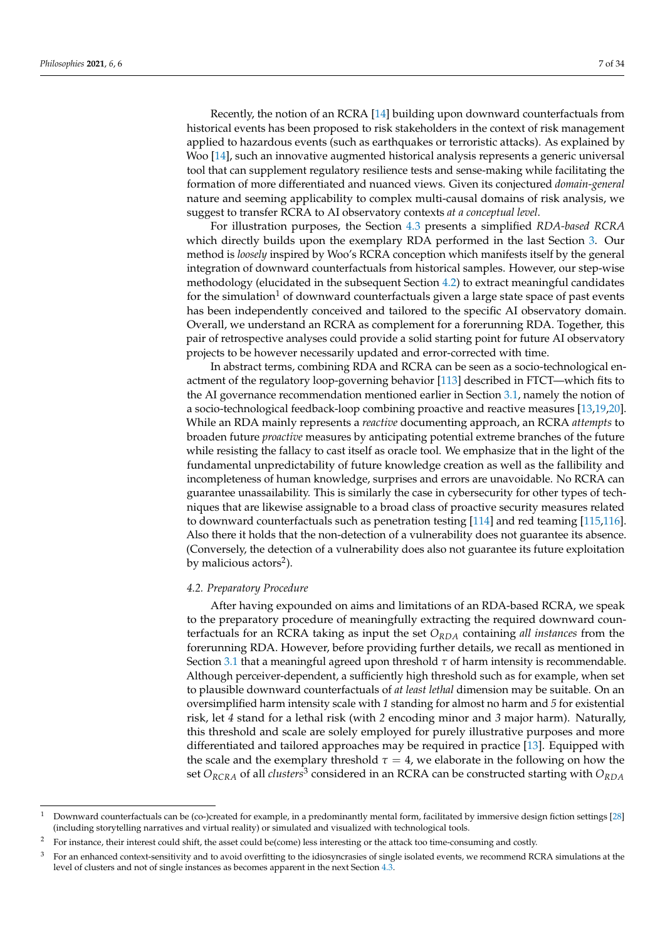Recently, the notion of an RCRA [\[14\]](#page-26-9) building upon downward counterfactuals from historical events has been proposed to risk stakeholders in the context of risk management applied to hazardous events (such as earthquakes or terroristic attacks). As explained by Woo [\[14\]](#page-26-9), such an innovative augmented historical analysis represents a generic universal tool that can supplement regulatory resilience tests and sense-making while facilitating the formation of more differentiated and nuanced views. Given its conjectured *domain-general* nature and seeming applicability to complex multi-causal domains of risk analysis, we suggest to transfer RCRA to AI observatory contexts *at a conceptual level*.

For illustration purposes, the Section [4.3](#page-8-0) presents a simplified *RDA-based RCRA* which directly builds upon the exemplary RDA performed in the last Section [3.](#page-2-0) Our method is *loosely* inspired by Woo's RCRA conception which manifests itself by the general integration of downward counterfactuals from historical samples. However, our step-wise methodology (elucidated in the subsequent Section [4.2\)](#page-6-0) to extract meaningful candidates for the simulation<sup>1</sup> of downward counterfactuals given a large state space of past events has been independently conceived and tailored to the specific AI observatory domain. Overall, we understand an RCRA as complement for a forerunning RDA. Together, this pair of retrospective analyses could provide a solid starting point for future AI observatory projects to be however necessarily updated and error-corrected with time.

In abstract terms, combining RDA and RCRA can be seen as a socio-technological enactment of the regulatory loop-governing behavior [\[113\]](#page-30-3) described in FTCT—which fits to the AI governance recommendation mentioned earlier in Section [3.1,](#page-2-2) namely the notion of a socio-technological feedback-loop combining proactive and reactive measures [\[13](#page-26-8)[,19](#page-26-14)[,20\]](#page-26-15). While an RDA mainly represents a *reactive* documenting approach, an RCRA *attempts* to broaden future *proactive* measures by anticipating potential extreme branches of the future while resisting the fallacy to cast itself as oracle tool. We emphasize that in the light of the fundamental unpredictability of future knowledge creation as well as the fallibility and incompleteness of human knowledge, surprises and errors are unavoidable. No RCRA can guarantee unassailability. This is similarly the case in cybersecurity for other types of techniques that are likewise assignable to a broad class of proactive security measures related to downward counterfactuals such as penetration testing [\[114\]](#page-30-4) and red teaming [\[115](#page-30-5)[,116\]](#page-30-6). Also there it holds that the non-detection of a vulnerability does not guarantee its absence. (Conversely, the detection of a vulnerability does also not guarantee its future exploitation by malicious actors<sup>2</sup>).

#### <span id="page-6-0"></span>*4.2. Preparatory Procedure*

After having expounded on aims and limitations of an RDA-based RCRA, we speak to the preparatory procedure of meaningfully extracting the required downward counterfactuals for an RCRA taking as input the set *ORDA* containing *all instances* from the forerunning RDA. However, before providing further details, we recall as mentioned in Section [3.1](#page-2-2) that a meaningful agreed upon threshold *τ* of harm intensity is recommendable. Although perceiver-dependent, a sufficiently high threshold such as for example, when set to plausible downward counterfactuals of *at least lethal* dimension may be suitable. On an oversimplified harm intensity scale with *1* standing for almost no harm and *5* for existential risk, let *4* stand for a lethal risk (with *2* encoding minor and *3* major harm). Naturally, this threshold and scale are solely employed for purely illustrative purposes and more differentiated and tailored approaches may be required in practice [\[13\]](#page-26-8). Equipped with the scale and the exemplary threshold  $\tau = 4$ , we elaborate in the following on how the set *ORCRA* of all *clusters*<sup>3</sup> considered in an RCRA can be constructed starting with *ORDA*

<sup>1</sup> Downward counterfactuals can be (co-)created for example, in a predominantly mental form, facilitated by immersive design fiction settings [\[28\]](#page-26-22) (including storytelling narratives and virtual reality) or simulated and visualized with technological tools.

<sup>2</sup> For instance, their interest could shift, the asset could be(come) less interesting or the attack too time-consuming and costly.

<sup>&</sup>lt;sup>3</sup> For an enhanced context-sensitivity and to avoid overfitting to the idiosyncrasies of single isolated events, we recommend RCRA simulations at the level of clusters and not of single instances as becomes apparent in the next Section [4.3.](#page-8-0)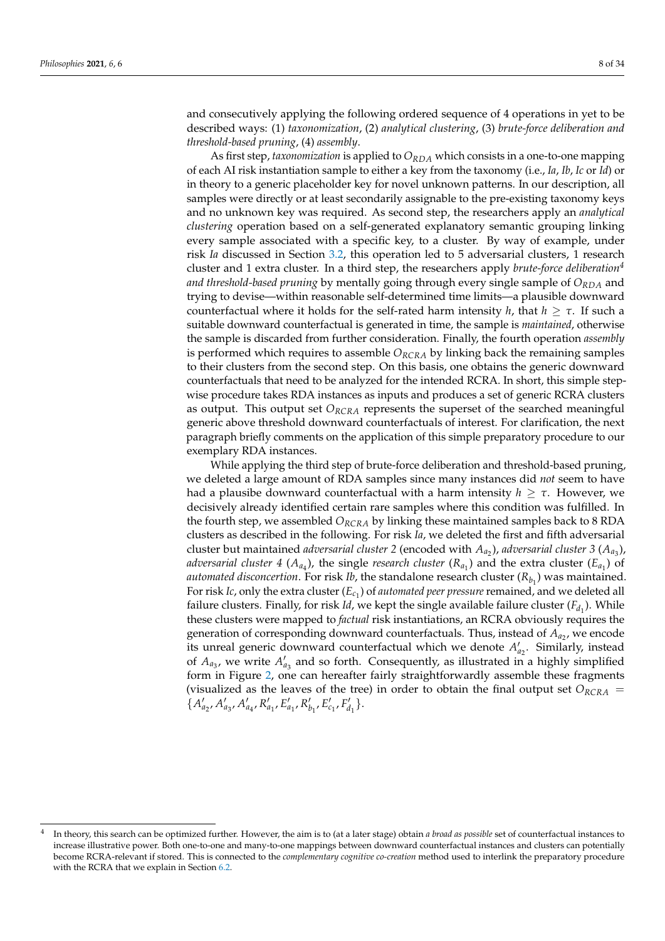and consecutively applying the following ordered sequence of 4 operations in yet to be described ways: (1) *taxonomization*, (2) *analytical clustering*, (3) *brute-force deliberation and threshold-based pruning*, (4) *assembly*.

As first step, *taxonomization* is applied to *ORDA* which consists in a one-to-one mapping of each AI risk instantiation sample to either a key from the taxonomy (i.e., *Ia*, *Ib*, *Ic* or *Id*) or in theory to a generic placeholder key for novel unknown patterns. In our description, all samples were directly or at least secondarily assignable to the pre-existing taxonomy keys and no unknown key was required. As second step, the researchers apply an *analytical clustering* operation based on a self-generated explanatory semantic grouping linking every sample associated with a specific key, to a cluster. By way of example, under risk *Ia* discussed in Section [3.2,](#page-3-0) this operation led to 5 adversarial clusters, 1 research cluster and 1 extra cluster. In a third step, the researchers apply *brute-force deliberation<sup>4</sup> and threshold-based pruning* by mentally going through every single sample of *ORDA* and trying to devise—within reasonable self-determined time limits—a plausible downward counterfactual where it holds for the self-rated harm intensity *h*, that  $h \geq \tau$ . If such a suitable downward counterfactual is generated in time, the sample is *maintained*, otherwise the sample is discarded from further consideration. Finally, the fourth operation *assembly* is performed which requires to assemble *ORCRA* by linking back the remaining samples to their clusters from the second step. On this basis, one obtains the generic downward counterfactuals that need to be analyzed for the intended RCRA. In short, this simple stepwise procedure takes RDA instances as inputs and produces a set of generic RCRA clusters as output. This output set *ORCRA* represents the superset of the searched meaningful generic above threshold downward counterfactuals of interest. For clarification, the next paragraph briefly comments on the application of this simple preparatory procedure to our exemplary RDA instances.

While applying the third step of brute-force deliberation and threshold-based pruning, we deleted a large amount of RDA samples since many instances did *not* seem to have had a plausibe downward counterfactual with a harm intensity  $h \geq \tau$ . However, we decisively already identified certain rare samples where this condition was fulfilled. In the fourth step, we assembled *ORCRA* by linking these maintained samples back to 8 RDA clusters as described in the following. For risk *Ia*, we deleted the first and fifth adversarial cluster but maintained *adversarial cluster* 2 (encoded with  $A_{a_2}$ ), *adversarial cluster* 3 ( $A_{a_3}$ ), *adversarial cluster 4* ( $A_{a_4}$ ), the single *research cluster* ( $R_{a_1}$ ) and the extra cluster ( $E_{a_1}$ ) of *automated disconcertion*. For risk *Ib,* the standalone research cluster  $(R_{b_1})$  was maintained. For risk *Ic*, only the extra cluster (*Ec*<sup>1</sup> ) of *automated peer pressure* remained, and we deleted all failure clusters. Finally, for risk *Id*, we kept the single available failure cluster ( $F_{d_1}$ ). While these clusters were mapped to *factual* risk instantiations, an RCRA obviously requires the generation of corresponding downward counterfactuals. Thus, instead of  $A_{a_2}$ , we encode its unreal generic downward counterfactual which we denote  $A'_{a_2}$ . Similarly, instead of  $A_{a_3}$ , we write  $A'_{a_3}$  and so forth. Consequently, as illustrated in a highly simplified form in Figure [2,](#page-8-1) one can hereafter fairly straightforwardly assemble these fragments (visualized as the leaves of the tree) in order to obtain the final output set  $O_{RCRA}$  =  ${A'_{a_2}, A'_{a_3}, A'_{a_4}, R'_{a_1}, E'_{a_1}, R'_{b_1}, E'_{c_1}, F'_{d_1}}.$ 

<sup>4</sup> In theory, this search can be optimized further. However, the aim is to (at a later stage) obtain *a broad as possible* set of counterfactual instances to increase illustrative power. Both one-to-one and many-to-one mappings between downward counterfactual instances and clusters can potentially become RCRA-relevant if stored. This is connected to the *complementary cognitive co-creation* method used to interlink the preparatory procedure with the RCRA that we explain in Section [6.2.](#page-23-1)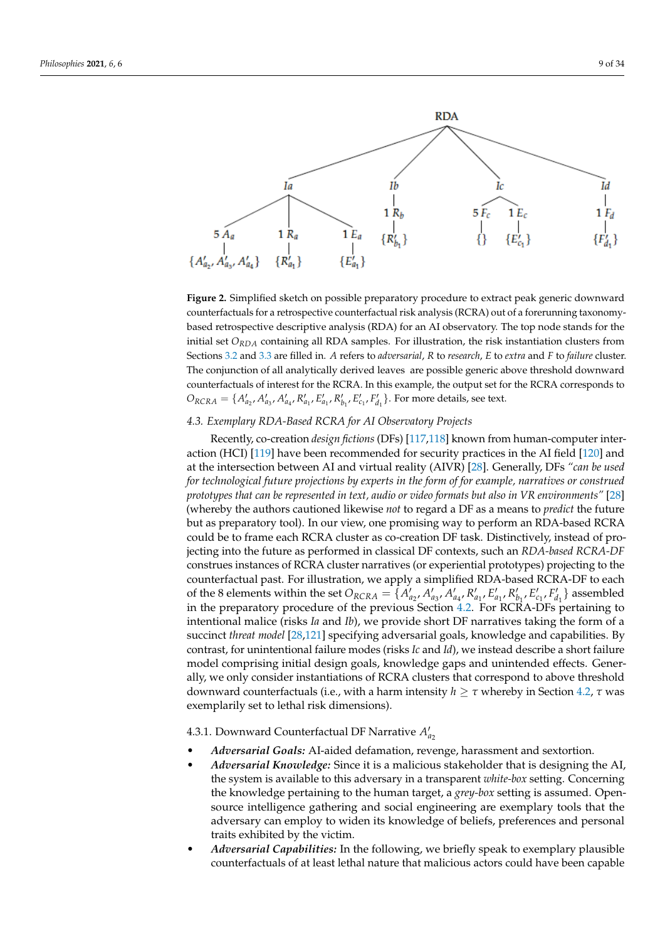<span id="page-8-1"></span>

**Figure 2.** Simplified sketch on possible preparatory procedure to extract peak generic downward counterfactuals for a retrospective counterfactual risk analysis (RCRA) out of a forerunning taxonomybased retrospective descriptive analysis (RDA) for an AI observatory. The top node stands for the initial set  $O_{RDA}$  containing all RDA samples. For illustration, the risk instantiation clusters from Sections [3.2](#page-3-0) and [3.3](#page-4-0) are filled in. *A* refers to *adversarial*, *R* to *research*, *E* to *extra* and *F* to *failure* cluster. The conjunction of all analytically derived leaves are possible generic above threshold downward counterfactuals of interest for the RCRA. In this example, the output set for the RCRA corresponds to  $O_{RCRA} = \{A'_{a_2}, A'_{a_3}, A'_{a_4}, R'_{a_1}, E'_{a_1}, R'_{b_1}, E'_{c_1}, F'_{d_1}\}$ . For more details, see text.

## <span id="page-8-0"></span>*4.3. Exemplary RDA-Based RCRA for AI Observatory Projects*

Recently, co-creation *design fictions* (DFs) [\[117](#page-30-7)[,118\]](#page-30-8) known from human-computer interaction (HCI) [\[119\]](#page-30-9) have been recommended for security practices in the AI field [\[120\]](#page-30-10) and at the intersection between AI and virtual reality (AIVR) [\[28\]](#page-26-22). Generally, DFs *"can be used for technological future projections by experts in the form of for example, narratives or construed prototypes that can be represented in text, audio or video formats but also in VR environments"* [\[28\]](#page-26-22) (whereby the authors cautioned likewise *not* to regard a DF as a means to *predict* the future but as preparatory tool). In our view, one promising way to perform an RDA-based RCRA could be to frame each RCRA cluster as co-creation DF task. Distinctively, instead of projecting into the future as performed in classical DF contexts, such an *RDA-based RCRA-DF* construes instances of RCRA cluster narratives (or experiential prototypes) projecting to the counterfactual past. For illustration, we apply a simplified RDA-based RCRA-DF to each of the 8 elements within the set  $O_{RCRA} = \{A'_{a_2}, A'_{a_3}, A'_{a_4}, R'_{a_1}, E'_{a_1}, R'_{b_1}, E'_{c_1}, F'_{d_1}\}$  assembled in the preparatory procedure of the previous Section [4.2.](#page-6-0) For RCRA-DFs pertaining to intentional malice (risks *Ia* and *Ib*), we provide short DF narratives taking the form of a succinct *threat model* [\[28](#page-26-22)[,121\]](#page-30-11) specifying adversarial goals, knowledge and capabilities. By contrast, for unintentional failure modes (risks *Ic* and *Id*), we instead describe a short failure model comprising initial design goals, knowledge gaps and unintended effects. Generally, we only consider instantiations of RCRA clusters that correspond to above threshold downward counterfactuals (i.e., with a harm intensity *h* ≥ *τ* whereby in Section [4.2,](#page-6-0) *τ* was exemplarily set to lethal risk dimensions).

<span id="page-8-2"></span>4.3.1. Downward Counterfactual DF Narrative  $A'_{a_2}$ 

- *Adversarial Goals:* AI-aided defamation, revenge, harassment and sextortion.
- *Adversarial Knowledge:* Since it is a malicious stakeholder that is designing the AI, the system is available to this adversary in a transparent *white-box* setting. Concerning the knowledge pertaining to the human target, a *grey-box* setting is assumed. Opensource intelligence gathering and social engineering are exemplary tools that the adversary can employ to widen its knowledge of beliefs, preferences and personal traits exhibited by the victim.
- *Adversarial Capabilities:* In the following, we briefly speak to exemplary plausible counterfactuals of at least lethal nature that malicious actors could have been capable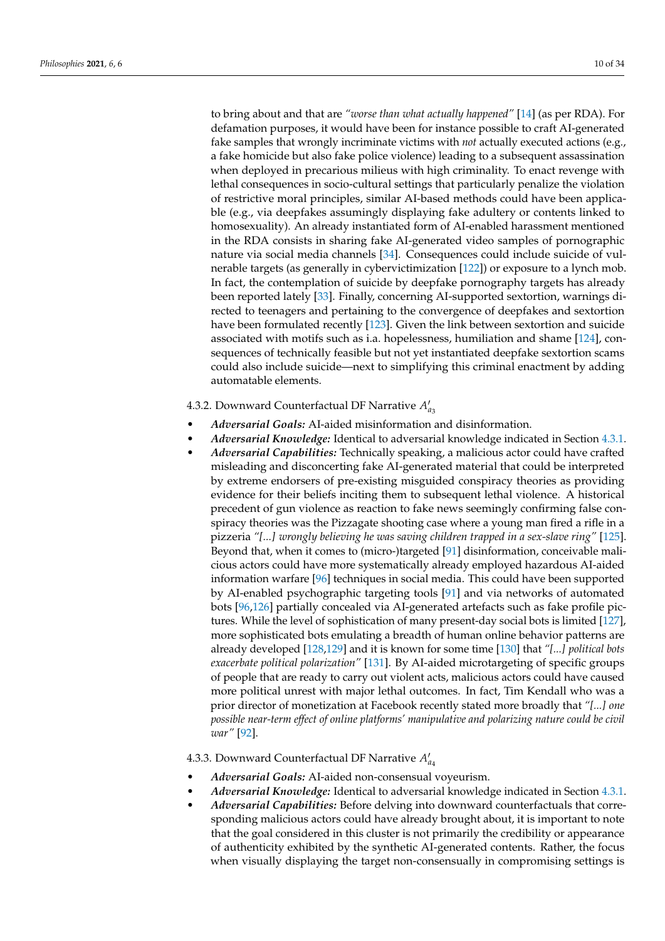to bring about and that are *"worse than what actually happened"* [\[14\]](#page-26-9) (as per RDA). For defamation purposes, it would have been for instance possible to craft AI-generated fake samples that wrongly incriminate victims with *not* actually executed actions (e.g., a fake homicide but also fake police violence) leading to a subsequent assassination when deployed in precarious milieus with high criminality. To enact revenge with lethal consequences in socio-cultural settings that particularly penalize the violation of restrictive moral principles, similar AI-based methods could have been applicable (e.g., via deepfakes assumingly displaying fake adultery or contents linked to homosexuality). An already instantiated form of AI-enabled harassment mentioned in the RDA consists in sharing fake AI-generated video samples of pornographic nature via social media channels [\[34\]](#page-27-4). Consequences could include suicide of vulnerable targets (as generally in cybervictimization [\[122\]](#page-30-12)) or exposure to a lynch mob. In fact, the contemplation of suicide by deepfake pornography targets has already been reported lately [\[33\]](#page-27-3). Finally, concerning AI-supported sextortion, warnings directed to teenagers and pertaining to the convergence of deepfakes and sextortion have been formulated recently [\[123\]](#page-30-13). Given the link between sextortion and suicide associated with motifs such as i.a. hopelessness, humiliation and shame [\[124\]](#page-30-14), consequences of technically feasible but not yet instantiated deepfake sextortion scams could also include suicide—next to simplifying this criminal enactment by adding automatable elements.

<span id="page-9-0"></span>4.3.2. Downward Counterfactual DF Narrative  $A'_{a_3}$ 

- *Adversarial Goals:* AI-aided misinformation and disinformation.
	- *Adversarial Knowledge:* Identical to adversarial knowledge indicated in Section [4.3.1.](#page-8-2)
- *Adversarial Capabilities:* Technically speaking, a malicious actor could have crafted misleading and disconcerting fake AI-generated material that could be interpreted by extreme endorsers of pre-existing misguided conspiracy theories as providing evidence for their beliefs inciting them to subsequent lethal violence. A historical precedent of gun violence as reaction to fake news seemingly confirming false conspiracy theories was the Pizzagate shooting case where a young man fired a rifle in a pizzeria *"[...] wrongly believing he was saving children trapped in a sex-slave ring"* [\[125\]](#page-30-15). Beyond that, when it comes to (micro-)targeted [\[91\]](#page-29-10) disinformation, conceivable malicious actors could have more systematically already employed hazardous AI-aided information warfare [\[96\]](#page-29-15) techniques in social media. This could have been supported by AI-enabled psychographic targeting tools [\[91\]](#page-29-10) and via networks of automated bots [\[96,](#page-29-15)[126\]](#page-30-16) partially concealed via AI-generated artefacts such as fake profile pictures. While the level of sophistication of many present-day social bots is limited [\[127\]](#page-30-17), more sophisticated bots emulating a breadth of human online behavior patterns are already developed [\[128](#page-30-18)[,129\]](#page-30-19) and it is known for some time [\[130\]](#page-30-20) that *"[...] political bots exacerbate political polarization"* [\[131\]](#page-30-21). By AI-aided microtargeting of specific groups of people that are ready to carry out violent acts, malicious actors could have caused more political unrest with major lethal outcomes. In fact, Tim Kendall who was a prior director of monetization at Facebook recently stated more broadly that *"[...] one possible near-term effect of online platforms' manipulative and polarizing nature could be civil war"* [\[92\]](#page-29-11).

4.3.3. Downward Counterfactual DF Narrative  $A'_{a_4}$ 

- *Adversarial Goals:* AI-aided non-consensual voyeurism.
- *Adversarial Knowledge:* Identical to adversarial knowledge indicated in Section [4.3.1.](#page-8-2)
- *Adversarial Capabilities:* Before delving into downward counterfactuals that corresponding malicious actors could have already brought about, it is important to note that the goal considered in this cluster is not primarily the credibility or appearance of authenticity exhibited by the synthetic AI-generated contents. Rather, the focus when visually displaying the target non-consensually in compromising settings is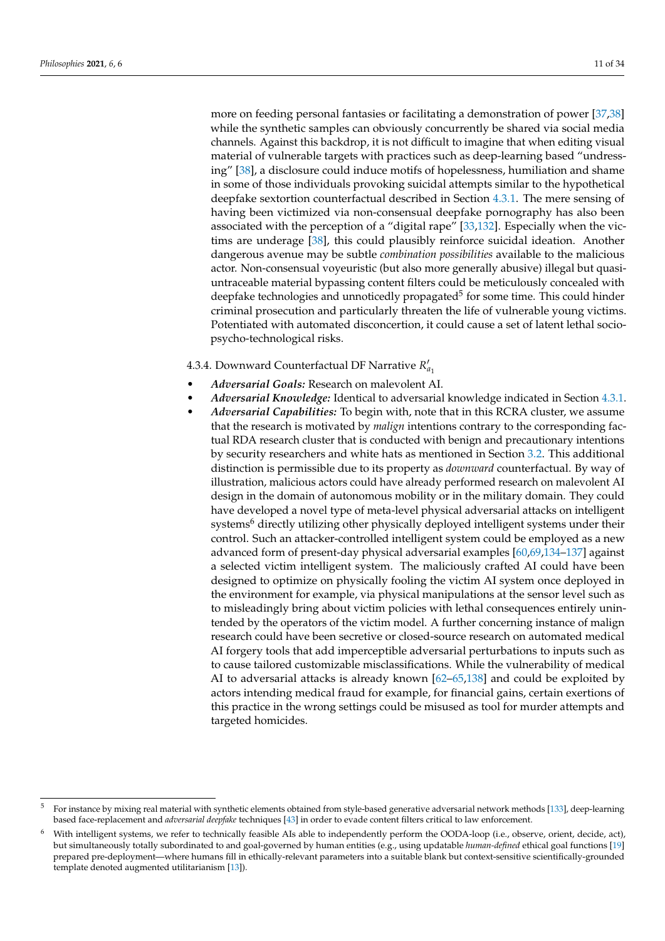more on feeding personal fantasies or facilitating a demonstration of power [\[37](#page-27-7)[,38\]](#page-27-8) while the synthetic samples can obviously concurrently be shared via social media channels. Against this backdrop, it is not difficult to imagine that when editing visual material of vulnerable targets with practices such as deep-learning based "undressing" [\[38\]](#page-27-8), a disclosure could induce motifs of hopelessness, humiliation and shame in some of those individuals provoking suicidal attempts similar to the hypothetical deepfake sextortion counterfactual described in Section [4.3.1.](#page-8-2) The mere sensing of having been victimized via non-consensual deepfake pornography has also been associated with the perception of a "digital rape" [\[33,](#page-27-3)[132\]](#page-30-22). Especially when the victims are underage [\[38\]](#page-27-8), this could plausibly reinforce suicidal ideation. Another dangerous avenue may be subtle *combination possibilities* available to the malicious actor. Non-consensual voyeuristic (but also more generally abusive) illegal but quasiuntraceable material bypassing content filters could be meticulously concealed with deepfake technologies and unnoticedly propagated<sup>5</sup> for some time. This could hinder criminal prosecution and particularly threaten the life of vulnerable young victims. Potentiated with automated disconcertion, it could cause a set of latent lethal sociopsycho-technological risks.

<span id="page-10-0"></span>4.3.4. Downward Counterfactual DF Narrative  $R'_{a_1}$ 

- *Adversarial Goals:* Research on malevolent AI.
	- *Adversarial Knowledge:* Identical to adversarial knowledge indicated in Section [4.3.1.](#page-8-2)
- *Adversarial Capabilities:* To begin with, note that in this RCRA cluster, we assume that the research is motivated by *malign* intentions contrary to the corresponding factual RDA research cluster that is conducted with benign and precautionary intentions by security researchers and white hats as mentioned in Section [3.2.](#page-3-0) This additional distinction is permissible due to its property as *downward* counterfactual. By way of illustration, malicious actors could have already performed research on malevolent AI design in the domain of autonomous mobility or in the military domain. They could have developed a novel type of meta-level physical adversarial attacks on intelligent systems<sup>6</sup> directly utilizing other physically deployed intelligent systems under their control. Such an attacker-controlled intelligent system could be employed as a new advanced form of present-day physical adversarial examples [\[60,](#page-28-7)[69,](#page-28-14)[134–](#page-30-23)[137\]](#page-30-24) against a selected victim intelligent system. The maliciously crafted AI could have been designed to optimize on physically fooling the victim AI system once deployed in the environment for example, via physical manipulations at the sensor level such as to misleadingly bring about victim policies with lethal consequences entirely unintended by the operators of the victim model. A further concerning instance of malign research could have been secretive or closed-source research on automated medical AI forgery tools that add imperceptible adversarial perturbations to inputs such as to cause tailored customizable misclassifications. While the vulnerability of medical AI to adversarial attacks is already known [\[62](#page-28-9)[–65,](#page-28-10)[138\]](#page-30-25) and could be exploited by actors intending medical fraud for example, for financial gains, certain exertions of this practice in the wrong settings could be misused as tool for murder attempts and targeted homicides.

<sup>5</sup> For instance by mixing real material with synthetic elements obtained from style-based generative adversarial network methods [\[133\]](#page-30-26), deep-learning based face-replacement and *adversarial deepfake* techniques [\[43\]](#page-27-13) in order to evade content filters critical to law enforcement.

With intelligent systems, we refer to technically feasible AIs able to independently perform the OODA-loop (i.e., observe, orient, decide, act), but simultaneously totally subordinated to and goal-governed by human entities (e.g., using updatable *human-defined* ethical goal functions [\[19\]](#page-26-14) prepared pre-deployment—where humans fill in ethically-relevant parameters into a suitable blank but context-sensitive scientifically-grounded template denoted augmented utilitarianism [\[13\]](#page-26-8)).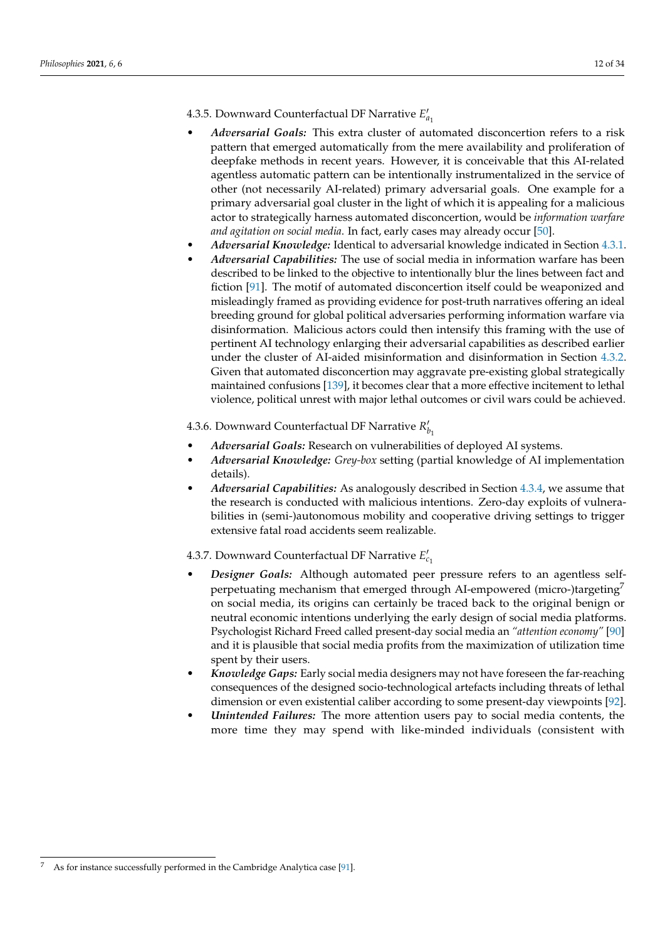- <span id="page-11-0"></span>4.3.5. Downward Counterfactual DF Narrative  $E'_{a_1}$
- *Adversarial Goals:* This extra cluster of automated disconcertion refers to a risk pattern that emerged automatically from the mere availability and proliferation of deepfake methods in recent years. However, it is conceivable that this AI-related agentless automatic pattern can be intentionally instrumentalized in the service of other (not necessarily AI-related) primary adversarial goals. One example for a primary adversarial goal cluster in the light of which it is appealing for a malicious actor to strategically harness automated disconcertion, would be *information warfare and agitation on social media*. In fact, early cases may already occur [\[50\]](#page-27-20).
- *Adversarial Knowledge:* Identical to adversarial knowledge indicated in Section [4.3.1.](#page-8-2)
- *Adversarial Capabilities:* The use of social media in information warfare has been described to be linked to the objective to intentionally blur the lines between fact and fiction [\[91\]](#page-29-10). The motif of automated disconcertion itself could be weaponized and misleadingly framed as providing evidence for post-truth narratives offering an ideal breeding ground for global political adversaries performing information warfare via disinformation. Malicious actors could then intensify this framing with the use of pertinent AI technology enlarging their adversarial capabilities as described earlier under the cluster of AI-aided misinformation and disinformation in Section [4.3.2.](#page-9-0) Given that automated disconcertion may aggravate pre-existing global strategically maintained confusions [\[139\]](#page-31-0), it becomes clear that a more effective incitement to lethal violence, political unrest with major lethal outcomes or civil wars could be achieved.

4.3.6. Downward Counterfactual DF Narrative  $R'_{b_1}$ 

- *Adversarial Goals:* Research on vulnerabilities of deployed AI systems.
- *Adversarial Knowledge: Grey-box* setting (partial knowledge of AI implementation details).
- *Adversarial Capabilities:* As analogously described in Section [4.3.4,](#page-10-0) we assume that the research is conducted with malicious intentions. Zero-day exploits of vulnerabilities in (semi-)autonomous mobility and cooperative driving settings to trigger extensive fatal road accidents seem realizable.

4.3.7. Downward Counterfactual DF Narrative  $E'_{c_1}$ 

- *Designer Goals:* Although automated peer pressure refers to an agentless selfperpetuating mechanism that emerged through AI-empowered (micro-)targeting<sup>7</sup> on social media, its origins can certainly be traced back to the original benign or neutral economic intentions underlying the early design of social media platforms. Psychologist Richard Freed called present-day social media an *"attention economy"* [\[90\]](#page-29-9) and it is plausible that social media profits from the maximization of utilization time spent by their users.
- *Knowledge Gaps:* Early social media designers may not have foreseen the far-reaching consequences of the designed socio-technological artefacts including threats of lethal dimension or even existential caliber according to some present-day viewpoints [\[92\]](#page-29-11).
- *Unintended Failures:* The more attention users pay to social media contents, the more time they may spend with like-minded individuals (consistent with

As for instance successfully performed in the Cambridge Analytica case [\[91\]](#page-29-10).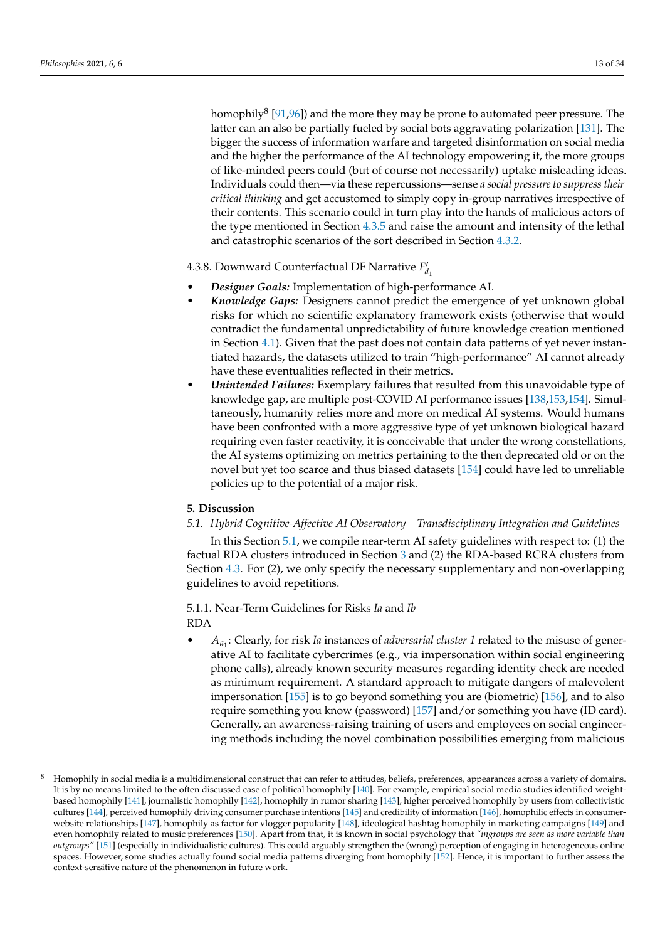homophily $^8$  [\[91](#page-29-10)[,96\]](#page-29-15)) and the more they may be prone to automated peer pressure. The latter can an also be partially fueled by social bots aggravating polarization [\[131\]](#page-30-21). The bigger the success of information warfare and targeted disinformation on social media and the higher the performance of the AI technology empowering it, the more groups of like-minded peers could (but of course not necessarily) uptake misleading ideas. Individuals could then—via these repercussions—sense *a social pressure to suppress their critical thinking* and get accustomed to simply copy in-group narratives irrespective of their contents. This scenario could in turn play into the hands of malicious actors of the type mentioned in Section [4.3.5](#page-11-0) and raise the amount and intensity of the lethal and catastrophic scenarios of the sort described in Section [4.3.2.](#page-9-0)

4.3.8. Downward Counterfactual DF Narrative  $F'_{d_1}$ 

- *Designer Goals:* Implementation of high-performance AI.
- *Knowledge Gaps:* Designers cannot predict the emergence of yet unknown global risks for which no scientific explanatory framework exists (otherwise that would contradict the fundamental unpredictability of future knowledge creation mentioned in Section [4.1\)](#page-5-1). Given that the past does not contain data patterns of yet never instantiated hazards, the datasets utilized to train "high-performance" AI cannot already have these eventualities reflected in their metrics.
- *Unintended Failures:* Exemplary failures that resulted from this unavoidable type of knowledge gap, are multiple post-COVID AI performance issues [\[138](#page-30-25)[,153,](#page-31-1)[154\]](#page-31-2). Simultaneously, humanity relies more and more on medical AI systems. Would humans have been confronted with a more aggressive type of yet unknown biological hazard requiring even faster reactivity, it is conceivable that under the wrong constellations, the AI systems optimizing on metrics pertaining to the then deprecated old or on the novel but yet too scarce and thus biased datasets [\[154\]](#page-31-2) could have led to unreliable policies up to the potential of a major risk.

## <span id="page-12-0"></span>**5. Discussion**

#### <span id="page-12-1"></span>*5.1. Hybrid Cognitive-Affective AI Observatory—Transdisciplinary Integration and Guidelines*

In this Section [5.1,](#page-12-1) we compile near-term AI safety guidelines with respect to: (1) the factual RDA clusters introduced in Section [3](#page-2-0) and (2) the RDA-based RCRA clusters from Section [4.3.](#page-8-0) For (2), we only specify the necessary supplementary and non-overlapping guidelines to avoid repetitions.

<span id="page-12-2"></span>5.1.1. Near-Term Guidelines for Risks *Ia* and *Ib* RDA

• *A*<sub>*a*<sub>1</sub></sub>: Clearly, for risk *Ia* instances of *adversarial cluster* 1 related to the misuse of generative AI to facilitate cybercrimes (e.g., via impersonation within social engineering phone calls), already known security measures regarding identity check are needed as minimum requirement. A standard approach to mitigate dangers of malevolent impersonation [\[155\]](#page-31-3) is to go beyond something you are (biometric) [\[156\]](#page-31-4), and to also require something you know (password) [\[157\]](#page-31-5) and/or something you have (ID card). Generally, an awareness-raising training of users and employees on social engineering methods including the novel combination possibilities emerging from malicious

Homophily in social media is a multidimensional construct that can refer to attitudes, beliefs, preferences, appearances across a variety of domains. It is by no means limited to the often discussed case of political homophily [\[140\]](#page-31-6). For example, empirical social media studies identified weightbased homophily [\[141\]](#page-31-7), journalistic homophily [\[142\]](#page-31-8), homophily in rumor sharing [\[143\]](#page-31-9), higher perceived homophily by users from collectivistic cultures [\[144\]](#page-31-10), perceived homophily driving consumer purchase intentions [\[145\]](#page-31-11) and credibility of information [\[146\]](#page-31-12), homophilic effects in consumerwebsite relationships [\[147\]](#page-31-13), homophily as factor for vlogger popularity [\[148\]](#page-31-14), ideological hashtag homophily in marketing campaigns [\[149\]](#page-31-15) and even homophily related to music preferences [\[150\]](#page-31-16). Apart from that, it is known in social psychology that *"ingroups are seen as more variable than outgroups"* [\[151\]](#page-31-17) (especially in individualistic cultures). This could arguably strengthen the (wrong) perception of engaging in heterogeneous online spaces. However, some studies actually found social media patterns diverging from homophily [\[152\]](#page-31-18). Hence, it is important to further assess the context-sensitive nature of the phenomenon in future work.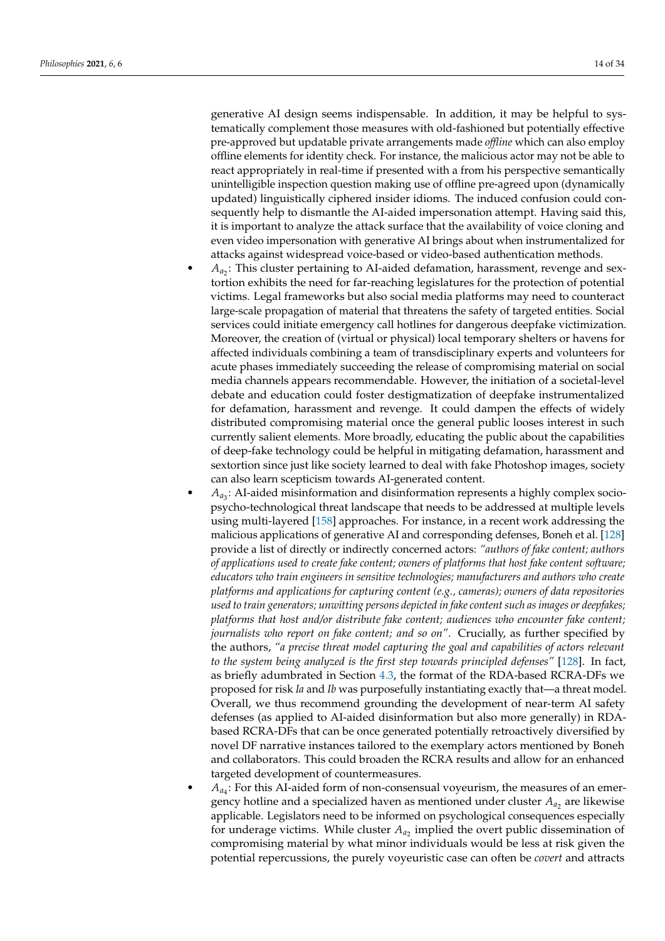generative AI design seems indispensable. In addition, it may be helpful to systematically complement those measures with old-fashioned but potentially effective pre-approved but updatable private arrangements made *offline* which can also employ offline elements for identity check. For instance, the malicious actor may not be able to react appropriately in real-time if presented with a from his perspective semantically unintelligible inspection question making use of offline pre-agreed upon (dynamically updated) linguistically ciphered insider idioms. The induced confusion could consequently help to dismantle the AI-aided impersonation attempt. Having said this, it is important to analyze the attack surface that the availability of voice cloning and even video impersonation with generative AI brings about when instrumentalized for attacks against widespread voice-based or video-based authentication methods.

- *A*<sub>*a*<sub>2</sub>: This cluster pertaining to AI-aided defamation, harassment, revenge and sex-</sub> tortion exhibits the need for far-reaching legislatures for the protection of potential victims. Legal frameworks but also social media platforms may need to counteract large-scale propagation of material that threatens the safety of targeted entities. Social services could initiate emergency call hotlines for dangerous deepfake victimization. Moreover, the creation of (virtual or physical) local temporary shelters or havens for affected individuals combining a team of transdisciplinary experts and volunteers for acute phases immediately succeeding the release of compromising material on social media channels appears recommendable. However, the initiation of a societal-level debate and education could foster destigmatization of deepfake instrumentalized for defamation, harassment and revenge. It could dampen the effects of widely distributed compromising material once the general public looses interest in such currently salient elements. More broadly, educating the public about the capabilities of deep-fake technology could be helpful in mitigating defamation, harassment and sextortion since just like society learned to deal with fake Photoshop images, society can also learn scepticism towards AI-generated content.
- *A*<sub>*a*3</sub>: AI-aided misinformation and disinformation represents a highly complex sociopsycho-technological threat landscape that needs to be addressed at multiple levels using multi-layered [\[158\]](#page-31-19) approaches. For instance, in a recent work addressing the malicious applications of generative AI and corresponding defenses, Boneh et al. [\[128\]](#page-30-18) provide a list of directly or indirectly concerned actors: *"authors of fake content; authors of applications used to create fake content; owners of platforms that host fake content software; educators who train engineers in sensitive technologies; manufacturers and authors who create platforms and applications for capturing content (e.g., cameras); owners of data repositories used to train generators; unwitting persons depicted in fake content such as images or deepfakes; platforms that host and/or distribute fake content; audiences who encounter fake content; journalists who report on fake content; and so on"*. Crucially, as further specified by the authors, *"a precise threat model capturing the goal and capabilities of actors relevant to the system being analyzed is the first step towards principled defenses"* [\[128\]](#page-30-18). In fact, as briefly adumbrated in Section [4.3,](#page-8-0) the format of the RDA-based RCRA-DFs we proposed for risk *Ia* and *Ib* was purposefully instantiating exactly that—a threat model. Overall, we thus recommend grounding the development of near-term AI safety defenses (as applied to AI-aided disinformation but also more generally) in RDAbased RCRA-DFs that can be once generated potentially retroactively diversified by novel DF narrative instances tailored to the exemplary actors mentioned by Boneh and collaborators. This could broaden the RCRA results and allow for an enhanced targeted development of countermeasures.
- $\bullet$  *A*<sub>*a*<sub>4</sub></sub>: For this AI-aided form of non-consensual voyeurism, the measures of an emergency hotline and a specialized haven as mentioned under cluster  $A_{a_2}$  are likewise applicable. Legislators need to be informed on psychological consequences especially for underage victims. While cluster  $A_{a_2}$  implied the overt public dissemination of compromising material by what minor individuals would be less at risk given the potential repercussions, the purely voyeuristic case can often be *covert* and attracts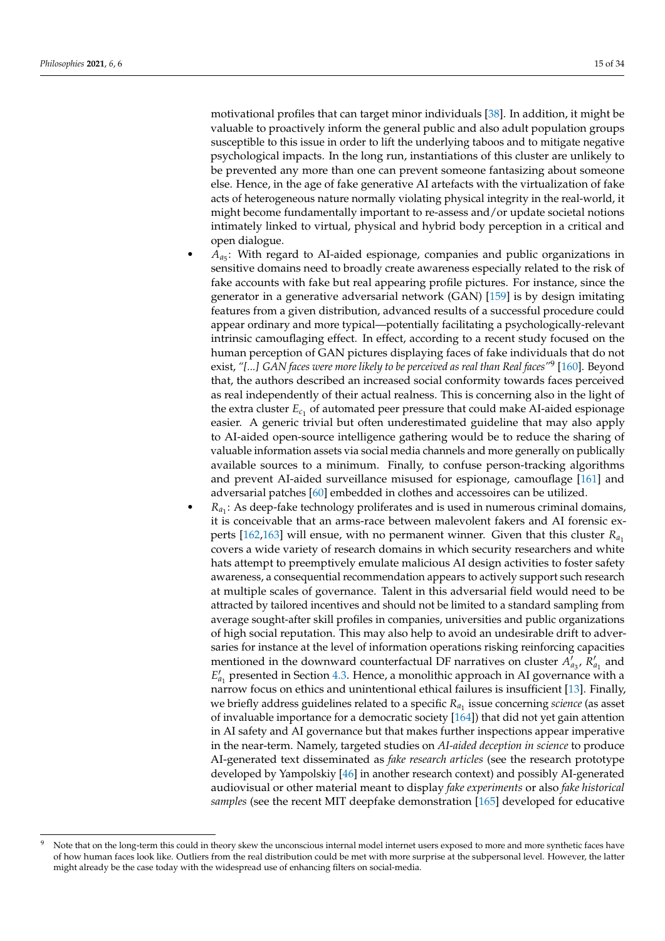motivational profiles that can target minor individuals [\[38\]](#page-27-8). In addition, it might be valuable to proactively inform the general public and also adult population groups susceptible to this issue in order to lift the underlying taboos and to mitigate negative psychological impacts. In the long run, instantiations of this cluster are unlikely to be prevented any more than one can prevent someone fantasizing about someone else. Hence, in the age of fake generative AI artefacts with the virtualization of fake acts of heterogeneous nature normally violating physical integrity in the real-world, it might become fundamentally important to re-assess and/or update societal notions intimately linked to virtual, physical and hybrid body perception in a critical and open dialogue.

- *A*<sub>*a*<sub>5</sub></sub>: With regard to AI-aided espionage, companies and public organizations in sensitive domains need to broadly create awareness especially related to the risk of fake accounts with fake but real appearing profile pictures. For instance, since the generator in a generative adversarial network (GAN) [\[159\]](#page-31-20) is by design imitating features from a given distribution, advanced results of a successful procedure could appear ordinary and more typical—potentially facilitating a psychologically-relevant intrinsic camouflaging effect. In effect, according to a recent study focused on the human perception of GAN pictures displaying faces of fake individuals that do not exist, *"[...] GAN faces were more likely to be perceived as real than Real faces"*<sup>9</sup> [\[160\]](#page-31-21). Beyond that, the authors described an increased social conformity towards faces perceived as real independently of their actual realness. This is concerning also in the light of the extra cluster  $E_{c_1}$  of automated peer pressure that could make AI-aided espionage easier. A generic trivial but often underestimated guideline that may also apply to AI-aided open-source intelligence gathering would be to reduce the sharing of valuable information assets via social media channels and more generally on publically available sources to a minimum. Finally, to confuse person-tracking algorithms and prevent AI-aided surveillance misused for espionage, camouflage [\[161\]](#page-31-22) and adversarial patches [\[60\]](#page-28-7) embedded in clothes and accessoires can be utilized.
- *R*<sub>*a*1</sub>: As deep-fake technology proliferates and is used in numerous criminal domains, it is conceivable that an arms-race between malevolent fakers and AI forensic experts  $[162,163]$  $[162,163]$  will ensue, with no permanent winner. Given that this cluster  $R_{a_1}$ covers a wide variety of research domains in which security researchers and white hats attempt to preemptively emulate malicious AI design activities to foster safety awareness, a consequential recommendation appears to actively support such research at multiple scales of governance. Talent in this adversarial field would need to be attracted by tailored incentives and should not be limited to a standard sampling from average sought-after skill profiles in companies, universities and public organizations of high social reputation. This may also help to avoid an undesirable drift to adversaries for instance at the level of information operations risking reinforcing capacities mentioned in the downward counterfactual DF narratives on cluster  $A_{a_3}$ ,  $R'_{a_1}$  and  $E'_{a_1}$  presented in Section [4.3.](#page-8-0) Hence, a monolithic approach in AI governance with a narrow focus on ethics and unintentional ethical failures is insufficient [\[13\]](#page-26-8). Finally, we briefly address guidelines related to a specific  $R_{a_1}$  issue concerning *science* (as asset of invaluable importance for a democratic society [\[164\]](#page-31-25)) that did not yet gain attention in AI safety and AI governance but that makes further inspections appear imperative in the near-term. Namely, targeted studies on *AI-aided deception in science* to produce AI-generated text disseminated as *fake research articles* (see the research prototype developed by Yampolskiy [\[46\]](#page-27-16) in another research context) and possibly AI-generated audiovisual or other material meant to display *fake experiments* or also *fake historical samples* (see the recent MIT deepfake demonstration [\[165\]](#page-31-26) developed for educative

Note that on the long-term this could in theory skew the unconscious internal model internet users exposed to more and more synthetic faces have of how human faces look like. Outliers from the real distribution could be met with more surprise at the subpersonal level. However, the latter might already be the case today with the widespread use of enhancing filters on social-media.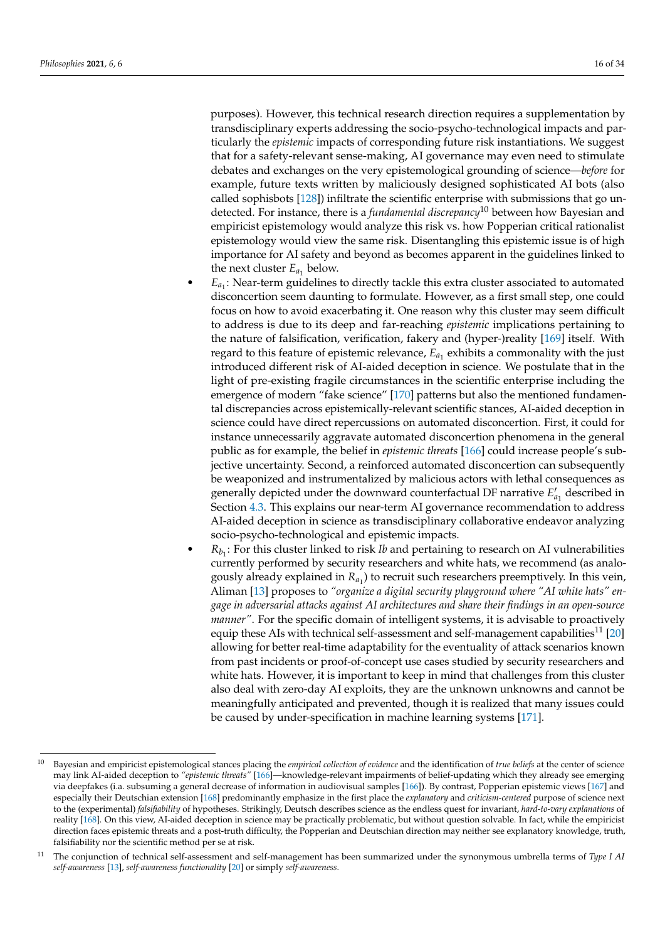purposes). However, this technical research direction requires a supplementation by transdisciplinary experts addressing the socio-psycho-technological impacts and particularly the *epistemic* impacts of corresponding future risk instantiations. We suggest that for a safety-relevant sense-making, AI governance may even need to stimulate debates and exchanges on the very epistemological grounding of science—*before* for example, future texts written by maliciously designed sophisticated AI bots (also called sophisbots [\[128\]](#page-30-18)) infiltrate the scientific enterprise with submissions that go undetected. For instance, there is a *fundamental discrepancy*<sup>10</sup> between how Bayesian and empiricist epistemology would analyze this risk vs. how Popperian critical rationalist epistemology would view the same risk. Disentangling this epistemic issue is of high importance for AI safety and beyond as becomes apparent in the guidelines linked to the next cluster  $E_{a_1}$  below.

- *E*<sub>*a*1</sub>: Near-term guidelines to directly tackle this extra cluster associated to automated disconcertion seem daunting to formulate. However, as a first small step, one could focus on how to avoid exacerbating it. One reason why this cluster may seem difficult to address is due to its deep and far-reaching *epistemic* implications pertaining to the nature of falsification, verification, fakery and (hyper-)reality [\[169\]](#page-31-27) itself. With regard to this feature of epistemic relevance*,*  $E_{a_1}$  exhibits a commonality with the just introduced different risk of AI-aided deception in science. We postulate that in the light of pre-existing fragile circumstances in the scientific enterprise including the emergence of modern "fake science" [\[170\]](#page-31-28) patterns but also the mentioned fundamental discrepancies across epistemically-relevant scientific stances, AI-aided deception in science could have direct repercussions on automated disconcertion. First, it could for instance unnecessarily aggravate automated disconcertion phenomena in the general public as for example, the belief in *epistemic threats* [\[166\]](#page-31-29) could increase people's subjective uncertainty. Second, a reinforced automated disconcertion can subsequently be weaponized and instrumentalized by malicious actors with lethal consequences as generally depicted under the downward counterfactual DF narrative  $E'_{a_1}$  described in Section [4.3.](#page-8-0) This explains our near-term AI governance recommendation to address AI-aided deception in science as transdisciplinary collaborative endeavor analyzing socio-psycho-technological and epistemic impacts.
- $R_{b_1}$ : For this cluster linked to risk *Ib* and pertaining to research on AI vulnerabilities currently performed by security researchers and white hats, we recommend (as analogously already explained in  $R_{a_1}$ ) to recruit such researchers preemptively. In this vein, Aliman [\[13\]](#page-26-8) proposes to *"organize a digital security playground where "AI white hats" engage in adversarial attacks against AI architectures and share their findings in an open-source manner"*. For the specific domain of intelligent systems, it is advisable to proactively equip these AIs with technical self-assessment and self-management capabilities<sup>11</sup> [\[20\]](#page-26-15) allowing for better real-time adaptability for the eventuality of attack scenarios known from past incidents or proof-of-concept use cases studied by security researchers and white hats. However, it is important to keep in mind that challenges from this cluster also deal with zero-day AI exploits, they are the unknown unknowns and cannot be meaningfully anticipated and prevented, though it is realized that many issues could be caused by under-specification in machine learning systems [\[171\]](#page-31-30).

<sup>10</sup> Bayesian and empiricist epistemological stances placing the *empirical collection of evidence* and the identification of *true beliefs* at the center of science may link AI-aided deception to *"epistemic threats"* [\[166\]](#page-31-29)—knowledge-relevant impairments of belief-updating which they already see emerging via deepfakes (i.a. subsuming a general decrease of information in audiovisual samples [\[166\]](#page-31-29)). By contrast, Popperian epistemic views [\[167\]](#page-31-31) and especially their Deutschian extension [\[168\]](#page-31-32) predominantly emphasize in the first place the *explanatory* and *criticism-centered* purpose of science next to the (experimental) *falsifiability* of hypotheses. Strikingly, Deutsch describes science as the endless quest for invariant, *hard-to-vary explanations* of reality [\[168\]](#page-31-32). On this view, AI-aided deception in science may be practically problematic, but without question solvable. In fact, while the empiricist direction faces epistemic threats and a post-truth difficulty, the Popperian and Deutschian direction may neither see explanatory knowledge, truth, falsifiability nor the scientific method per se at risk.

<sup>11</sup> The conjunction of technical self-assessment and self-management has been summarized under the synonymous umbrella terms of *Type I AI self-awareness* [\[13\]](#page-26-8), *self-awareness functionality* [\[20\]](#page-26-15) or simply *self-awareness*.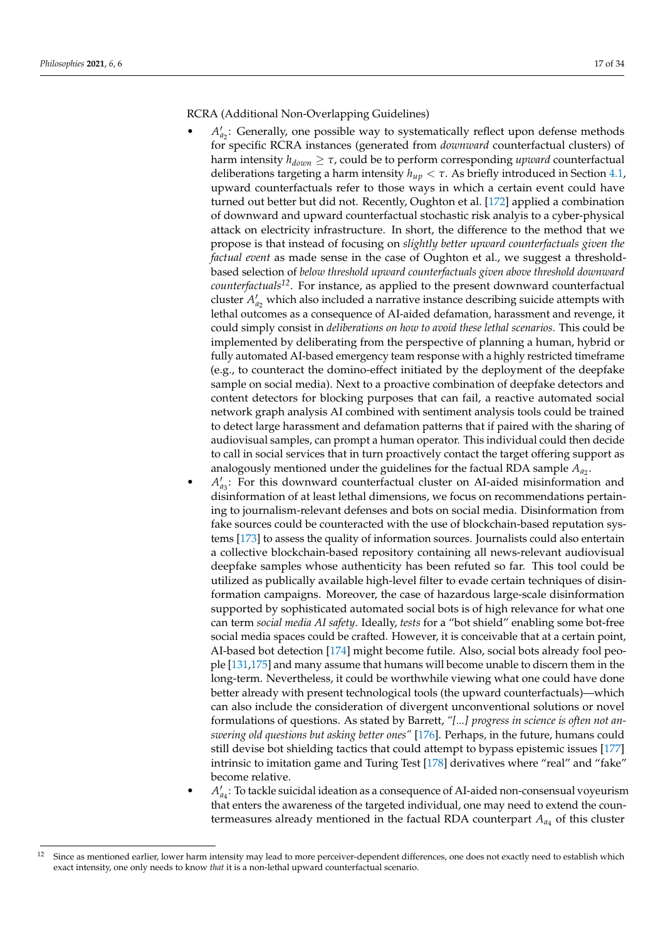## RCRA (Additional Non-Overlapping Guidelines)

- $A'_{a_2}$ : Generally, one possible way to systematically reflect upon defense methods for specific RCRA instances (generated from *downward* counterfactual clusters) of harm intensity  $h_{down} \geq \tau$ , could be to perform corresponding *upward* counterfactual deliberations targeting a harm intensity *hup* < *τ*. As briefly introduced in Section [4.1,](#page-5-1) upward counterfactuals refer to those ways in which a certain event could have turned out better but did not. Recently, Oughton et al. [\[172\]](#page-32-0) applied a combination of downward and upward counterfactual stochastic risk analyis to a cyber-physical attack on electricity infrastructure. In short, the difference to the method that we propose is that instead of focusing on *slightly better upward counterfactuals given the factual event* as made sense in the case of Oughton et al., we suggest a thresholdbased selection of *below threshold upward counterfactuals given above threshold downward counterfactuals12*. For instance, as applied to the present downward counterfactual cluster  $A'_{a_2}$  which also included a narrative instance describing suicide attempts with lethal outcomes as a consequence of AI-aided defamation, harassment and revenge, it could simply consist in *deliberations on how to avoid these lethal scenarios*. This could be implemented by deliberating from the perspective of planning a human, hybrid or fully automated AI-based emergency team response with a highly restricted timeframe (e.g., to counteract the domino-effect initiated by the deployment of the deepfake sample on social media). Next to a proactive combination of deepfake detectors and content detectors for blocking purposes that can fail, a reactive automated social network graph analysis AI combined with sentiment analysis tools could be trained to detect large harassment and defamation patterns that if paired with the sharing of audiovisual samples, can prompt a human operator. This individual could then decide to call in social services that in turn proactively contact the target offering support as analogously mentioned under the guidelines for the factual RDA sample  $A_{a_2}$ .
- $A'_{a_3}$ : For this downward counterfactual cluster on AI-aided misinformation and disinformation of at least lethal dimensions, we focus on recommendations pertaining to journalism-relevant defenses and bots on social media. Disinformation from fake sources could be counteracted with the use of blockchain-based reputation systems [\[173\]](#page-32-1) to assess the quality of information sources. Journalists could also entertain a collective blockchain-based repository containing all news-relevant audiovisual deepfake samples whose authenticity has been refuted so far. This tool could be utilized as publically available high-level filter to evade certain techniques of disinformation campaigns. Moreover, the case of hazardous large-scale disinformation supported by sophisticated automated social bots is of high relevance for what one can term *social media AI safety*. Ideally, *tests* for a "bot shield" enabling some bot-free social media spaces could be crafted. However, it is conceivable that at a certain point, AI-based bot detection [\[174\]](#page-32-2) might become futile. Also, social bots already fool people [\[131](#page-30-21)[,175\]](#page-32-3) and many assume that humans will become unable to discern them in the long-term. Nevertheless, it could be worthwhile viewing what one could have done better already with present technological tools (the upward counterfactuals)—which can also include the consideration of divergent unconventional solutions or novel formulations of questions. As stated by Barrett, *"[...] progress in science is often not answering old questions but asking better ones"* [\[176\]](#page-32-4). Perhaps, in the future, humans could still devise bot shielding tactics that could attempt to bypass epistemic issues [\[177\]](#page-32-5) intrinsic to imitation game and Turing Test [\[178\]](#page-32-6) derivatives where "real" and "fake" become relative.
- $A'_{a_4}$ : To tackle suicidal ideation as a consequence of AI-aided non-consensual voyeurism that enters the awareness of the targeted individual, one may need to extend the countermeasures already mentioned in the factual RDA counterpart  $A_{a_4}$  of this cluster

<sup>&</sup>lt;sup>12</sup> Since as mentioned earlier, lower harm intensity may lead to more perceiver-dependent differences, one does not exactly need to establish which exact intensity, one only needs to know *that* it is a non-lethal upward counterfactual scenario.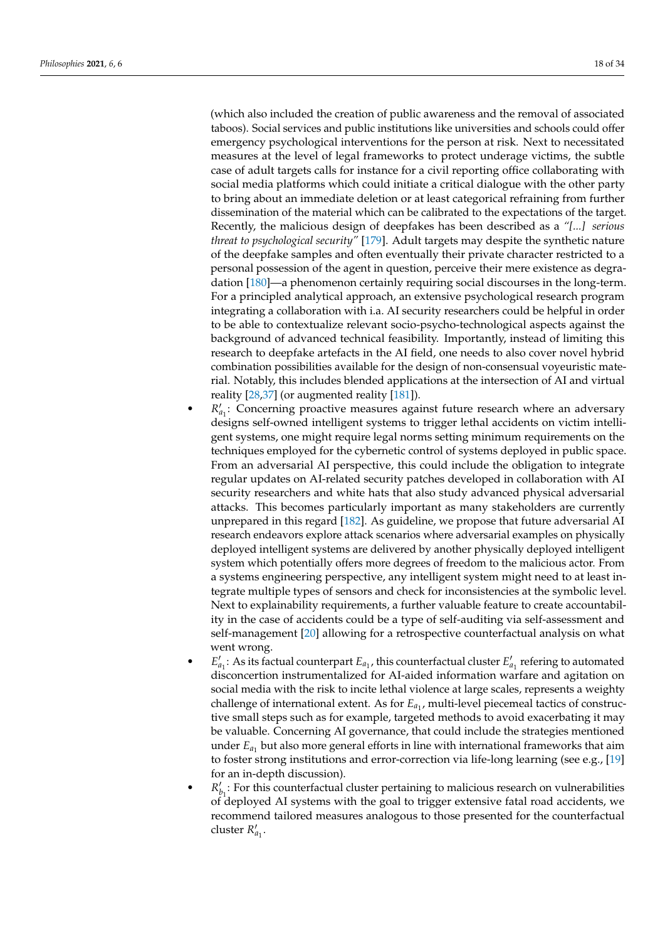(which also included the creation of public awareness and the removal of associated taboos). Social services and public institutions like universities and schools could offer emergency psychological interventions for the person at risk. Next to necessitated measures at the level of legal frameworks to protect underage victims, the subtle case of adult targets calls for instance for a civil reporting office collaborating with social media platforms which could initiate a critical dialogue with the other party to bring about an immediate deletion or at least categorical refraining from further dissemination of the material which can be calibrated to the expectations of the target. Recently, the malicious design of deepfakes has been described as a *"[...] serious threat to psychological security"* [\[179\]](#page-32-7). Adult targets may despite the synthetic nature of the deepfake samples and often eventually their private character restricted to a personal possession of the agent in question, perceive their mere existence as degradation [\[180\]](#page-32-8)—a phenomenon certainly requiring social discourses in the long-term. For a principled analytical approach, an extensive psychological research program integrating a collaboration with i.a. AI security researchers could be helpful in order to be able to contextualize relevant socio-psycho-technological aspects against the background of advanced technical feasibility. Importantly, instead of limiting this research to deepfake artefacts in the AI field, one needs to also cover novel hybrid combination possibilities available for the design of non-consensual voyeuristic material. Notably, this includes blended applications at the intersection of AI and virtual reality [\[28](#page-26-22)[,37\]](#page-27-7) (or augmented reality [\[181\]](#page-32-9)).

- $R'_{a_1}$ : Concerning proactive measures against future research where an adversary designs self-owned intelligent systems to trigger lethal accidents on victim intelligent systems, one might require legal norms setting minimum requirements on the techniques employed for the cybernetic control of systems deployed in public space. From an adversarial AI perspective, this could include the obligation to integrate regular updates on AI-related security patches developed in collaboration with AI security researchers and white hats that also study advanced physical adversarial attacks. This becomes particularly important as many stakeholders are currently unprepared in this regard [\[182\]](#page-32-10). As guideline, we propose that future adversarial AI research endeavors explore attack scenarios where adversarial examples on physically deployed intelligent systems are delivered by another physically deployed intelligent system which potentially offers more degrees of freedom to the malicious actor. From a systems engineering perspective, any intelligent system might need to at least integrate multiple types of sensors and check for inconsistencies at the symbolic level. Next to explainability requirements, a further valuable feature to create accountability in the case of accidents could be a type of self-auditing via self-assessment and self-management [\[20\]](#page-26-15) allowing for a retrospective counterfactual analysis on what went wrong.
- *E*<sub>*a*<sub>1</sub></sub>: As its factual counterpart *E*<sub>*a*<sub>1</sub></sub>, this counterfactual cluster *E*<sub>*a*<sub>1</sub></sub> refering to automated disconcertion instrumentalized for AI-aided information warfare and agitation on social media with the risk to incite lethal violence at large scales, represents a weighty challenge of international extent. As for  $E_{a_1}$ , multi-level piecemeal tactics of constructive small steps such as for example, targeted methods to avoid exacerbating it may be valuable. Concerning AI governance, that could include the strategies mentioned under  $E_{a_1}$  but also more general efforts in line with international frameworks that aim to foster strong institutions and error-correction via life-long learning (see e.g., [\[19\]](#page-26-14) for an in-depth discussion).
- $R'_{b_1}$ : For this counterfactual cluster pertaining to malicious research on vulnerabilities of deployed AI systems with the goal to trigger extensive fatal road accidents, we recommend tailored measures analogous to those presented for the counterfactual cluster  $R'_{a_1}$ .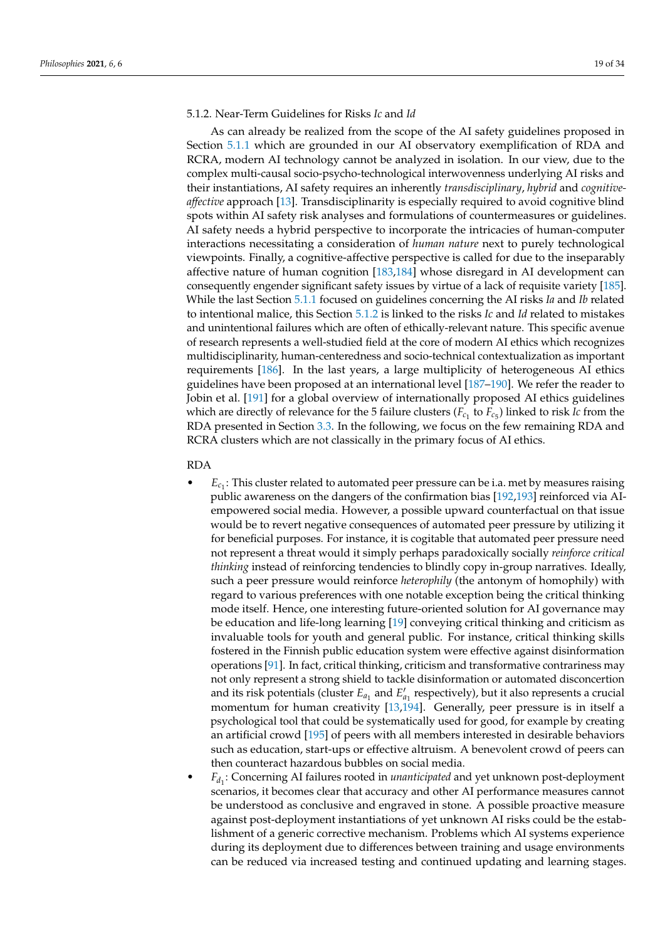## <span id="page-18-0"></span>5.1.2. Near-Term Guidelines for Risks *Ic* and *Id*

As can already be realized from the scope of the AI safety guidelines proposed in Section [5.1.1](#page-12-2) which are grounded in our AI observatory exemplification of RDA and RCRA, modern AI technology cannot be analyzed in isolation. In our view, due to the complex multi-causal socio-psycho-technological interwovenness underlying AI risks and their instantiations, AI safety requires an inherently *transdisciplinary*, *hybrid* and *cognitiveaffective* approach [\[13\]](#page-26-8). Transdisciplinarity is especially required to avoid cognitive blind spots within AI safety risk analyses and formulations of countermeasures or guidelines. AI safety needs a hybrid perspective to incorporate the intricacies of human-computer interactions necessitating a consideration of *human nature* next to purely technological viewpoints. Finally, a cognitive-affective perspective is called for due to the inseparably affective nature of human cognition [\[183,](#page-32-11)[184\]](#page-32-12) whose disregard in AI development can consequently engender significant safety issues by virtue of a lack of requisite variety [\[185\]](#page-32-13). While the last Section [5.1.1](#page-12-2) focused on guidelines concerning the AI risks *Ia* and *Ib* related to intentional malice, this Section [5.1.2](#page-18-0) is linked to the risks *Ic* and *Id* related to mistakes and unintentional failures which are often of ethically-relevant nature. This specific avenue of research represents a well-studied field at the core of modern AI ethics which recognizes multidisciplinarity, human-centeredness and socio-technical contextualization as important requirements [\[186\]](#page-32-14). In the last years, a large multiplicity of heterogeneous AI ethics guidelines have been proposed at an international level [\[187](#page-32-15)[–190\]](#page-32-16). We refer the reader to Jobin et al. [\[191\]](#page-32-17) for a global overview of internationally proposed AI ethics guidelines which are directly of relevance for the 5 failure clusters ( $F_{c_1}$  to  $F_{c_5}$ ) linked to risk *Ic* from the RDA presented in Section [3.3.](#page-4-0) In the following, we focus on the few remaining RDA and RCRA clusters which are not classically in the primary focus of AI ethics.

## RDA

- $\bullet$   $E_{c_1}$ : This cluster related to automated peer pressure can be i.a. met by measures raising public awareness on the dangers of the confirmation bias [\[192](#page-32-18)[,193\]](#page-32-19) reinforced via AIempowered social media. However, a possible upward counterfactual on that issue would be to revert negative consequences of automated peer pressure by utilizing it for beneficial purposes. For instance, it is cogitable that automated peer pressure need not represent a threat would it simply perhaps paradoxically socially *reinforce critical thinking* instead of reinforcing tendencies to blindly copy in-group narratives. Ideally, such a peer pressure would reinforce *heterophily* (the antonym of homophily) with regard to various preferences with one notable exception being the critical thinking mode itself. Hence, one interesting future-oriented solution for AI governance may be education and life-long learning [\[19\]](#page-26-14) conveying critical thinking and criticism as invaluable tools for youth and general public. For instance, critical thinking skills fostered in the Finnish public education system were effective against disinformation operations [\[91\]](#page-29-10). In fact, critical thinking, criticism and transformative contrariness may not only represent a strong shield to tackle disinformation or automated disconcertion and its risk potentials (cluster  $E_{a_1}$  and  $E'_{a_1}$  respectively), but it also represents a crucial momentum for human creativity [\[13](#page-26-8)[,194\]](#page-32-20). Generally, peer pressure is in itself a psychological tool that could be systematically used for good, for example by creating an artificial crowd [\[195\]](#page-32-21) of peers with all members interested in desirable behaviors such as education, start-ups or effective altruism. A benevolent crowd of peers can then counteract hazardous bubbles on social media.
- *F*<sub>d<sub>1</sub>: Concerning AI failures rooted in *unanticipated* and yet unknown post-deployment</sub> scenarios, it becomes clear that accuracy and other AI performance measures cannot be understood as conclusive and engraved in stone. A possible proactive measure against post-deployment instantiations of yet unknown AI risks could be the establishment of a generic corrective mechanism. Problems which AI systems experience during its deployment due to differences between training and usage environments can be reduced via increased testing and continued updating and learning stages.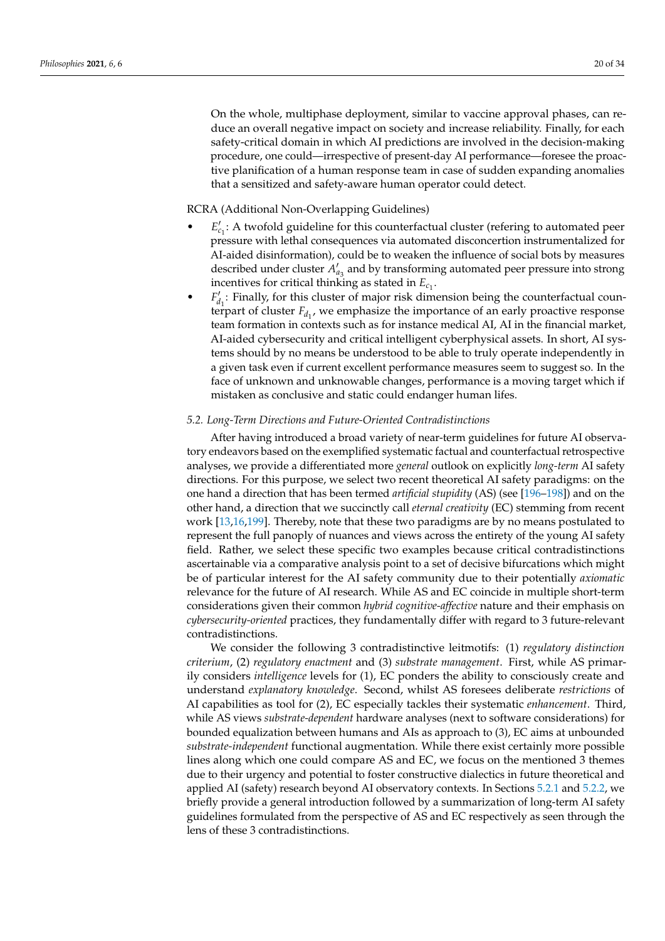On the whole, multiphase deployment, similar to vaccine approval phases, can reduce an overall negative impact on society and increase reliability. Finally, for each safety-critical domain in which AI predictions are involved in the decision-making procedure, one could—irrespective of present-day AI performance—foresee the proactive planification of a human response team in case of sudden expanding anomalies that a sensitized and safety-aware human operator could detect.

RCRA (Additional Non-Overlapping Guidelines)

- $\bullet$   $E'_{c_1}$ : A twofold guideline for this counterfactual cluster (refering to automated peer pressure with lethal consequences via automated disconcertion instrumentalized for AI-aided disinformation), could be to weaken the influence of social bots by measures described under cluster  $A'_{a_3}$  and by transforming automated peer pressure into strong incentives for critical thinking as stated in  $E_{c_1}$ .
- $F'_{d_1}$ : Finally, for this cluster of major risk dimension being the counterfactual counterpart of cluster  $F_{d_1}$ , we emphasize the importance of an early proactive response team formation in contexts such as for instance medical AI, AI in the financial market, AI-aided cybersecurity and critical intelligent cyberphysical assets. In short, AI systems should by no means be understood to be able to truly operate independently in a given task even if current excellent performance measures seem to suggest so. In the face of unknown and unknowable changes, performance is a moving target which if mistaken as conclusive and static could endanger human lifes.

## <span id="page-19-0"></span>*5.2. Long-Term Directions and Future-Oriented Contradistinctions*

After having introduced a broad variety of near-term guidelines for future AI observatory endeavors based on the exemplified systematic factual and counterfactual retrospective analyses, we provide a differentiated more *general* outlook on explicitly *long-term* AI safety directions. For this purpose, we select two recent theoretical AI safety paradigms: on the one hand a direction that has been termed *artificial stupidity* (AS) (see [\[196](#page-32-22)[–198\]](#page-32-23)) and on the other hand, a direction that we succinctly call *eternal creativity* (EC) stemming from recent work [\[13](#page-26-8)[,16](#page-26-11)[,199\]](#page-32-24). Thereby, note that these two paradigms are by no means postulated to represent the full panoply of nuances and views across the entirety of the young AI safety field. Rather, we select these specific two examples because critical contradistinctions ascertainable via a comparative analysis point to a set of decisive bifurcations which might be of particular interest for the AI safety community due to their potentially *axiomatic* relevance for the future of AI research. While AS and EC coincide in multiple short-term considerations given their common *hybrid cognitive-affective* nature and their emphasis on *cybersecurity-oriented* practices, they fundamentally differ with regard to 3 future-relevant contradistinctions.

We consider the following 3 contradistinctive leitmotifs: (1) *regulatory distinction criterium*, (2) *regulatory enactment* and (3) *substrate management*. First, while AS primarily considers *intelligence* levels for (1), EC ponders the ability to consciously create and understand *explanatory knowledge*. Second, whilst AS foresees deliberate *restrictions* of AI capabilities as tool for (2), EC especially tackles their systematic *enhancement*. Third, while AS views *substrate-dependent* hardware analyses (next to software considerations) for bounded equalization between humans and AIs as approach to (3), EC aims at unbounded *substrate-independent* functional augmentation. While there exist certainly more possible lines along which one could compare AS and EC, we focus on the mentioned 3 themes due to their urgency and potential to foster constructive dialectics in future theoretical and applied AI (safety) research beyond AI observatory contexts. In Sections [5.2.1](#page-20-0) and [5.2.2,](#page-21-0) we briefly provide a general introduction followed by a summarization of long-term AI safety guidelines formulated from the perspective of AS and EC respectively as seen through the lens of these 3 contradistinctions.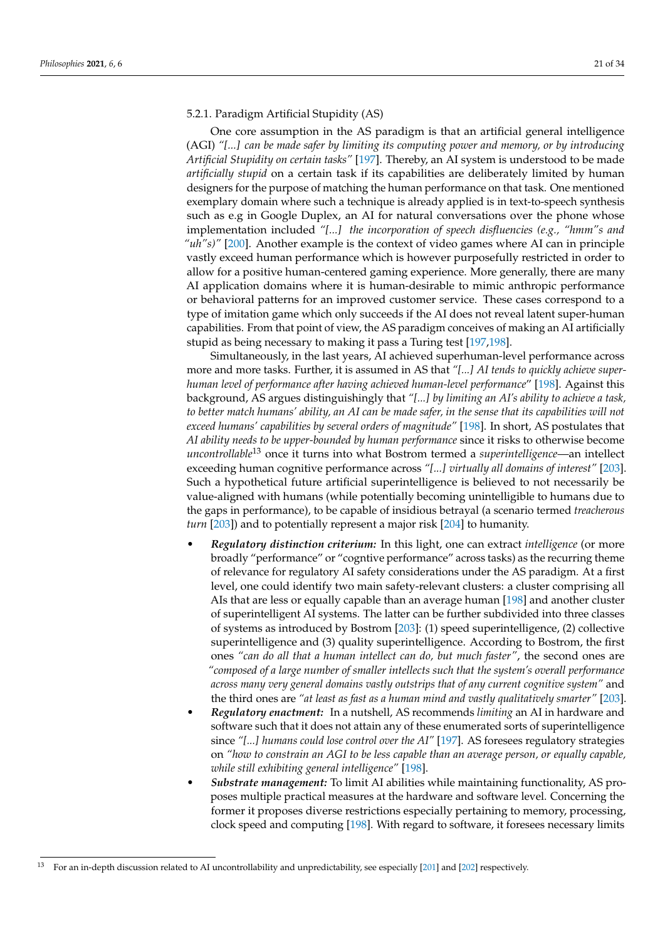## <span id="page-20-0"></span>5.2.1. Paradigm Artificial Stupidity (AS)

One core assumption in the AS paradigm is that an artificial general intelligence (AGI) *"[...] can be made safer by limiting its computing power and memory, or by introducing Artificial Stupidity on certain tasks"* [\[197\]](#page-32-25). Thereby, an AI system is understood to be made *artificially stupid* on a certain task if its capabilities are deliberately limited by human designers for the purpose of matching the human performance on that task. One mentioned exemplary domain where such a technique is already applied is in text-to-speech synthesis such as e.g in Google Duplex, an AI for natural conversations over the phone whose implementation included *"[...] the incorporation of speech disfluencies (e.g., "hmm"s and "uh"s)"* [\[200\]](#page-32-26). Another example is the context of video games where AI can in principle vastly exceed human performance which is however purposefully restricted in order to allow for a positive human-centered gaming experience. More generally, there are many AI application domains where it is human-desirable to mimic anthropic performance or behavioral patterns for an improved customer service. These cases correspond to a type of imitation game which only succeeds if the AI does not reveal latent super-human capabilities. From that point of view, the AS paradigm conceives of making an AI artificially stupid as being necessary to making it pass a Turing test [\[197](#page-32-25)[,198\]](#page-32-23).

Simultaneously, in the last years, AI achieved superhuman-level performance across more and more tasks. Further, it is assumed in AS that *"[...] AI tends to quickly achieve superhuman level of performance after having achieved human-level performance*" [\[198\]](#page-32-23). Against this background, AS argues distinguishingly that *"[...] by limiting an AI's ability to achieve a task, to better match humans' ability, an AI can be made safer, in the sense that its capabilities will not exceed humans' capabilities by several orders of magnitude"* [\[198\]](#page-32-23). In short, AS postulates that *AI ability needs to be upper-bounded by human performance* since it risks to otherwise become *uncontrollable*<sup>13</sup> once it turns into what Bostrom termed a *superintelligence*—an intellect exceeding human cognitive performance across *"[...] virtually all domains of interest"* [\[203\]](#page-32-27). Such a hypothetical future artificial superintelligence is believed to not necessarily be value-aligned with humans (while potentially becoming unintelligible to humans due to the gaps in performance), to be capable of insidious betrayal (a scenario termed *treacherous turn* [\[203\]](#page-32-27)) and to potentially represent a major risk [\[204\]](#page-32-28) to humanity.

- *Regulatory distinction criterium:* In this light, one can extract *intelligence* (or more broadly "performance" or "cogntive performance" across tasks) as the recurring theme of relevance for regulatory AI safety considerations under the AS paradigm. At a first level, one could identify two main safety-relevant clusters: a cluster comprising all AIs that are less or equally capable than an average human [\[198\]](#page-32-23) and another cluster of superintelligent AI systems. The latter can be further subdivided into three classes of systems as introduced by Bostrom [\[203\]](#page-32-27): (1) speed superintelligence, (2) collective superintelligence and (3) quality superintelligence. According to Bostrom, the first ones *"can do all that a human intellect can do, but much faster"*, the second ones are *"composed of a large number of smaller intellects such that the system's overall performance across many very general domains vastly outstrips that of any current cognitive system"* and the third ones are *"at least as fast as a human mind and vastly qualitatively smarter"* [\[203\]](#page-32-27).
- *Regulatory enactment:* In a nutshell, AS recommends *limiting* an AI in hardware and software such that it does not attain any of these enumerated sorts of superintelligence since *"[...] humans could lose control over the AI"* [\[197\]](#page-32-25). AS foresees regulatory strategies on *"how to constrain an AGI to be less capable than an average person, or equally capable, while still exhibiting general intelligence"* [\[198\]](#page-32-23).
- *Substrate management:* To limit AI abilities while maintaining functionality, AS proposes multiple practical measures at the hardware and software level. Concerning the former it proposes diverse restrictions especially pertaining to memory, processing, clock speed and computing [\[198\]](#page-32-23). With regard to software, it foresees necessary limits

<sup>13</sup> For an in-depth discussion related to AI uncontrollability and unpredictability, see especially [\[201\]](#page-32-29) and [\[202\]](#page-32-30) respectively.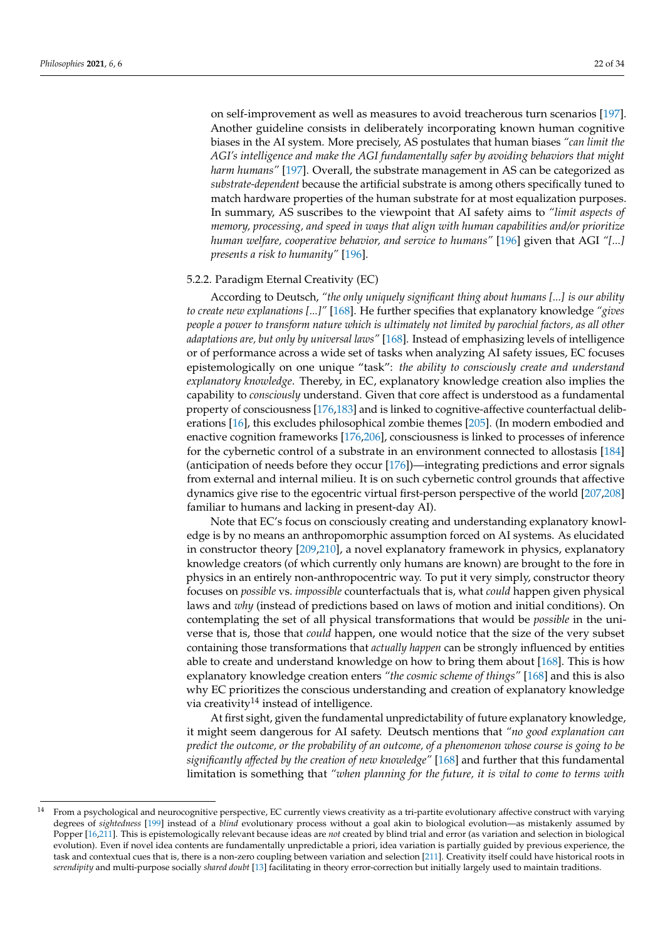on self-improvement as well as measures to avoid treacherous turn scenarios [\[197\]](#page-32-25). Another guideline consists in deliberately incorporating known human cognitive biases in the AI system. More precisely, AS postulates that human biases *"can limit the AGI's intelligence and make the AGI fundamentally safer by avoiding behaviors that might harm humans"* [\[197\]](#page-32-25). Overall, the substrate management in AS can be categorized as *substrate-dependent* because the artificial substrate is among others specifically tuned to match hardware properties of the human substrate for at most equalization purposes. In summary, AS suscribes to the viewpoint that AI safety aims to *"limit aspects of memory, processing, and speed in ways that align with human capabilities and/or prioritize human welfare, cooperative behavior, and service to humans"* [\[196\]](#page-32-22) given that AGI *"[...] presents a risk to humanity"* [\[196\]](#page-32-22).

## <span id="page-21-0"></span>5.2.2. Paradigm Eternal Creativity (EC)

According to Deutsch, *"the only uniquely significant thing about humans [...] is our ability to create new explanations [...]"* [\[168\]](#page-31-32). He further specifies that explanatory knowledge *"gives people a power to transform nature which is ultimately not limited by parochial factors, as all other adaptations are, but only by universal laws"* [\[168\]](#page-31-32). Instead of emphasizing levels of intelligence or of performance across a wide set of tasks when analyzing AI safety issues, EC focuses epistemologically on one unique "task": *the ability to consciously create and understand explanatory knowledge*. Thereby, in EC, explanatory knowledge creation also implies the capability to *consciously* understand. Given that core affect is understood as a fundamental property of consciousness [\[176](#page-32-4)[,183\]](#page-32-11) and is linked to cognitive-affective counterfactual deliberations [\[16\]](#page-26-11), this excludes philosophical zombie themes [\[205\]](#page-32-31). (In modern embodied and enactive cognition frameworks [\[176](#page-32-4)[,206\]](#page-33-0), consciousness is linked to processes of inference for the cybernetic control of a substrate in an environment connected to allostasis [\[184\]](#page-32-12) (anticipation of needs before they occur [\[176\]](#page-32-4))—integrating predictions and error signals from external and internal milieu. It is on such cybernetic control grounds that affective dynamics give rise to the egocentric virtual first-person perspective of the world [\[207,](#page-33-1)[208\]](#page-33-2) familiar to humans and lacking in present-day AI).

Note that EC's focus on consciously creating and understanding explanatory knowledge is by no means an anthropomorphic assumption forced on AI systems. As elucidated in constructor theory [\[209](#page-33-3)[,210\]](#page-33-4), a novel explanatory framework in physics, explanatory knowledge creators (of which currently only humans are known) are brought to the fore in physics in an entirely non-anthropocentric way. To put it very simply, constructor theory focuses on *possible* vs. *impossible* counterfactuals that is, what *could* happen given physical laws and *why* (instead of predictions based on laws of motion and initial conditions). On contemplating the set of all physical transformations that would be *possible* in the universe that is, those that *could* happen, one would notice that the size of the very subset containing those transformations that *actually happen* can be strongly influenced by entities able to create and understand knowledge on how to bring them about [\[168\]](#page-31-32). This is how explanatory knowledge creation enters *"the cosmic scheme of things"* [\[168\]](#page-31-32) and this is also why EC prioritizes the conscious understanding and creation of explanatory knowledge via creativity<sup>14</sup> instead of intelligence.

At first sight, given the fundamental unpredictability of future explanatory knowledge, it might seem dangerous for AI safety. Deutsch mentions that *"no good explanation can predict the outcome, or the probability of an outcome, of a phenomenon whose course is going to be significantly affected by the creation of new knowledge"* [\[168\]](#page-31-32) and further that this fundamental limitation is something that *"when planning for the future, it is vital to come to terms with*

 $14$  From a psychological and neurocognitive perspective, EC currently views creativity as a tri-partite evolutionary affective construct with varying degrees of *sightedness* [\[199\]](#page-32-24) instead of a *blind* evolutionary process without a goal akin to biological evolution—as mistakenly assumed by Popper [\[16,](#page-26-11)[211\]](#page-33-5). This is epistemologically relevant because ideas are *not* created by blind trial and error (as variation and selection in biological evolution). Even if novel idea contents are fundamentally unpredictable a priori, idea variation is partially guided by previous experience, the task and contextual cues that is, there is a non-zero coupling between variation and selection [\[211\]](#page-33-5). Creativity itself could have historical roots in *serendipity* and multi-purpose socially *shared doubt* [\[13\]](#page-26-8) facilitating in theory error-correction but initially largely used to maintain traditions.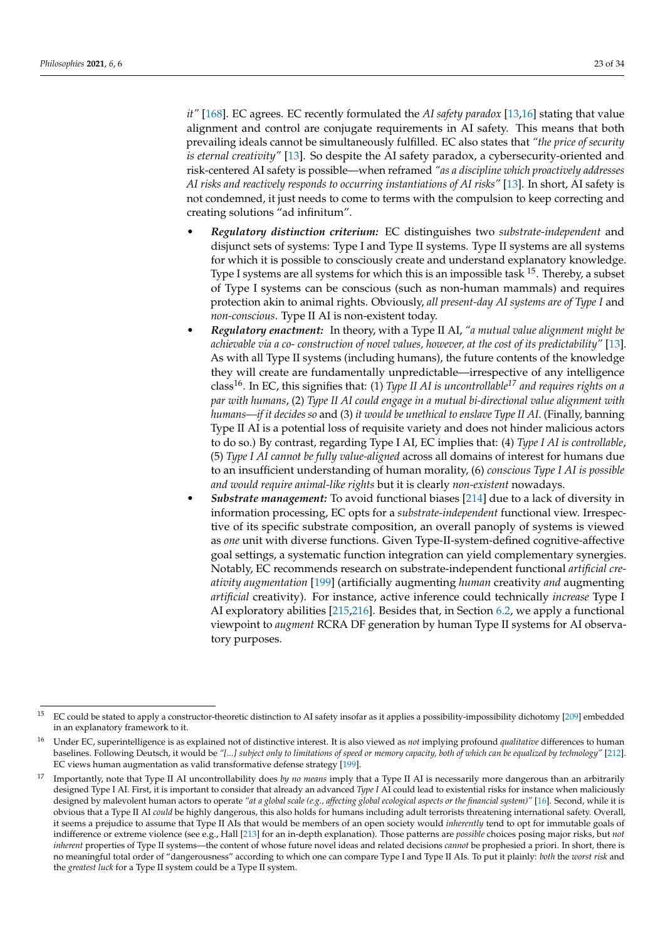*it"* [\[168\]](#page-31-32). EC agrees. EC recently formulated the *AI safety paradox* [\[13,](#page-26-8)[16\]](#page-26-11) stating that value alignment and control are conjugate requirements in AI safety. This means that both prevailing ideals cannot be simultaneously fulfilled. EC also states that *"the price of security is eternal creativity"* [\[13\]](#page-26-8). So despite the AI safety paradox, a cybersecurity-oriented and risk-centered AI safety is possible—when reframed *"as a discipline which proactively addresses AI risks and reactively responds to occurring instantiations of AI risks"* [\[13\]](#page-26-8). In short, AI safety is not condemned, it just needs to come to terms with the compulsion to keep correcting and creating solutions "ad infinitum".

- *Regulatory distinction criterium:* EC distinguishes two *substrate-independent* and disjunct sets of systems: Type I and Type II systems. Type II systems are all systems for which it is possible to consciously create and understand explanatory knowledge. Type I systems are all systems for which this is an impossible task  $15$ . Thereby, a subset of Type I systems can be conscious (such as non-human mammals) and requires protection akin to animal rights. Obviously, *all present-day AI systems are of Type I* and *non-conscious*. Type II AI is non-existent today.
- *Regulatory enactment:* In theory, with a Type II AI, *"a mutual value alignment might be achievable via a co- construction of novel values, however, at the cost of its predictability"* [\[13\]](#page-26-8). As with all Type II systems (including humans), the future contents of the knowledge they will create are fundamentally unpredictable—irrespective of any intelligence class16. In EC, this signifies that: (1) *Type II AI is uncontrollable<sup>17</sup> and requires rights on a par with humans*, (2) *Type II AI could engage in a mutual bi-directional value alignment with humans—if it decides so* and (3) *it would be unethical to enslave Type II AI*. (Finally, banning Type II AI is a potential loss of requisite variety and does not hinder malicious actors to do so.) By contrast, regarding Type I AI, EC implies that: (4) *Type I AI is controllable*, (5) *Type I AI cannot be fully value-aligned* across all domains of interest for humans due to an insufficient understanding of human morality, (6) *conscious Type I AI is possible and would require animal-like rights* but it is clearly *non-existent* nowadays.
- *Substrate management:* To avoid functional biases [\[214\]](#page-33-6) due to a lack of diversity in information processing, EC opts for a *substrate-independent* functional view. Irrespective of its specific substrate composition, an overall panoply of systems is viewed as *one* unit with diverse functions. Given Type-II-system-defined cognitive-affective goal settings, a systematic function integration can yield complementary synergies. Notably, EC recommends research on substrate-independent functional *artificial creativity augmentation* [\[199\]](#page-32-24) (artificially augmenting *human* creativity *and* augmenting *artificial* creativity). For instance, active inference could technically *increase* Type I AI exploratory abilities [\[215](#page-33-7)[,216\]](#page-33-8). Besides that, in Section [6.2,](#page-23-1) we apply a functional viewpoint to *augment* RCRA DF generation by human Type II systems for AI observatory purposes.

<sup>&</sup>lt;sup>15</sup> EC could be stated to apply a constructor-theoretic distinction to AI safety insofar as it applies a possibility-impossibility dichotomy [\[209\]](#page-33-3) embedded in an explanatory framework to it.

<sup>16</sup> Under EC, superintelligence is as explained not of distinctive interest. It is also viewed as *not* implying profound *qualitative* differences to human baselines. Following Deutsch, it would be *"[...] subject only to limitations of speed or memory capacity, both of which can be equalized by technology"* [\[212\]](#page-33-9). EC views human augmentation as valid transformative defense strategy [\[199\]](#page-32-24).

<sup>17</sup> Importantly, note that Type II AI uncontrollability does *by no means* imply that a Type II AI is necessarily more dangerous than an arbitrarily designed Type I AI. First, it is important to consider that already an advanced *Type I* AI could lead to existential risks for instance when maliciously designed by malevolent human actors to operate *"at a global scale (e.g., affecting global ecological aspects or the financial system)"* [\[16\]](#page-26-11). Second, while it is obvious that a Type II AI *could* be highly dangerous, this also holds for humans including adult terrorists threatening international safety. Overall, it seems a prejudice to assume that Type II AIs that would be members of an open society would *inherently* tend to opt for immutable goals of indifference or extreme violence (see e.g., Hall [\[213\]](#page-33-10) for an in-depth explanation). Those patterns are *possible* choices posing major risks, but *not inherent* properties of Type II systems—the content of whose future novel ideas and related decisions *cannot* be prophesied a priori. In short, there is no meaningful total order of "dangerousness" according to which one can compare Type I and Type II AIs. To put it plainly: *both* the *worst risk* and the *greatest luck* for a Type II system could be a Type II system.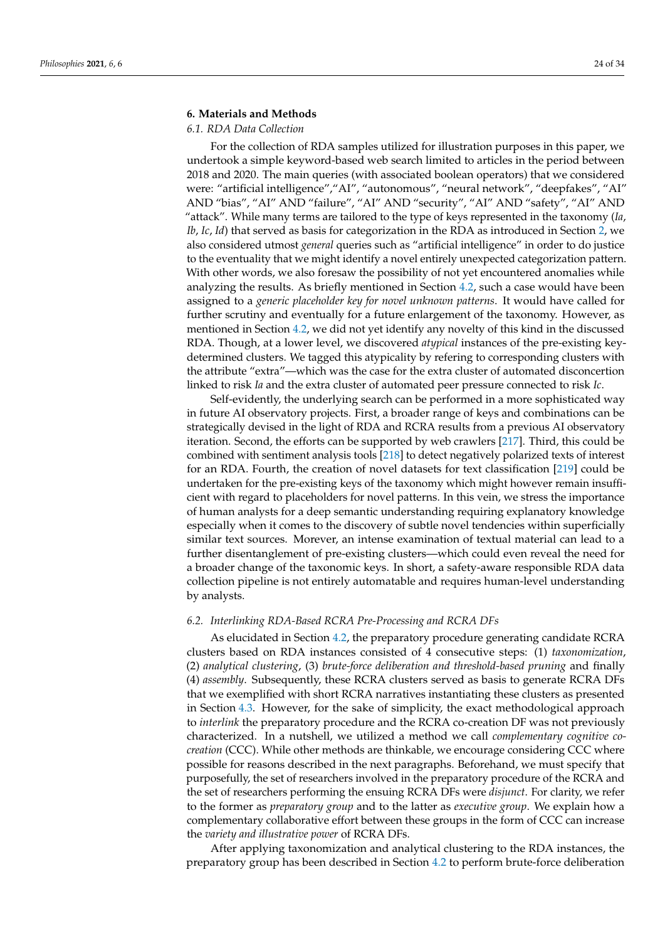## <span id="page-23-0"></span>**6. Materials and Methods**

## *6.1. RDA Data Collection*

For the collection of RDA samples utilized for illustration purposes in this paper, we undertook a simple keyword-based web search limited to articles in the period between 2018 and 2020. The main queries (with associated boolean operators) that we considered were: "artificial intelligence","AI", "autonomous", "neural network", "deepfakes", "AI" AND "bias", "AI" AND "failure", "AI" AND "security", "AI" AND "safety", "AI" AND "attack". While many terms are tailored to the type of keys represented in the taxonomy (*Ia*, *Ib*, *Ic*, *Id*) that served as basis for categorization in the RDA as introduced in Section [2,](#page-1-0) we also considered utmost *general* queries such as "artificial intelligence" in order to do justice to the eventuality that we might identify a novel entirely unexpected categorization pattern. With other words, we also foresaw the possibility of not yet encountered anomalies while analyzing the results. As briefly mentioned in Section [4.2,](#page-6-0) such a case would have been assigned to a *generic placeholder key for novel unknown patterns*. It would have called for further scrutiny and eventually for a future enlargement of the taxonomy. However, as mentioned in Section [4.2,](#page-6-0) we did not yet identify any novelty of this kind in the discussed RDA. Though, at a lower level, we discovered *atypical* instances of the pre-existing keydetermined clusters. We tagged this atypicality by refering to corresponding clusters with the attribute "extra"—which was the case for the extra cluster of automated disconcertion linked to risk *Ia* and the extra cluster of automated peer pressure connected to risk *Ic*.

Self-evidently, the underlying search can be performed in a more sophisticated way in future AI observatory projects. First, a broader range of keys and combinations can be strategically devised in the light of RDA and RCRA results from a previous AI observatory iteration. Second, the efforts can be supported by web crawlers [\[217\]](#page-33-11). Third, this could be combined with sentiment analysis tools [\[218\]](#page-33-12) to detect negatively polarized texts of interest for an RDA. Fourth, the creation of novel datasets for text classification [\[219\]](#page-33-13) could be undertaken for the pre-existing keys of the taxonomy which might however remain insufficient with regard to placeholders for novel patterns. In this vein, we stress the importance of human analysts for a deep semantic understanding requiring explanatory knowledge especially when it comes to the discovery of subtle novel tendencies within superficially similar text sources. Morever, an intense examination of textual material can lead to a further disentanglement of pre-existing clusters—which could even reveal the need for a broader change of the taxonomic keys. In short, a safety-aware responsible RDA data collection pipeline is not entirely automatable and requires human-level understanding by analysts.

#### <span id="page-23-1"></span>*6.2. Interlinking RDA-Based RCRA Pre-Processing and RCRA DFs*

As elucidated in Section [4.2,](#page-6-0) the preparatory procedure generating candidate RCRA clusters based on RDA instances consisted of 4 consecutive steps: (1) *taxonomization*, (2) *analytical clustering*, (3) *brute-force deliberation and threshold-based pruning* and finally (4) *assembly*. Subsequently, these RCRA clusters served as basis to generate RCRA DFs that we exemplified with short RCRA narratives instantiating these clusters as presented in Section [4.3.](#page-8-0) However, for the sake of simplicity, the exact methodological approach to *interlink* the preparatory procedure and the RCRA co-creation DF was not previously characterized. In a nutshell, we utilized a method we call *complementary cognitive cocreation* (CCC). While other methods are thinkable, we encourage considering CCC where possible for reasons described in the next paragraphs. Beforehand, we must specify that purposefully, the set of researchers involved in the preparatory procedure of the RCRA and the set of researchers performing the ensuing RCRA DFs were *disjunct*. For clarity, we refer to the former as *preparatory group* and to the latter as *executive group*. We explain how a complementary collaborative effort between these groups in the form of CCC can increase the *variety and illustrative power* of RCRA DFs.

After applying taxonomization and analytical clustering to the RDA instances, the preparatory group has been described in Section [4.2](#page-6-0) to perform brute-force deliberation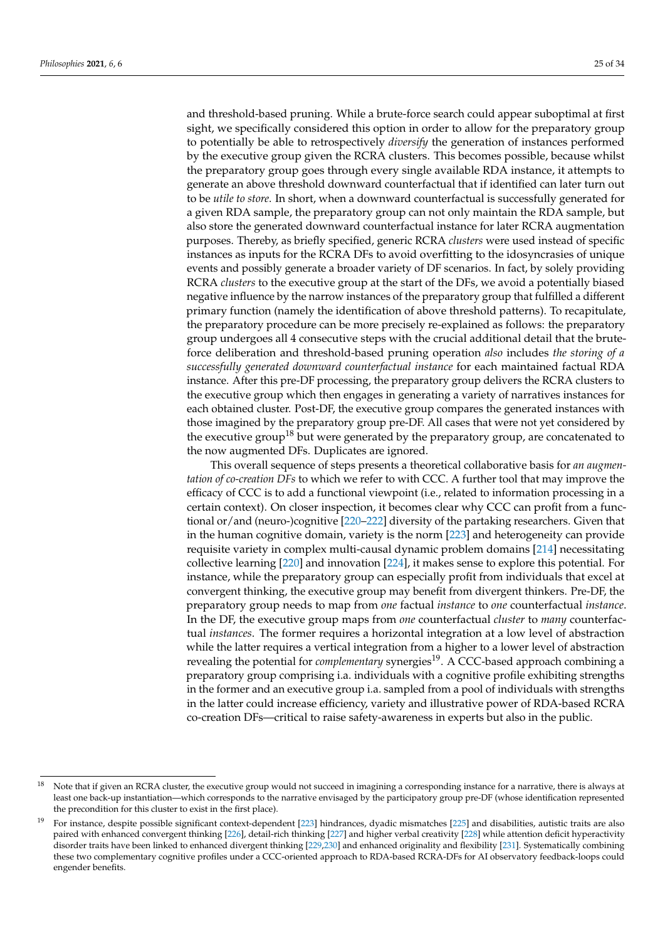and threshold-based pruning. While a brute-force search could appear suboptimal at first sight, we specifically considered this option in order to allow for the preparatory group to potentially be able to retrospectively *diversify* the generation of instances performed by the executive group given the RCRA clusters. This becomes possible, because whilst the preparatory group goes through every single available RDA instance, it attempts to generate an above threshold downward counterfactual that if identified can later turn out to be *utile to store*. In short, when a downward counterfactual is successfully generated for a given RDA sample, the preparatory group can not only maintain the RDA sample, but also store the generated downward counterfactual instance for later RCRA augmentation purposes. Thereby, as briefly specified, generic RCRA *clusters* were used instead of specific instances as inputs for the RCRA DFs to avoid overfitting to the idosyncrasies of unique events and possibly generate a broader variety of DF scenarios. In fact, by solely providing RCRA *clusters* to the executive group at the start of the DFs, we avoid a potentially biased negative influence by the narrow instances of the preparatory group that fulfilled a different primary function (namely the identification of above threshold patterns). To recapitulate, the preparatory procedure can be more precisely re-explained as follows: the preparatory group undergoes all 4 consecutive steps with the crucial additional detail that the bruteforce deliberation and threshold-based pruning operation *also* includes *the storing of a successfully generated downward counterfactual instance* for each maintained factual RDA instance. After this pre-DF processing, the preparatory group delivers the RCRA clusters to the executive group which then engages in generating a variety of narratives instances for each obtained cluster. Post-DF, the executive group compares the generated instances with those imagined by the preparatory group pre-DF. All cases that were not yet considered by the executive group<sup>18</sup> but were generated by the preparatory group, are concatenated to the now augmented DFs. Duplicates are ignored.

This overall sequence of steps presents a theoretical collaborative basis for *an augmentation of co-creation DFs* to which we refer to with CCC. A further tool that may improve the efficacy of CCC is to add a functional viewpoint (i.e., related to information processing in a certain context). On closer inspection, it becomes clear why CCC can profit from a functional or/and (neuro-)cognitive [\[220](#page-33-14)[–222\]](#page-33-15) diversity of the partaking researchers. Given that in the human cognitive domain, variety is the norm [\[223\]](#page-33-16) and heterogeneity can provide requisite variety in complex multi-causal dynamic problem domains [\[214\]](#page-33-6) necessitating collective learning [\[220\]](#page-33-14) and innovation [\[224\]](#page-33-17), it makes sense to explore this potential. For instance, while the preparatory group can especially profit from individuals that excel at convergent thinking, the executive group may benefit from divergent thinkers. Pre-DF, the preparatory group needs to map from *one* factual *instance* to *one* counterfactual *instance*. In the DF, the executive group maps from *one* counterfactual *cluster* to *many* counterfactual *instances*. The former requires a horizontal integration at a low level of abstraction while the latter requires a vertical integration from a higher to a lower level of abstraction revealing the potential for *complementary* synergies<sup>19</sup>. A CCC-based approach combining a preparatory group comprising i.a. individuals with a cognitive profile exhibiting strengths in the former and an executive group i.a. sampled from a pool of individuals with strengths in the latter could increase efficiency, variety and illustrative power of RDA-based RCRA co-creation DFs—critical to raise safety-awareness in experts but also in the public.

Note that if given an RCRA cluster, the executive group would not succeed in imagining a corresponding instance for a narrative, there is always at least one back-up instantiation—which corresponds to the narrative envisaged by the participatory group pre-DF (whose identification represented the precondition for this cluster to exist in the first place).

<sup>19</sup> For instance, despite possible significant context-dependent [\[223\]](#page-33-16) hindrances, dyadic mismatches [\[225\]](#page-33-18) and disabilities, autistic traits are also paired with enhanced convergent thinking [\[226\]](#page-33-19), detail-rich thinking [\[227\]](#page-33-20) and higher verbal creativity [\[228\]](#page-33-21) while attention deficit hyperactivity disorder traits have been linked to enhanced divergent thinking [\[229](#page-33-22)[,230\]](#page-33-23) and enhanced originality and flexibility [\[231\]](#page-33-24). Systematically combining these two complementary cognitive profiles under a CCC-oriented approach to RDA-based RCRA-DFs for AI observatory feedback-loops could engender benefits.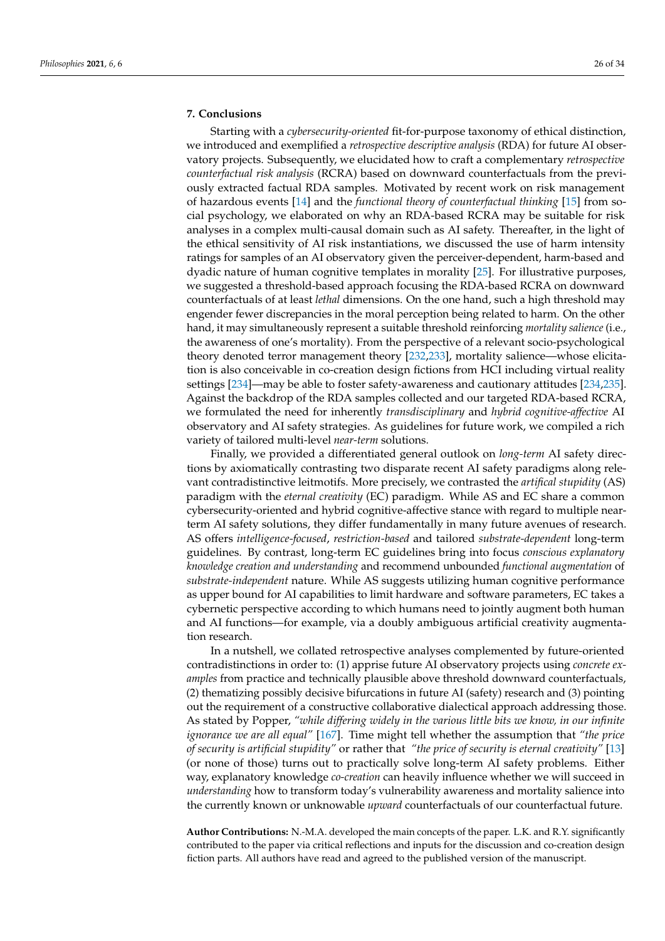## <span id="page-25-0"></span>**7. Conclusions**

Starting with a *cybersecurity-oriented* fit-for-purpose taxonomy of ethical distinction, we introduced and exemplified a *retrospective descriptive analysis* (RDA) for future AI observatory projects. Subsequently, we elucidated how to craft a complementary *retrospective counterfactual risk analysis* (RCRA) based on downward counterfactuals from the previously extracted factual RDA samples. Motivated by recent work on risk management of hazardous events [\[14\]](#page-26-9) and the *functional theory of counterfactual thinking* [\[15\]](#page-26-10) from social psychology, we elaborated on why an RDA-based RCRA may be suitable for risk analyses in a complex multi-causal domain such as AI safety. Thereafter, in the light of the ethical sensitivity of AI risk instantiations, we discussed the use of harm intensity ratings for samples of an AI observatory given the perceiver-dependent, harm-based and dyadic nature of human cognitive templates in morality [\[25\]](#page-26-19). For illustrative purposes, we suggested a threshold-based approach focusing the RDA-based RCRA on downward counterfactuals of at least *lethal* dimensions. On the one hand, such a high threshold may engender fewer discrepancies in the moral perception being related to harm. On the other hand, it may simultaneously represent a suitable threshold reinforcing *mortality salience* (i.e., the awareness of one's mortality). From the perspective of a relevant socio-psychological theory denoted terror management theory [\[232](#page-33-25)[,233\]](#page-33-26), mortality salience—whose elicitation is also conceivable in co-creation design fictions from HCI including virtual reality settings [\[234\]](#page-33-27)—may be able to foster safety-awareness and cautionary attitudes [\[234,](#page-33-27)[235\]](#page-33-28). Against the backdrop of the RDA samples collected and our targeted RDA-based RCRA, we formulated the need for inherently *transdisciplinary* and *hybrid cognitive-affective* AI observatory and AI safety strategies. As guidelines for future work, we compiled a rich variety of tailored multi-level *near-term* solutions.

Finally, we provided a differentiated general outlook on *long-term* AI safety directions by axiomatically contrasting two disparate recent AI safety paradigms along relevant contradistinctive leitmotifs. More precisely, we contrasted the *artifical stupidity* (AS) paradigm with the *eternal creativity* (EC) paradigm. While AS and EC share a common cybersecurity-oriented and hybrid cognitive-affective stance with regard to multiple nearterm AI safety solutions, they differ fundamentally in many future avenues of research. AS offers *intelligence-focused*, *restriction-based* and tailored *substrate-dependent* long-term guidelines. By contrast, long-term EC guidelines bring into focus *conscious explanatory knowledge creation and understanding* and recommend unbounded *functional augmentation* of *substrate-independent* nature. While AS suggests utilizing human cognitive performance as upper bound for AI capabilities to limit hardware and software parameters, EC takes a cybernetic perspective according to which humans need to jointly augment both human and AI functions—for example, via a doubly ambiguous artificial creativity augmentation research.

In a nutshell, we collated retrospective analyses complemented by future-oriented contradistinctions in order to: (1) apprise future AI observatory projects using *concrete examples* from practice and technically plausible above threshold downward counterfactuals, (2) thematizing possibly decisive bifurcations in future AI (safety) research and (3) pointing out the requirement of a constructive collaborative dialectical approach addressing those. As stated by Popper, *"while differing widely in the various little bits we know, in our infinite ignorance we are all equal"* [\[167\]](#page-31-31). Time might tell whether the assumption that *"the price of security is artificial stupidity"* or rather that *"the price of security is eternal creativity"* [\[13\]](#page-26-8) (or none of those) turns out to practically solve long-term AI safety problems. Either way, explanatory knowledge *co-creation* can heavily influence whether we will succeed in *understanding* how to transform today's vulnerability awareness and mortality salience into the currently known or unknowable *upward* counterfactuals of our counterfactual future.

**Author Contributions:** N.-M.A. developed the main concepts of the paper. L.K. and R.Y. significantly contributed to the paper via critical reflections and inputs for the discussion and co-creation design fiction parts. All authors have read and agreed to the published version of the manuscript.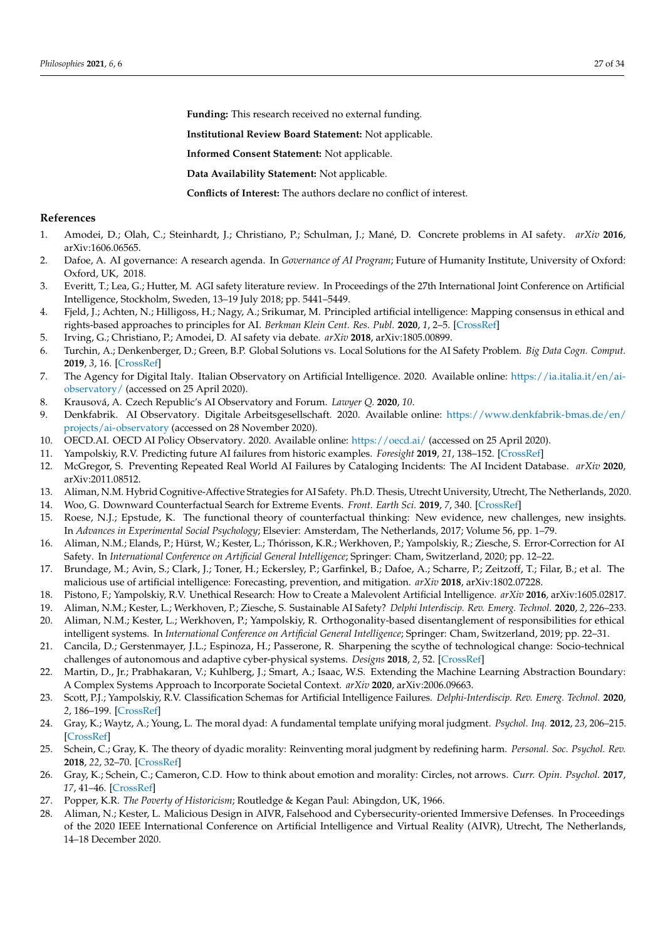**Funding:** This research received no external funding.

**Institutional Review Board Statement:** Not applicable.

**Informed Consent Statement:** Not applicable.

**Data Availability Statement:** Not applicable.

**Conflicts of Interest:** The authors declare no conflict of interest.

#### **References**

- <span id="page-26-0"></span>1. Amodei, D.; Olah, C.; Steinhardt, J.; Christiano, P.; Schulman, J.; Mané, D. Concrete problems in AI safety. *arXiv* **2016**, arXiv:1606.06565.
- 2. Dafoe, A. AI governance: A research agenda. In *Governance of AI Program*; Future of Humanity Institute, University of Oxford: Oxford, UK, 2018.
- 3. Everitt, T.; Lea, G.; Hutter, M. AGI safety literature review. In Proceedings of the 27th International Joint Conference on Artificial Intelligence, Stockholm, Sweden, 13–19 July 2018; pp. 5441–5449.
- 4. Fjeld, J.; Achten, N.; Hilligoss, H.; Nagy, A.; Srikumar, M. Principled artificial intelligence: Mapping consensus in ethical and rights-based approaches to principles for AI. *Berkman Klein Cent. Res. Publ.* **2020**, *1*, 2–5. [\[CrossRef\]](http://doi.org/10.2139/ssrn.3518482)
- 5. Irving, G.; Christiano, P.; Amodei, D. AI safety via debate. *arXiv* **2018**, arXiv:1805.00899.
- <span id="page-26-1"></span>6. Turchin, A.; Denkenberger, D.; Green, B.P. Global Solutions vs. Local Solutions for the AI Safety Problem. *Big Data Cogn. Comput.* **2019**, *3*, 16. [\[CrossRef\]](http://dx.doi.org/10.3390/bdcc3010016)
- <span id="page-26-2"></span>7. The Agency for Digital Italy. Italian Observatory on Artificial Intelligence. 2020. Available online: [https://ia.italia.it/en/ai](https://ia.italia.it/en/ai-observatory/)[observatory/](https://ia.italia.it/en/ai-observatory/) (accessed on 25 April 2020).
- <span id="page-26-3"></span>8. Krausová, A. Czech Republic's AI Observatory and Forum. *Lawyer Q.* **2020**, *10*.
- <span id="page-26-4"></span>9. Denkfabrik. AI Observatory. Digitale Arbeitsgesellschaft. 2020. Available online: [https://www.denkfabrik-bmas.de/en/](https://www.denkfabrik-bmas.de/en/projects/ai-observatory) [projects/ai-observatory](https://www.denkfabrik-bmas.de/en/projects/ai-observatory) (accessed on 28 November 2020).
- <span id="page-26-5"></span>10. OECD.AI. OECD AI Policy Observatory. 2020. Available online: <https://oecd.ai/> (accessed on 25 April 2020).
- <span id="page-26-6"></span>11. Yampolskiy, R.V. Predicting future AI failures from historic examples. *Foresight* **2019**, *21*, 138–152. [\[CrossRef\]](http://dx.doi.org/10.1108/FS-04-2018-0034)
- <span id="page-26-7"></span>12. McGregor, S. Preventing Repeated Real World AI Failures by Cataloging Incidents: The AI Incident Database. *arXiv* **2020**, arXiv:2011.08512.
- <span id="page-26-8"></span>13. Aliman, N.M. Hybrid Cognitive-Affective Strategies for AI Safety. Ph.D. Thesis, Utrecht University, Utrecht, The Netherlands, 2020.
- <span id="page-26-9"></span>14. Woo, G. Downward Counterfactual Search for Extreme Events. *Front. Earth Sci.* **2019**, *7*, 340. [\[CrossRef\]](http://dx.doi.org/10.3389/feart.2019.00340)
- <span id="page-26-10"></span>15. Roese, N.J.; Epstude, K. The functional theory of counterfactual thinking: New evidence, new challenges, new insights. In *Advances in Experimental Social Psychology*; Elsevier: Amsterdam, The Netherlands, 2017; Volume 56, pp. 1–79.
- <span id="page-26-11"></span>16. Aliman, N.M.; Elands, P.; Hürst, W.; Kester, L.; Thórisson, K.R.; Werkhoven, P.; Yampolskiy, R.; Ziesche, S. Error-Correction for AI Safety. In *International Conference on Artificial General Intelligence*; Springer: Cham, Switzerland, 2020; pp. 12–22.
- <span id="page-26-12"></span>17. Brundage, M.; Avin, S.; Clark, J.; Toner, H.; Eckersley, P.; Garfinkel, B.; Dafoe, A.; Scharre, P.; Zeitzoff, T.; Filar, B.; et al. The malicious use of artificial intelligence: Forecasting, prevention, and mitigation. *arXiv* **2018**, arXiv:1802.07228.
- <span id="page-26-13"></span>18. Pistono, F.; Yampolskiy, R.V. Unethical Research: How to Create a Malevolent Artificial Intelligence. *arXiv* **2016**, arXiv:1605.02817.
- <span id="page-26-14"></span>19. Aliman, N.M.; Kester, L.; Werkhoven, P.; Ziesche, S. Sustainable AI Safety? *Delphi Interdiscip. Rev. Emerg. Technol.* **2020**, *2*, 226–233.
- <span id="page-26-15"></span>20. Aliman, N.M.; Kester, L.; Werkhoven, P.; Yampolskiy, R. Orthogonality-based disentanglement of responsibilities for ethical intelligent systems. In *International Conference on Artificial General Intelligence*; Springer: Cham, Switzerland, 2019; pp. 22–31.
- 21. Cancila, D.; Gerstenmayer, J.L.; Espinoza, H.; Passerone, R. Sharpening the scythe of technological change: Socio-technical challenges of autonomous and adaptive cyber-physical systems. *Designs* **2018**, *2*, 52. [\[CrossRef\]](http://dx.doi.org/10.3390/designs2040052)
- <span id="page-26-16"></span>22. Martin, D., Jr.; Prabhakaran, V.; Kuhlberg, J.; Smart, A.; Isaac, W.S. Extending the Machine Learning Abstraction Boundary: A Complex Systems Approach to Incorporate Societal Context. *arXiv* **2020**, arXiv:2006.09663.
- <span id="page-26-17"></span>23. Scott, P.J.; Yampolskiy, R.V. Classification Schemas for Artificial Intelligence Failures. *Delphi-Interdiscip. Rev. Emerg. Technol.* **2020**, *2*, 186–199. [\[CrossRef\]](http://dx.doi.org/10.21552/delphi/2019/4/8)
- <span id="page-26-18"></span>24. Gray, K.; Waytz, A.; Young, L. The moral dyad: A fundamental template unifying moral judgment. *Psychol. Inq.* **2012**, *23*, 206–215. [\[CrossRef\]](http://dx.doi.org/10.1080/1047840X.2012.686247)
- <span id="page-26-19"></span>25. Schein, C.; Gray, K. The theory of dyadic morality: Reinventing moral judgment by redefining harm. *Personal. Soc. Psychol. Rev.* **2018**, *22*, 32–70. [\[CrossRef\]](http://dx.doi.org/10.1177/1088868317698288)
- <span id="page-26-20"></span>26. Gray, K.; Schein, C.; Cameron, C.D. How to think about emotion and morality: Circles, not arrows. *Curr. Opin. Psychol.* **2017**, *17*, 41–46. [\[CrossRef\]](http://dx.doi.org/10.1016/j.copsyc.2017.06.011)
- <span id="page-26-21"></span>27. Popper, K.R. *The Poverty of Historicism*; Routledge & Kegan Paul: Abingdon, UK, 1966.
- <span id="page-26-22"></span>28. Aliman, N.; Kester, L. Malicious Design in AIVR, Falsehood and Cybersecurity-oriented Immersive Defenses. In Proceedings of the 2020 IEEE International Conference on Artificial Intelligence and Virtual Reality (AIVR), Utrecht, The Netherlands, 14–18 December 2020.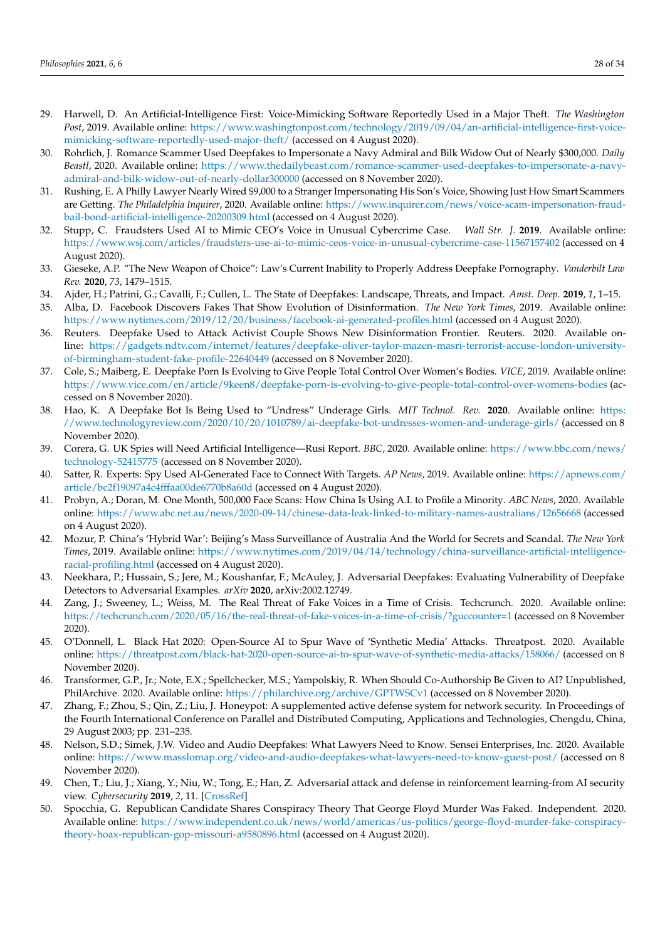- <span id="page-27-0"></span>29. Harwell, D. An Artificial-Intelligence First: Voice-Mimicking Software Reportedly Used in a Major Theft. *The Washington Post*, 2019. Available online: [https://www.washingtonpost.com/technology/2019/09/04/an-artificial-intelligence-first-voice](https://www.washingtonpost.com/technology/2019/09/04/an-artificial-intelligence-first-voice-mimicking-software-reportedly-used-major-theft/)[mimicking-software-reportedly-used-major-theft/](https://www.washingtonpost.com/technology/2019/09/04/an-artificial-intelligence-first-voice-mimicking-software-reportedly-used-major-theft/) (accessed on 4 August 2020).
- <span id="page-27-2"></span>30. Rohrlich, J. Romance Scammer Used Deepfakes to Impersonate a Navy Admiral and Bilk Widow Out of Nearly \$300,000. *Daily Beastl*, 2020. Available online: [https://www.thedailybeast.com/romance-scammer-used-deepfakes-to-impersonate-a-navy](https://www.thedailybeast.com/romance-scammer-used-deepfakes-to-impersonate-a-navy-admiral-and-bilk-widow-out-of-nearly-dollar300000)[admiral-and-bilk-widow-out-of-nearly-dollar300000](https://www.thedailybeast.com/romance-scammer-used-deepfakes-to-impersonate-a-navy-admiral-and-bilk-widow-out-of-nearly-dollar300000) (accessed on 8 November 2020).
- 31. Rushing, E. A Philly Lawyer Nearly Wired \$9,000 to a Stranger Impersonating His Son's Voice, Showing Just How Smart Scammers are Getting. *The Philadelphia Inquirer*, 2020. Available online: [https://www.inquirer.com/news/voice-scam-impersonation-fraud](https://www.inquirer.com/news/voice-scam-impersonation-fraud-bail-bond-artificial-intelligence-20200309.html)[bail-bond-artificial-intelligence-20200309.html](https://www.inquirer.com/news/voice-scam-impersonation-fraud-bail-bond-artificial-intelligence-20200309.html) (accessed on 4 August 2020).
- <span id="page-27-1"></span>32. Stupp, C. Fraudsters Used AI to Mimic CEO's Voice in Unusual Cybercrime Case. *Wall Str. J.* **2019**. Available online: <https://www.wsj.com/articles/fraudsters-use-ai-to-mimic-ceos-voice-in-unusual-cybercrime-case-11567157402> (accessed on 4 August 2020).
- <span id="page-27-3"></span>33. Gieseke, A.P. "The New Weapon of Choice": Law's Current Inability to Properly Address Deepfake Pornography. *Vanderbilt Law Rev.* **2020**, *73*, 1479–1515.
- <span id="page-27-4"></span>34. Ajder, H.; Patrini, G.; Cavalli, F.; Cullen, L. The State of Deepfakes: Landscape, Threats, and Impact. *Amst. Deep.* **2019**, *1*, 1–15.
- <span id="page-27-5"></span>35. Alba, D. Facebook Discovers Fakes That Show Evolution of Disinformation. *The New York Times*, 2019. Available online: <https://www.nytimes.com/2019/12/20/business/facebook-ai-generated-profiles.html> (accessed on 4 August 2020).
- <span id="page-27-6"></span>36. Reuters. Deepfake Used to Attack Activist Couple Shows New Disinformation Frontier. Reuters. 2020. Available online: [https://gadgets.ndtv.com/internet/features/deepfake-oliver-taylor-mazen-masri-terrorist-accuse-london-university](https://gadgets.ndtv.com/internet/features/deepfake-oliver-taylor-mazen-masri-terrorist-accuse-london-university-of-birmingham-student-fake-profile-22640449)[of-birmingham-student-fake-profile-22640449](https://gadgets.ndtv.com/internet/features/deepfake-oliver-taylor-mazen-masri-terrorist-accuse-london-university-of-birmingham-student-fake-profile-22640449) (accessed on 8 November 2020).
- <span id="page-27-7"></span>37. Cole, S.; Maiberg, E. Deepfake Porn Is Evolving to Give People Total Control Over Women's Bodies. *VICE*, 2019. Available online: <https://www.vice.com/en/article/9keen8/deepfake-porn-is-evolving-to-give-people-total-control-over-womens-bodies> (accessed on 8 November 2020).
- <span id="page-27-8"></span>38. Hao, K. A Deepfake Bot Is Being Used to "Undress" Underage Girls. *MIT Technol. Rev.* **2020**. Available online: [https:](https://www.technologyreview.com/2020/10/20/1010789/ai-deepfake-bot-undresses-women-and-underage-girls/) [//www.technologyreview.com/2020/10/20/1010789/ai-deepfake-bot-undresses-women-and-underage-girls/](https://www.technologyreview.com/2020/10/20/1010789/ai-deepfake-bot-undresses-women-and-underage-girls/) (accessed on 8 November 2020).
- <span id="page-27-9"></span>39. Corera, G. UK Spies will Need Artificial Intelligence—Rusi Report. *BBC*, 2020. Available online: [https://www.bbc.com/news/](https://www.bbc.com/news/technology-52415775) [technology-52415775](https://www.bbc.com/news/technology-52415775) (accessed on 8 November 2020).
- <span id="page-27-10"></span>40. Satter, R. Experts: Spy Used AI-Generated Face to Connect With Targets. *AP News*, 2019. Available online: [https://apnews.com/](https://apnews.com/article/bc2f19097a4c4fffaa00de6770b8a60d) [article/bc2f19097a4c4fffaa00de6770b8a60d](https://apnews.com/article/bc2f19097a4c4fffaa00de6770b8a60d) (accessed on 4 August 2020).
- <span id="page-27-11"></span>41. Probyn, A.; Doran, M. One Month, 500,000 Face Scans: How China Is Using A.I. to Profile a Minority. *ABC News*, 2020. Available online: <https://www.abc.net.au/news/2020-09-14/chinese-data-leak-linked-to-military-names-australians/12656668> (accessed on 4 August 2020).
- <span id="page-27-12"></span>42. Mozur, P. China's 'Hybrid War': Beijing's Mass Surveillance of Australia And the World for Secrets and Scandal. *The New York Times*, 2019. Available online: [https://www.nytimes.com/2019/04/14/technology/china-surveillance-artificial-intelligence](https://www.nytimes.com/2019/04/14/technology/china-surveillance-artificial-intelligence-racial-profiling.html)[racial-profiling.html](https://www.nytimes.com/2019/04/14/technology/china-surveillance-artificial-intelligence-racial-profiling.html) (accessed on 4 August 2020).
- <span id="page-27-13"></span>43. Neekhara, P.; Hussain, S.; Jere, M.; Koushanfar, F.; McAuley, J. Adversarial Deepfakes: Evaluating Vulnerability of Deepfake Detectors to Adversarial Examples. *arXiv* **2020**, arXiv:2002.12749.
- <span id="page-27-14"></span>44. Zang, J.; Sweeney, L.; Weiss, M. The Real Threat of Fake Voices in a Time of Crisis. Techcrunch. 2020. Available online: <https://techcrunch.com/2020/05/16/the-real-threat-of-fake-voices-in-a-time-of-crisis/?guccounter=1> (accessed on 8 November 2020).
- <span id="page-27-15"></span>45. O'Donnell, L. Black Hat 2020: Open-Source AI to Spur Wave of 'Synthetic Media' Attacks. Threatpost. 2020. Available online: <https://threatpost.com/black-hat-2020-open-source-ai-to-spur-wave-of-synthetic-media-attacks/158066/> (accessed on 8 November 2020).
- <span id="page-27-16"></span>46. Transformer, G.P., Jr.; Note, E.X.; Spellchecker, M.S.; Yampolskiy, R. When Should Co-Authorship Be Given to AI? Unpublished, PhilArchive. 2020. Available online: [https://philarchive.org/archive/GPTWSCv1](https://philarchive.org/archive/GPTWSCv1 ) (accessed on 8 November 2020).
- <span id="page-27-17"></span>47. Zhang, F.; Zhou, S.; Qin, Z.; Liu, J. Honeypot: A supplemented active defense system for network security. In Proceedings of the Fourth International Conference on Parallel and Distributed Computing, Applications and Technologies, Chengdu, China, 29 August 2003; pp. 231–235.
- <span id="page-27-18"></span>48. Nelson, S.D.; Simek, J.W. Video and Audio Deepfakes: What Lawyers Need to Know. Sensei Enterprises, Inc. 2020. Available online: <https://www.masslomap.org/video-and-audio-deepfakes-what-lawyers-need-to-know-guest-post/> (accessed on 8 November 2020).
- <span id="page-27-19"></span>49. Chen, T.; Liu, J.; Xiang, Y.; Niu, W.; Tong, E.; Han, Z. Adversarial attack and defense in reinforcement learning-from AI security view. *Cybersecurity* **2019**, *2*, 11. [\[CrossRef\]](http://dx.doi.org/10.1186/s42400-019-0027-x)
- <span id="page-27-20"></span>50. Spocchia, G. Republican Candidate Shares Conspiracy Theory That George Floyd Murder Was Faked. Independent. 2020. Available online: [https://www.independent.co.uk/news/world/americas/us-politics/george-floyd-murder-fake-conspiracy](https://www.independent.co.uk/news/world/americas/us-politics/george-floyd-murder-fake-conspiracy-theory-hoax-republican-gop-missouri-a9580896.html)[theory-hoax-republican-gop-missouri-a9580896.html](https://www.independent.co.uk/news/world/americas/us-politics/george-floyd-murder-fake-conspiracy-theory-hoax-republican-gop-missouri-a9580896.html) (accessed on 4 August 2020).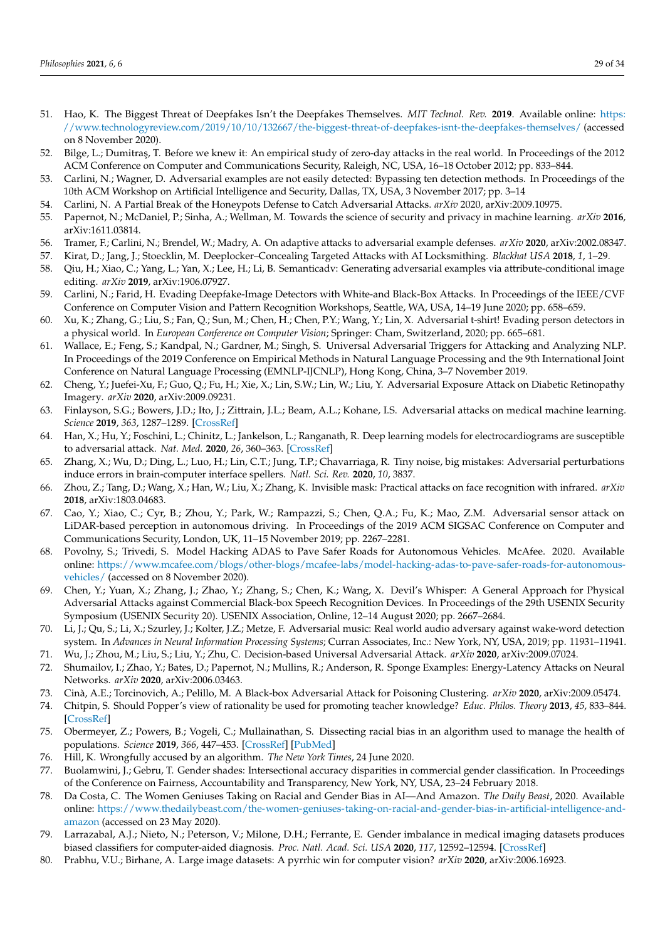- <span id="page-28-0"></span>51. Hao, K. The Biggest Threat of Deepfakes Isn't the Deepfakes Themselves. *MIT Technol. Rev.* **2019**. Available online: [https:](https://www.technologyreview.com/2019/10/10/132667/the-biggest-threat-of-deepfakes-isnt-the-deepfakes-themselves/) [//www.technologyreview.com/2019/10/10/132667/the-biggest-threat-of-deepfakes-isnt-the-deepfakes-themselves/](https://www.technologyreview.com/2019/10/10/132667/the-biggest-threat-of-deepfakes-isnt-the-deepfakes-themselves/) (accessed on 8 November 2020).
- <span id="page-28-1"></span>52. Bilge, L.; Dumitraş, T. Before we knew it: An empirical study of zero-day attacks in the real world. In Proceedings of the 2012 ACM Conference on Computer and Communications Security, Raleigh, NC, USA, 16–18 October 2012; pp. 833–844.
- <span id="page-28-2"></span>53. Carlini, N.; Wagner, D. Adversarial examples are not easily detected: Bypassing ten detection methods. In Proceedings of the 10th ACM Workshop on Artificial Intelligence and Security, Dallas, TX, USA, 3 November 2017; pp. 3–14
- 54. Carlini, N. A Partial Break of the Honeypots Defense to Catch Adversarial Attacks. *arXiv* 2020, arXiv:2009.10975.
- 55. Papernot, N.; McDaniel, P.; Sinha, A.; Wellman, M. Towards the science of security and privacy in machine learning. *arXiv* **2016**, arXiv:1611.03814.
- <span id="page-28-3"></span>56. Tramer, F.; Carlini, N.; Brendel, W.; Madry, A. On adaptive attacks to adversarial example defenses. *arXiv* **2020**, arXiv:2002.08347.
- <span id="page-28-4"></span>57. Kirat, D.; Jang, J.; Stoecklin, M. Deeplocker–Concealing Targeted Attacks with AI Locksmithing. *Blackhat USA* **2018**, *1*, 1–29.
- <span id="page-28-5"></span>58. Qiu, H.; Xiao, C.; Yang, L.; Yan, X.; Lee, H.; Li, B. Semanticadv: Generating adversarial examples via attribute-conditional image editing. *arXiv* **2019**, arXiv:1906.07927.
- <span id="page-28-6"></span>59. Carlini, N.; Farid, H. Evading Deepfake-Image Detectors with White-and Black-Box Attacks. In Proceedings of the IEEE/CVF Conference on Computer Vision and Pattern Recognition Workshops, Seattle, WA, USA, 14–19 June 2020; pp. 658–659.
- <span id="page-28-7"></span>60. Xu, K.; Zhang, G.; Liu, S.; Fan, Q.; Sun, M.; Chen, H.; Chen, P.Y.; Wang, Y.; Lin, X. Adversarial t-shirt! Evading person detectors in a physical world. In *European Conference on Computer Vision*; Springer: Cham, Switzerland, 2020; pp. 665–681.
- <span id="page-28-8"></span>61. Wallace, E.; Feng, S.; Kandpal, N.; Gardner, M.; Singh, S. Universal Adversarial Triggers for Attacking and Analyzing NLP. In Proceedings of the 2019 Conference on Empirical Methods in Natural Language Processing and the 9th International Joint Conference on Natural Language Processing (EMNLP-IJCNLP), Hong Kong, China, 3–7 November 2019.
- <span id="page-28-9"></span>62. Cheng, Y.; Juefei-Xu, F.; Guo, Q.; Fu, H.; Xie, X.; Lin, S.W.; Lin, W.; Liu, Y. Adversarial Exposure Attack on Diabetic Retinopathy Imagery. *arXiv* **2020**, arXiv:2009.09231.
- 63. Finlayson, S.G.; Bowers, J.D.; Ito, J.; Zittrain, J.L.; Beam, A.L.; Kohane, I.S. Adversarial attacks on medical machine learning. *Science* **2019**, *363*, 1287–1289. [\[CrossRef\]](http://dx.doi.org/10.1126/science.aaw4399)
- 64. Han, X.; Hu, Y.; Foschini, L.; Chinitz, L.; Jankelson, L.; Ranganath, R. Deep learning models for electrocardiograms are susceptible to adversarial attack. *Nat. Med.* **2020**, *26*, 360–363. [\[CrossRef\]](http://dx.doi.org/10.1038/s41591-020-0791-x)
- <span id="page-28-10"></span>65. Zhang, X.; Wu, D.; Ding, L.; Luo, H.; Lin, C.T.; Jung, T.P.; Chavarriaga, R. Tiny noise, big mistakes: Adversarial perturbations induce errors in brain-computer interface spellers. *Natl. Sci. Rev.* **2020**, *10*, 3837.
- <span id="page-28-11"></span>66. Zhou, Z.; Tang, D.; Wang, X.; Han, W.; Liu, X.; Zhang, K. Invisible mask: Practical attacks on face recognition with infrared. *arXiv* **2018**, arXiv:1803.04683.
- <span id="page-28-12"></span>67. Cao, Y.; Xiao, C.; Cyr, B.; Zhou, Y.; Park, W.; Rampazzi, S.; Chen, Q.A.; Fu, K.; Mao, Z.M. Adversarial sensor attack on LiDAR-based perception in autonomous driving. In Proceedings of the 2019 ACM SIGSAC Conference on Computer and Communications Security, London, UK, 11–15 November 2019; pp. 2267–2281.
- <span id="page-28-13"></span>68. Povolny, S.; Trivedi, S. Model Hacking ADAS to Pave Safer Roads for Autonomous Vehicles. McAfee. 2020. Available online: [https://www.mcafee.com/blogs/other-blogs/mcafee-labs/model-hacking-adas-to-pave-safer-roads-for-autonomous](https://www.mcafee.com/blogs/other-blogs/mcafee-labs/model-hacking-adas-to-pave-safer-roads-for-autonomous-vehicles/)[vehicles/](https://www.mcafee.com/blogs/other-blogs/mcafee-labs/model-hacking-adas-to-pave-safer-roads-for-autonomous-vehicles/) (accessed on 8 November 2020).
- <span id="page-28-14"></span>69. Chen, Y.; Yuan, X.; Zhang, J.; Zhao, Y.; Zhang, S.; Chen, K.; Wang, X. Devil's Whisper: A General Approach for Physical Adversarial Attacks against Commercial Black-box Speech Recognition Devices. In Proceedings of the 29th USENIX Security Symposium (USENIX Security 20). USENIX Association, Online, 12–14 August 2020; pp. 2667–2684.
- 70. Li, J.; Qu, S.; Li, X.; Szurley, J.; Kolter, J.Z.; Metze, F. Adversarial music: Real world audio adversary against wake-word detection system. In *Advances in Neural Information Processing Systems*; Curran Associates, Inc.: New York, NY, USA, 2019; pp. 11931–11941.
- <span id="page-28-15"></span>71. Wu, J.; Zhou, M.; Liu, S.; Liu, Y.; Zhu, C. Decision-based Universal Adversarial Attack. *arXiv* **2020**, arXiv:2009.07024.
- <span id="page-28-16"></span>72. Shumailov, I.; Zhao, Y.; Bates, D.; Papernot, N.; Mullins, R.; Anderson, R. Sponge Examples: Energy-Latency Attacks on Neural Networks. *arXiv* **2020**, arXiv:2006.03463.
- <span id="page-28-17"></span>73. Cinà, A.E.; Torcinovich, A.; Pelillo, M. A Black-box Adversarial Attack for Poisoning Clustering. *arXiv* **2020**, arXiv:2009.05474.
- <span id="page-28-18"></span>74. Chitpin, S. Should Popper's view of rationality be used for promoting teacher knowledge? *Educ. Philos. Theory* **2013**, *45*, 833–844. [\[CrossRef\]](http://dx.doi.org/10.1111/j.1469-5812.2011.00803.x)
- <span id="page-28-19"></span>75. Obermeyer, Z.; Powers, B.; Vogeli, C.; Mullainathan, S. Dissecting racial bias in an algorithm used to manage the health of populations. *Science* **2019**, *366*, 447–453. [\[CrossRef\]](http://dx.doi.org/10.1126/science.aax2342) [\[PubMed\]](http://www.ncbi.nlm.nih.gov/pubmed/31649194)
- <span id="page-28-20"></span>76. Hill, K. Wrongfully accused by an algorithm. *The New York Times*, 24 June 2020.
- <span id="page-28-21"></span>77. Buolamwini, J.; Gebru, T. Gender shades: Intersectional accuracy disparities in commercial gender classification. In Proceedings of the Conference on Fairness, Accountability and Transparency, New York, NY, USA, 23–24 February 2018.
- <span id="page-28-22"></span>78. Da Costa, C. The Women Geniuses Taking on Racial and Gender Bias in AI—And Amazon. *The Daily Beast*, 2020. Available online: [https://www.thedailybeast.com/the-women-geniuses-taking-on-racial-and-gender-bias-in-artificial-intelligence-and](https://www.thedailybeast.com/the-women-geniuses-taking-on-racial-and-gender-bias-in-artificial-intelligence-and-amazon)[amazon](https://www.thedailybeast.com/the-women-geniuses-taking-on-racial-and-gender-bias-in-artificial-intelligence-and-amazon) (accessed on 23 May 2020).
- <span id="page-28-23"></span>79. Larrazabal, A.J.; Nieto, N.; Peterson, V.; Milone, D.H.; Ferrante, E. Gender imbalance in medical imaging datasets produces biased classifiers for computer-aided diagnosis. *Proc. Natl. Acad. Sci. USA* **2020**, *117*, 12592–12594. [\[CrossRef\]](http://dx.doi.org/10.1073/pnas.1919012117)
- <span id="page-28-24"></span>80. Prabhu, V.U.; Birhane, A. Large image datasets: A pyrrhic win for computer vision? *arXiv* **2020**, arXiv:2006.16923.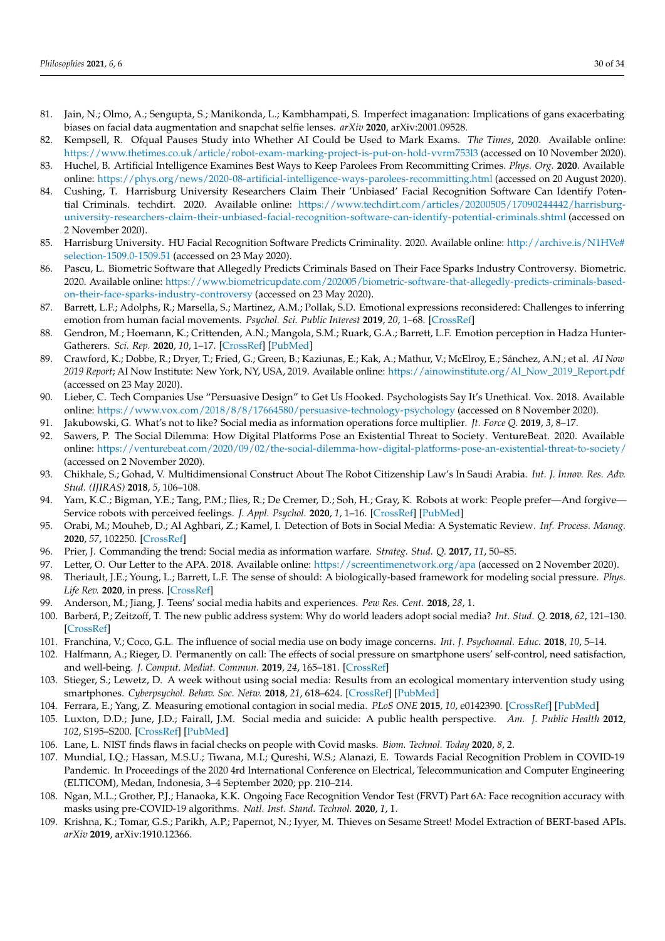- <span id="page-29-0"></span>81. Jain, N.; Olmo, A.; Sengupta, S.; Manikonda, L.; Kambhampati, S. Imperfect imaganation: Implications of gans exacerbating biases on facial data augmentation and snapchat selfie lenses. *arXiv* **2020**, arXiv:2001.09528.
- <span id="page-29-1"></span>82. Kempsell, R. Ofqual Pauses Study into Whether AI Could be Used to Mark Exams. *The Times*, 2020. Available online: <https://www.thetimes.co.uk/article/robot-exam-marking-project-is-put-on-hold-vvrm753l3> (accessed on 10 November 2020).
- <span id="page-29-2"></span>83. Huchel, B. Artificial Intelligence Examines Best Ways to Keep Parolees From Recommitting Crimes. *Phys. Org.* **2020**. Available online: <https://phys.org/news/2020-08-artificial-intelligence-ways-parolees-recommitting.html> (accessed on 20 August 2020).
- <span id="page-29-3"></span>84. Cushing, T. Harrisburg University Researchers Claim Their 'Unbiased' Facial Recognition Software Can Identify Potential Criminals. techdirt. 2020. Available online: [https://www.techdirt.com/articles/20200505/17090244442/harrisburg](https://www.techdirt.com/articles/20200505/17090244442/harrisburg-university-researchers-claim-their-unbiased-facial-recognition-software-can-identify-potential-criminals.shtml)[university-researchers-claim-their-unbiased-facial-recognition-software-can-identify-potential-criminals.shtml](https://www.techdirt.com/articles/20200505/17090244442/harrisburg-university-researchers-claim-their-unbiased-facial-recognition-software-can-identify-potential-criminals.shtml) (accessed on 2 November 2020).
- <span id="page-29-4"></span>85. Harrisburg University. HU Facial Recognition Software Predicts Criminality. 2020. Available online: [http://archive.is/N1HVe#](http://archive.is/N1HVe#selection-1509.0-1509.51) [selection-1509.0-1509.51](http://archive.is/N1HVe#selection-1509.0-1509.51) (accessed on 23 May 2020).
- <span id="page-29-5"></span>86. Pascu, L. Biometric Software that Allegedly Predicts Criminals Based on Their Face Sparks Industry Controversy. Biometric. 2020. Available online: [https://www.biometricupdate.com/202005/biometric-software-that-allegedly-predicts-criminals-based](https://www.biometricupdate.com/202005/biometric-software-that-allegedly-predicts-criminals-based-on-their-face-sparks-industry-controversy)[on-their-face-sparks-industry-controversy](https://www.biometricupdate.com/202005/biometric-software-that-allegedly-predicts-criminals-based-on-their-face-sparks-industry-controversy) (accessed on 23 May 2020).
- <span id="page-29-6"></span>87. Barrett, L.F.; Adolphs, R.; Marsella, S.; Martinez, A.M.; Pollak, S.D. Emotional expressions reconsidered: Challenges to inferring emotion from human facial movements. *Psychol. Sci. Public Interest* **2019**, *20*, 1–68. [\[CrossRef\]](http://dx.doi.org/10.1177/1529100619832930)
- <span id="page-29-7"></span>88. Gendron, M.; Hoemann, K.; Crittenden, A.N.; Mangola, S.M.; Ruark, G.A.; Barrett, L.F. Emotion perception in Hadza Hunter-Gatherers. *Sci. Rep.* **2020**, *10*, 1–17. [\[CrossRef\]](http://dx.doi.org/10.1038/s41598-020-60257-2) [\[PubMed\]](http://www.ncbi.nlm.nih.gov/pubmed/32123191)
- <span id="page-29-8"></span>89. Crawford, K.; Dobbe, R.; Dryer, T.; Fried, G.; Green, B.; Kaziunas, E.; Kak, A.; Mathur, V.; McElroy, E.; Sánchez, A.N.; et al. *AI Now 2019 Report*; AI Now Institute: New York, NY, USA, 2019. Available online: [https://ainowinstitute.org/AI\\_Now\\_2019\\_Report.pdf](https://ainowinstitute.org/AI_Now_2019_Report.pdf) (accessed on 23 May 2020).
- <span id="page-29-9"></span>90. Lieber, C. Tech Companies Use "Persuasive Design" to Get Us Hooked. Psychologists Say It's Unethical. Vox. 2018. Available online: <https://www.vox.com/2018/8/8/17664580/persuasive-technology-psychology> (accessed on 8 November 2020).
- <span id="page-29-10"></span>91. Jakubowski, G. What's not to like? Social media as information operations force multiplier. *Jt. Force Q.* **2019**, *3*, 8–17.
- <span id="page-29-11"></span>92. Sawers, P. The Social Dilemma: How Digital Platforms Pose an Existential Threat to Society. VentureBeat. 2020. Available online: <https://venturebeat.com/2020/09/02/the-social-dilemma-how-digital-platforms-pose-an-existential-threat-to-society/> (accessed on 2 November 2020).
- <span id="page-29-12"></span>93. Chikhale, S.; Gohad, V. Multidimensional Construct About The Robot Citizenship Law's In Saudi Arabia. *Int. J. Innov. Res. Adv. Stud. (IJIRAS)* **2018**, *5*, 106–108.
- <span id="page-29-13"></span>94. Yam, K.C.; Bigman, Y.E.; Tang, P.M.; Ilies, R.; De Cremer, D.; Soh, H.; Gray, K. Robots at work: People prefer—And forgive— Service robots with perceived feelings. *J. Appl. Psychol.* **2020**, *1*, 1–16. [\[CrossRef\]](http://dx.doi.org/10.1037/apl0000834) [\[PubMed\]](http://www.ncbi.nlm.nih.gov/pubmed/33030919)
- <span id="page-29-14"></span>95. Orabi, M.; Mouheb, D.; Al Aghbari, Z.; Kamel, I. Detection of Bots in Social Media: A Systematic Review. *Inf. Process. Manag.* **2020**, *57*, 102250. [\[CrossRef\]](http://dx.doi.org/10.1016/j.ipm.2020.102250)
- <span id="page-29-15"></span>96. Prier, J. Commanding the trend: Social media as information warfare. *Strateg. Stud. Q.* **2017**, *11*, 50–85.
- <span id="page-29-16"></span>97. Letter, O. Our Letter to the APA. 2018. Available online: <https://screentimenetwork.org/apa> (accessed on 2 November 2020).
- <span id="page-29-17"></span>98. Theriault, J.E.; Young, L.; Barrett, L.F. The sense of should: A biologically-based framework for modeling social pressure. *Phys. Life Rev.* **2020**, in press. [\[CrossRef\]](http://dx.doi.org/10.1016/j.plrev.2020.01.004)
- <span id="page-29-18"></span>99. Anderson, M.; Jiang, J. Teens' social media habits and experiences. *Pew Res. Cent.* **2018**, *28*, 1.
- 100. Barberá, P.; Zeitzoff, T. The new public address system: Why do world leaders adopt social media? *Int. Stud. Q.* **2018**, *62*, 121–130. [\[CrossRef\]](http://dx.doi.org/10.1093/isq/sqx047)
- 101. Franchina, V.; Coco, G.L. The influence of social media use on body image concerns. *Int. J. Psychoanal. Educ.* **2018**, *10*, 5–14.
- 102. Halfmann, A.; Rieger, D. Permanently on call: The effects of social pressure on smartphone users' self-control, need satisfaction, and well-being. *J. Comput. Mediat. Commun.* **2019**, *24*, 165–181. [\[CrossRef\]](http://dx.doi.org/10.1093/jcmc/zmz008)
- <span id="page-29-19"></span>103. Stieger, S.; Lewetz, D. A week without using social media: Results from an ecological momentary intervention study using smartphones. *Cyberpsychol. Behav. Soc. Netw.* **2018**, *21*, 618–624. [\[CrossRef\]](http://dx.doi.org/10.1089/cyber.2018.0070) [\[PubMed\]](http://www.ncbi.nlm.nih.gov/pubmed/30334650)
- <span id="page-29-20"></span>104. Ferrara, E.; Yang, Z. Measuring emotional contagion in social media. *PLoS ONE* **2015**, *10*, e0142390. [\[CrossRef\]](http://dx.doi.org/10.1371/journal.pone.0142390) [\[PubMed\]](http://www.ncbi.nlm.nih.gov/pubmed/26544688)
- <span id="page-29-21"></span>105. Luxton, D.D.; June, J.D.; Fairall, J.M. Social media and suicide: A public health perspective. *Am. J. Public Health* **2012**, *102*, S195–S200. [\[CrossRef\]](http://dx.doi.org/10.2105/AJPH.2011.300608) [\[PubMed\]](http://www.ncbi.nlm.nih.gov/pubmed/22401525)
- <span id="page-29-22"></span>106. Lane, L. NIST finds flaws in facial checks on people with Covid masks. *Biom. Technol. Today* **2020**, *8*, 2.
- 107. Mundial, I.Q.; Hassan, M.S.U.; Tiwana, M.I.; Qureshi, W.S.; Alanazi, E. Towards Facial Recognition Problem in COVID-19 Pandemic. In Proceedings of the 2020 4rd International Conference on Electrical, Telecommunication and Computer Engineering (ELTICOM), Medan, Indonesia, 3–4 September 2020; pp. 210–214.
- <span id="page-29-23"></span>108. Ngan, M.L.; Grother, P.J.; Hanaoka, K.K. Ongoing Face Recognition Vendor Test (FRVT) Part 6A: Face recognition accuracy with masks using pre-COVID-19 algorithms. *Natl. Inst. Stand. Technol.* **2020**, *1*, 1.
- <span id="page-29-24"></span>109. Krishna, K.; Tomar, G.S.; Parikh, A.P.; Papernot, N.; Iyyer, M. Thieves on Sesame Street! Model Extraction of BERT-based APIs. *arXiv* **2019**, arXiv:1910.12366.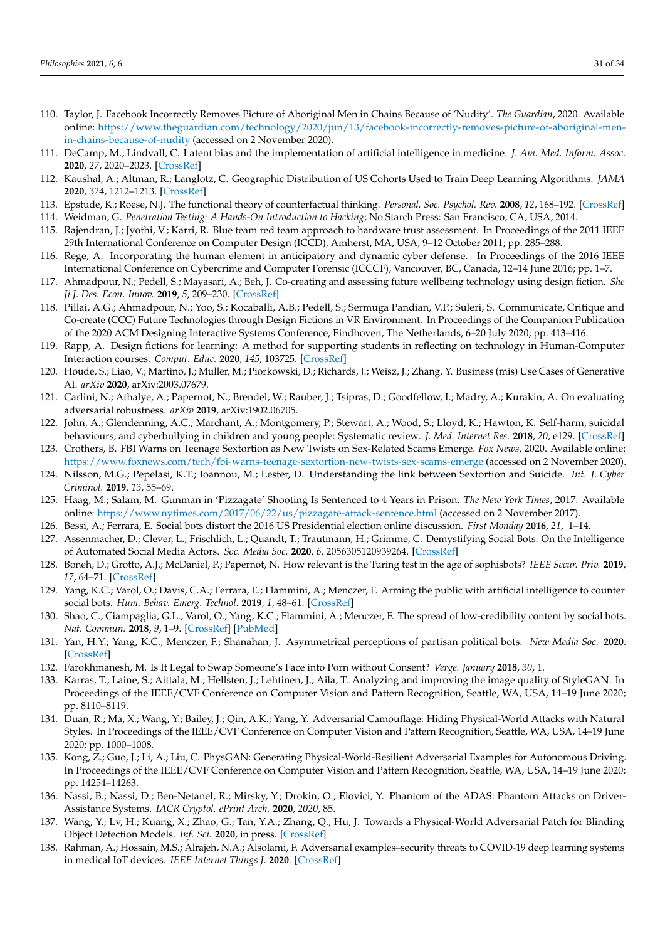- <span id="page-30-0"></span>110. Taylor, J. Facebook Incorrectly Removes Picture of Aboriginal Men in Chains Because of 'Nudity'. *The Guardian*, 2020. Available online: [https://www.theguardian.com/technology/2020/jun/13/facebook-incorrectly-removes-picture-of-aboriginal-men](https://www.theguardian.com/technology/2020/jun/13/facebook-incorrectly-removes-picture-of-aboriginal-men-in-chains-because-of-nudity)[in-chains-because-of-nudity](https://www.theguardian.com/technology/2020/jun/13/facebook-incorrectly-removes-picture-of-aboriginal-men-in-chains-because-of-nudity) (accessed on 2 November 2020).
- <span id="page-30-1"></span>111. DeCamp, M.; Lindvall, C. Latent bias and the implementation of artificial intelligence in medicine. *J. Am. Med. Inform. Assoc.* **2020**, *27*, 2020–2023. [\[CrossRef\]](http://dx.doi.org/10.1093/jamia/ocaa094)
- <span id="page-30-2"></span>112. Kaushal, A.; Altman, R.; Langlotz, C. Geographic Distribution of US Cohorts Used to Train Deep Learning Algorithms. *JAMA* **2020**, *324*, 1212–1213. [\[CrossRef\]](http://dx.doi.org/10.1001/jama.2020.12067)
- <span id="page-30-3"></span>113. Epstude, K.; Roese, N.J. The functional theory of counterfactual thinking. *Personal. Soc. Psychol. Rev.* **2008**, *12*, 168–192. [\[CrossRef\]](http://dx.doi.org/10.1177/1088868308316091)
- <span id="page-30-4"></span>114. Weidman, G. *Penetration Testing: A Hands-On Introduction to Hacking*; No Starch Press: San Francisco, CA, USA, 2014.
- <span id="page-30-5"></span>115. Rajendran, J.; Jyothi, V.; Karri, R. Blue team red team approach to hardware trust assessment. In Proceedings of the 2011 IEEE 29th International Conference on Computer Design (ICCD), Amherst, MA, USA, 9–12 October 2011; pp. 285–288.
- <span id="page-30-6"></span>116. Rege, A. Incorporating the human element in anticipatory and dynamic cyber defense. In Proceedings of the 2016 IEEE International Conference on Cybercrime and Computer Forensic (ICCCF), Vancouver, BC, Canada, 12–14 June 2016; pp. 1–7.
- <span id="page-30-7"></span>117. Ahmadpour, N.; Pedell, S.; Mayasari, A.; Beh, J. Co-creating and assessing future wellbeing technology using design fiction. *She Ji J. Des. Econ. Innov.* **2019**, *5*, 209–230. [\[CrossRef\]](http://dx.doi.org/10.1016/j.sheji.2019.08.003)
- <span id="page-30-8"></span>118. Pillai, A.G.; Ahmadpour, N.; Yoo, S.; Kocaballi, A.B.; Pedell, S.; Sermuga Pandian, V.P.; Suleri, S. Communicate, Critique and Co-create (CCC) Future Technologies through Design Fictions in VR Environment. In Proceedings of the Companion Publication of the 2020 ACM Designing Interactive Systems Conference, Eindhoven, The Netherlands, 6–20 July 2020; pp. 413–416.
- <span id="page-30-9"></span>119. Rapp, A. Design fictions for learning: A method for supporting students in reflecting on technology in Human-Computer Interaction courses. *Comput. Educ.* **2020**, *145*, 103725. [\[CrossRef\]](http://dx.doi.org/10.1016/j.compedu.2019.103725)
- <span id="page-30-10"></span>120. Houde, S.; Liao, V.; Martino, J.; Muller, M.; Piorkowski, D.; Richards, J.; Weisz, J.; Zhang, Y. Business (mis) Use Cases of Generative AI. *arXiv* **2020**, arXiv:2003.07679.
- <span id="page-30-11"></span>121. Carlini, N.; Athalye, A.; Papernot, N.; Brendel, W.; Rauber, J.; Tsipras, D.; Goodfellow, I.; Madry, A.; Kurakin, A. On evaluating adversarial robustness. *arXiv* **2019**, arXiv:1902.06705.
- <span id="page-30-12"></span>122. John, A.; Glendenning, A.C.; Marchant, A.; Montgomery, P.; Stewart, A.; Wood, S.; Lloyd, K.; Hawton, K. Self-harm, suicidal behaviours, and cyberbullying in children and young people: Systematic review. *J. Med. Internet Res.* **2018**, *20*, e129. [\[CrossRef\]](http://dx.doi.org/10.2196/jmir.9044)
- <span id="page-30-13"></span>123. Crothers, B. FBI Warns on Teenage Sextortion as New Twists on Sex-Related Scams Emerge. *Fox News*, 2020. Available online: <https://www.foxnews.com/tech/fbi-warns-teenage-sextortion-new-twists-sex-scams-emerge> (accessed on 2 November 2020).
- <span id="page-30-14"></span>124. Nilsson, M.G.; Pepelasi, K.T.; Ioannou, M.; Lester, D. Understanding the link between Sextortion and Suicide. *Int. J. Cyber Criminol.* **2019**, *13*, 55–69.
- <span id="page-30-15"></span>125. Haag, M.; Salam, M. Gunman in 'Pizzagate' Shooting Is Sentenced to 4 Years in Prison. *The New York Times*, 2017. Available online: <https://www.nytimes.com/2017/06/22/us/pizzagate-attack-sentence.html> (accessed on 2 November 2017).
- <span id="page-30-16"></span>126. Bessi, A.; Ferrara, E. Social bots distort the 2016 US Presidential election online discussion. *First Monday* **2016**, *21*, 1–14.
- <span id="page-30-17"></span>127. Assenmacher, D.; Clever, L.; Frischlich, L.; Quandt, T.; Trautmann, H.; Grimme, C. Demystifying Social Bots: On the Intelligence of Automated Social Media Actors. *Soc. Media Soc.* **2020**, *6*, 2056305120939264. [\[CrossRef\]](http://dx.doi.org/10.1177/2056305120939264)
- <span id="page-30-18"></span>128. Boneh, D.; Grotto, A.J.; McDaniel, P.; Papernot, N. How relevant is the Turing test in the age of sophisbots? *IEEE Secur. Priv.* **2019**, *17*, 64–71. [\[CrossRef\]](http://dx.doi.org/10.1109/MSEC.2019.2934193)
- <span id="page-30-19"></span>129. Yang, K.C.; Varol, O.; Davis, C.A.; Ferrara, E.; Flammini, A.; Menczer, F. Arming the public with artificial intelligence to counter social bots. *Hum. Behav. Emerg. Technol.* **2019**, *1*, 48–61. [\[CrossRef\]](http://dx.doi.org/10.1002/hbe2.115)
- <span id="page-30-20"></span>130. Shao, C.; Ciampaglia, G.L.; Varol, O.; Yang, K.C.; Flammini, A.; Menczer, F. The spread of low-credibility content by social bots. *Nat. Commun.* **2018**, *9*, 1–9. [\[CrossRef\]](http://dx.doi.org/10.1038/s41467-018-06930-7) [\[PubMed\]](http://www.ncbi.nlm.nih.gov/pubmed/30459415)
- <span id="page-30-21"></span>131. Yan, H.Y.; Yang, K.C.; Menczer, F.; Shanahan, J. Asymmetrical perceptions of partisan political bots. *New Media Soc.* **2020**. [\[CrossRef\]](http://dx.doi.org/10.1177/1461444820942744)
- <span id="page-30-22"></span>132. Farokhmanesh, M. Is It Legal to Swap Someone's Face into Porn without Consent? *Verge. January* **2018**, *30*, 1.
- <span id="page-30-26"></span>133. Karras, T.; Laine, S.; Aittala, M.; Hellsten, J.; Lehtinen, J.; Aila, T. Analyzing and improving the image quality of StyleGAN. In Proceedings of the IEEE/CVF Conference on Computer Vision and Pattern Recognition, Seattle, WA, USA, 14–19 June 2020; pp. 8110–8119.
- <span id="page-30-23"></span>134. Duan, R.; Ma, X.; Wang, Y.; Bailey, J.; Qin, A.K.; Yang, Y. Adversarial Camouflage: Hiding Physical-World Attacks with Natural Styles. In Proceedings of the IEEE/CVF Conference on Computer Vision and Pattern Recognition, Seattle, WA, USA, 14–19 June 2020; pp. 1000–1008.
- 135. Kong, Z.; Guo, J.; Li, A.; Liu, C. PhysGAN: Generating Physical-World-Resilient Adversarial Examples for Autonomous Driving. In Proceedings of the IEEE/CVF Conference on Computer Vision and Pattern Recognition, Seattle, WA, USA, 14–19 June 2020; pp. 14254–14263.
- 136. Nassi, B.; Nassi, D.; Ben-Netanel, R.; Mirsky, Y.; Drokin, O.; Elovici, Y. Phantom of the ADAS: Phantom Attacks on Driver-Assistance Systems. *IACR Cryptol. ePrint Arch.* **2020**, *2020*, 85.
- <span id="page-30-24"></span>137. Wang, Y.; Lv, H.; Kuang, X.; Zhao, G.; Tan, Y.A.; Zhang, Q.; Hu, J. Towards a Physical-World Adversarial Patch for Blinding Object Detection Models. *Inf. Sci.* **2020**, in press. [\[CrossRef\]](http://dx.doi.org/10.1016/j.ins.2020.08.087)
- <span id="page-30-25"></span>138. Rahman, A.; Hossain, M.S.; Alrajeh, N.A.; Alsolami, F. Adversarial examples–security threats to COVID-19 deep learning systems in medical IoT devices. *IEEE Internet Things J.* **2020**. [\[CrossRef\]](http://dx.doi.org/10.1109/JIOT.2020.3013710)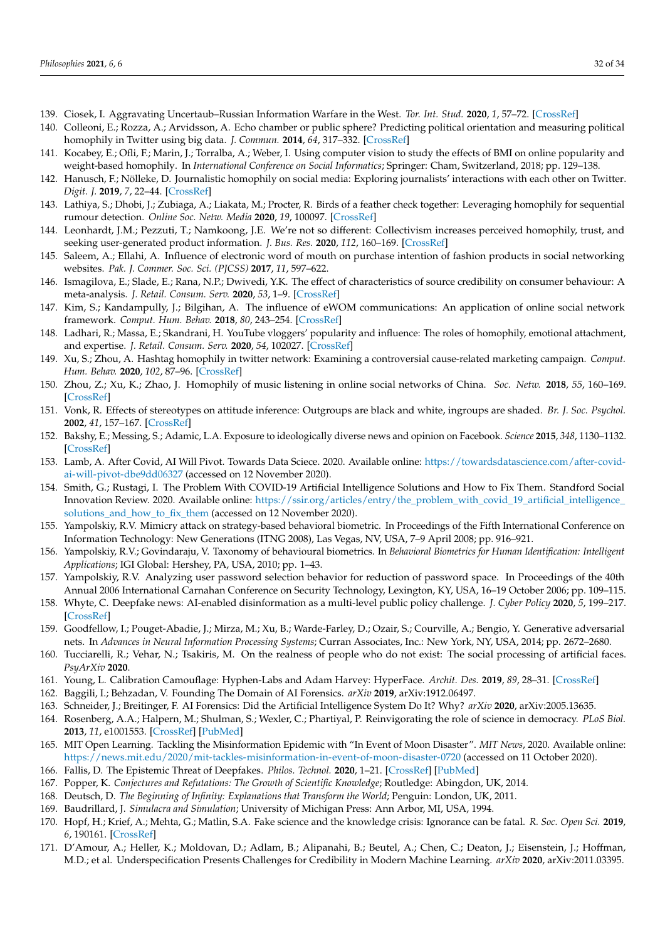- <span id="page-31-0"></span>139. Ciosek, I. Aggravating Uncertaub–Russian Information Warfare in the West. *Tor. Int. Stud.* **2020**, *1*, 57–72. [\[CrossRef\]](http://dx.doi.org/10.12775/TIS.2020.005)
- <span id="page-31-6"></span>140. Colleoni, E.; Rozza, A.; Arvidsson, A. Echo chamber or public sphere? Predicting political orientation and measuring political homophily in Twitter using big data. *J. Commun.* **2014**, *64*, 317–332. [\[CrossRef\]](http://dx.doi.org/10.1111/jcom.12084)
- <span id="page-31-7"></span>141. Kocabey, E.; Ofli, F.; Marin, J.; Torralba, A.; Weber, I. Using computer vision to study the effects of BMI on online popularity and weight-based homophily. In *International Conference on Social Informatics*; Springer: Cham, Switzerland, 2018; pp. 129–138.
- <span id="page-31-8"></span>142. Hanusch, F.; Nölleke, D. Journalistic homophily on social media: Exploring journalists' interactions with each other on Twitter. *Digit. J.* **2019**, *7*, 22–44. [\[CrossRef\]](http://dx.doi.org/10.1080/21670811.2018.1436977)
- <span id="page-31-9"></span>143. Lathiya, S.; Dhobi, J.; Zubiaga, A.; Liakata, M.; Procter, R. Birds of a feather check together: Leveraging homophily for sequential rumour detection. *Online Soc. Netw. Media* **2020**, *19*, 100097. [\[CrossRef\]](http://dx.doi.org/10.1016/j.osnem.2020.100097)
- <span id="page-31-10"></span>144. Leonhardt, J.M.; Pezzuti, T.; Namkoong, J.E. We're not so different: Collectivism increases perceived homophily, trust, and seeking user-generated product information. *J. Bus. Res.* **2020**, *112*, 160–169. [\[CrossRef\]](http://dx.doi.org/10.1016/j.jbusres.2020.03.017)
- <span id="page-31-11"></span>145. Saleem, A.; Ellahi, A. Influence of electronic word of mouth on purchase intention of fashion products in social networking websites. *Pak. J. Commer. Soc. Sci. (PJCSS)* **2017**, *11*, 597–622.
- <span id="page-31-12"></span>146. Ismagilova, E.; Slade, E.; Rana, N.P.; Dwivedi, Y.K. The effect of characteristics of source credibility on consumer behaviour: A meta-analysis. *J. Retail. Consum. Serv.* **2020**, *53*, 1–9. [\[CrossRef\]](http://dx.doi.org/10.1016/j.jretconser.2019.01.005)
- <span id="page-31-13"></span>147. Kim, S.; Kandampully, J.; Bilgihan, A. The influence of eWOM communications: An application of online social network framework. *Comput. Hum. Behav.* **2018**, *80*, 243–254. [\[CrossRef\]](http://dx.doi.org/10.1016/j.chb.2017.11.015)
- <span id="page-31-14"></span>148. Ladhari, R.; Massa, E.; Skandrani, H. YouTube vloggers' popularity and influence: The roles of homophily, emotional attachment, and expertise. *J. Retail. Consum. Serv.* **2020**, *54*, 102027. [\[CrossRef\]](http://dx.doi.org/10.1016/j.jretconser.2019.102027)
- <span id="page-31-15"></span>149. Xu, S.; Zhou, A. Hashtag homophily in twitter network: Examining a controversial cause-related marketing campaign. *Comput. Hum. Behav.* **2020**, *102*, 87–96. [\[CrossRef\]](http://dx.doi.org/10.1016/j.chb.2019.08.006)
- <span id="page-31-16"></span>150. Zhou, Z.; Xu, K.; Zhao, J. Homophily of music listening in online social networks of China. *Soc. Netw.* **2018**, *55*, 160–169. [\[CrossRef\]](http://dx.doi.org/10.1016/j.socnet.2018.07.001)
- <span id="page-31-17"></span>151. Vonk, R. Effects of stereotypes on attitude inference: Outgroups are black and white, ingroups are shaded. *Br. J. Soc. Psychol.* **2002**, *41*, 157–167. [\[CrossRef\]](http://dx.doi.org/10.1348/014466602165027)
- <span id="page-31-18"></span>152. Bakshy, E.; Messing, S.; Adamic, L.A. Exposure to ideologically diverse news and opinion on Facebook. *Science* **2015**, *348*, 1130–1132. [\[CrossRef\]](http://dx.doi.org/10.1126/science.aaa1160)
- <span id="page-31-1"></span>153. Lamb, A. After Covid, AI Will Pivot. Towards Data Sciece. 2020. Available online: [https://towardsdatascience.com/after-covid](https://towardsdatascience.com/after-covid-ai-will-pivot-dbe9dd06327)[ai-will-pivot-dbe9dd06327](https://towardsdatascience.com/after-covid-ai-will-pivot-dbe9dd06327) (accessed on 12 November 2020).
- <span id="page-31-2"></span>154. Smith, G.; Rustagi, I. The Problem With COVID-19 Artificial Intelligence Solutions and How to Fix Them. Standford Social Innovation Review. 2020. Available online: [https://ssir.org/articles/entry/the\\_problem\\_with\\_covid\\_19\\_artificial\\_intelligence\\_](https://ssir.org/articles/entry/the_problem_with_covid_19_artificial_intelligence_solutions_and_how_to_fix_them) [solutions\\_and\\_how\\_to\\_fix\\_them](https://ssir.org/articles/entry/the_problem_with_covid_19_artificial_intelligence_solutions_and_how_to_fix_them) (accessed on 12 November 2020).
- <span id="page-31-3"></span>155. Yampolskiy, R.V. Mimicry attack on strategy-based behavioral biometric. In Proceedings of the Fifth International Conference on Information Technology: New Generations (ITNG 2008), Las Vegas, NV, USA, 7–9 April 2008; pp. 916–921.
- <span id="page-31-4"></span>156. Yampolskiy, R.V.; Govindaraju, V. Taxonomy of behavioural biometrics. In *Behavioral Biometrics for Human Identification: Intelligent Applications*; IGI Global: Hershey, PA, USA, 2010; pp. 1–43.
- <span id="page-31-5"></span>157. Yampolskiy, R.V. Analyzing user password selection behavior for reduction of password space. In Proceedings of the 40th Annual 2006 International Carnahan Conference on Security Technology, Lexington, KY, USA, 16–19 October 2006; pp. 109–115.
- <span id="page-31-19"></span>158. Whyte, C. Deepfake news: AI-enabled disinformation as a multi-level public policy challenge. *J. Cyber Policy* **2020**, *5*, 199–217. [\[CrossRef\]](http://dx.doi.org/10.1080/23738871.2020.1797135)
- <span id="page-31-20"></span>159. Goodfellow, I.; Pouget-Abadie, J.; Mirza, M.; Xu, B.; Warde-Farley, D.; Ozair, S.; Courville, A.; Bengio, Y. Generative adversarial nets. In *Advances in Neural Information Processing Systems*; Curran Associates, Inc.: New York, NY, USA, 2014; pp. 2672–2680.
- <span id="page-31-21"></span>160. Tucciarelli, R.; Vehar, N.; Tsakiris, M. On the realness of people who do not exist: The social processing of artificial faces. *PsyArXiv* **2020**.
- <span id="page-31-22"></span>161. Young, L. Calibration Camouflage: Hyphen-Labs and Adam Harvey: HyperFace. *Archit. Des.* **2019**, *89*, 28–31. [\[CrossRef\]](http://dx.doi.org/10.1002/ad.2384)
- <span id="page-31-23"></span>162. Baggili, I.; Behzadan, V. Founding The Domain of AI Forensics. *arXiv* **2019**, arXiv:1912.06497.
- <span id="page-31-24"></span>163. Schneider, J.; Breitinger, F. AI Forensics: Did the Artificial Intelligence System Do It? Why? *arXiv* **2020**, arXiv:2005.13635.
- <span id="page-31-25"></span>164. Rosenberg, A.A.; Halpern, M.; Shulman, S.; Wexler, C.; Phartiyal, P. Reinvigorating the role of science in democracy. *PLoS Biol.* **2013**, *11*, e1001553. [\[CrossRef\]](http://dx.doi.org/10.1371/journal.pbio.1001553) [\[PubMed\]](http://www.ncbi.nlm.nih.gov/pubmed/23667322)
- <span id="page-31-26"></span>165. MIT Open Learning. Tackling the Misinformation Epidemic with "In Event of Moon Disaster". *MIT News*, 2020. Available online: <https://news.mit.edu/2020/mit-tackles-misinformation-in-event-of-moon-disaster-0720> (accessed on 11 October 2020).
- <span id="page-31-29"></span>166. Fallis, D. The Epistemic Threat of Deepfakes. *Philos. Technol.* **2020**, 1–21. [\[CrossRef\]](http://dx.doi.org/10.1007/s13347-020-00419-2) [\[PubMed\]](http://www.ncbi.nlm.nih.gov/pubmed/32837868)
- <span id="page-31-31"></span>167. Popper, K. *Conjectures and Refutations: The Growth of Scientific Knowledge*; Routledge: Abingdon, UK, 2014.
- <span id="page-31-32"></span>168. Deutsch, D. *The Beginning of Infinity: Explanations that Transform the World*; Penguin: London, UK, 2011.
- <span id="page-31-27"></span>169. Baudrillard, J. *Simulacra and Simulation*; University of Michigan Press: Ann Arbor, MI, USA, 1994.
- <span id="page-31-28"></span>170. Hopf, H.; Krief, A.; Mehta, G.; Matlin, S.A. Fake science and the knowledge crisis: Ignorance can be fatal. *R. Soc. Open Sci.* **2019**, *6*, 190161. [\[CrossRef\]](http://dx.doi.org/10.1098/rsos.190161)
- <span id="page-31-30"></span>171. D'Amour, A.; Heller, K.; Moldovan, D.; Adlam, B.; Alipanahi, B.; Beutel, A.; Chen, C.; Deaton, J.; Eisenstein, J.; Hoffman, M.D.; et al. Underspecification Presents Challenges for Credibility in Modern Machine Learning. *arXiv* **2020**, arXiv:2011.03395.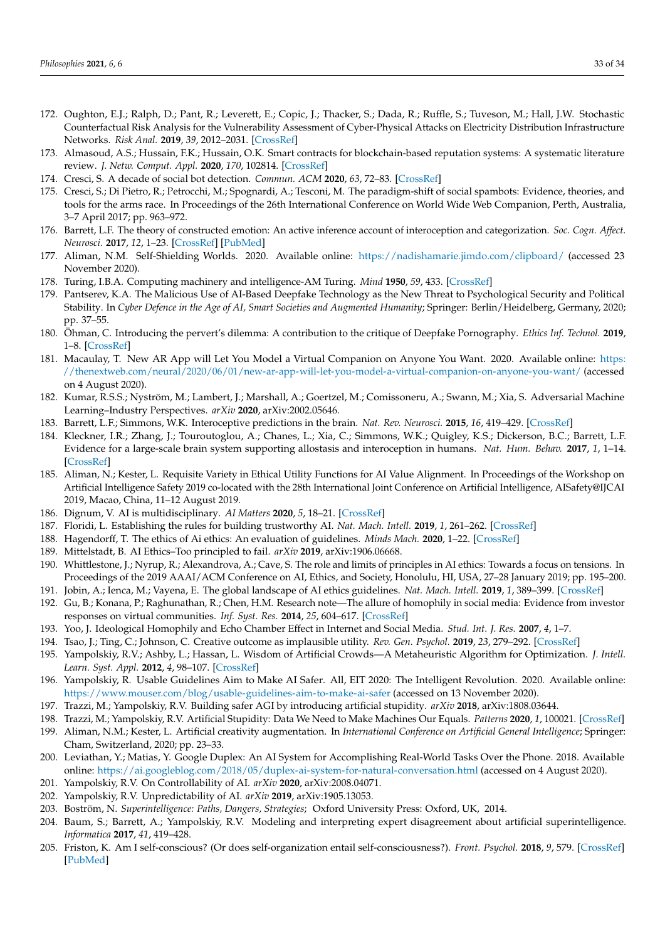- <span id="page-32-0"></span>172. Oughton, E.J.; Ralph, D.; Pant, R.; Leverett, E.; Copic, J.; Thacker, S.; Dada, R.; Ruffle, S.; Tuveson, M.; Hall, J.W. Stochastic Counterfactual Risk Analysis for the Vulnerability Assessment of Cyber-Physical Attacks on Electricity Distribution Infrastructure Networks. *Risk Anal.* **2019**, *39*, 2012–2031. [\[CrossRef\]](http://dx.doi.org/10.1111/risa.13291)
- <span id="page-32-1"></span>173. Almasoud, A.S.; Hussain, F.K.; Hussain, O.K. Smart contracts for blockchain-based reputation systems: A systematic literature review. *J. Netw. Comput. Appl.* **2020**, *170*, 102814. [\[CrossRef\]](http://dx.doi.org/10.1016/j.jnca.2020.102814)
- <span id="page-32-2"></span>174. Cresci, S. A decade of social bot detection. *Commun. ACM* **2020**, *63*, 72–83. [\[CrossRef\]](http://dx.doi.org/10.1145/3409116)
- <span id="page-32-3"></span>175. Cresci, S.; Di Pietro, R.; Petrocchi, M.; Spognardi, A.; Tesconi, M. The paradigm-shift of social spambots: Evidence, theories, and tools for the arms race. In Proceedings of the 26th International Conference on World Wide Web Companion, Perth, Australia, 3–7 April 2017; pp. 963–972.
- <span id="page-32-4"></span>176. Barrett, L.F. The theory of constructed emotion: An active inference account of interoception and categorization. *Soc. Cogn. Affect. Neurosci.* **2017**, *12*, 1–23. [\[CrossRef\]](http://dx.doi.org/10.1093/scan/nsx060) [\[PubMed\]](http://www.ncbi.nlm.nih.gov/pubmed/28472391)
- <span id="page-32-5"></span>177. Aliman, N.M. Self-Shielding Worlds. 2020. Available online: <https://nadishamarie.jimdo.com/clipboard/> (accessed 23 November 2020).
- <span id="page-32-6"></span>178. Turing, I.B.A. Computing machinery and intelligence-AM Turing. *Mind* **1950**, *59*, 433. [\[CrossRef\]](http://dx.doi.org/10.1093/mind/LIX.236.433)
- <span id="page-32-7"></span>179. Pantserev, K.A. The Malicious Use of AI-Based Deepfake Technology as the New Threat to Psychological Security and Political Stability. In *Cyber Defence in the Age of AI, Smart Societies and Augmented Humanity*; Springer: Berlin/Heidelberg, Germany, 2020; pp. 37–55.
- <span id="page-32-8"></span>180. Öhman, C. Introducing the pervert's dilemma: A contribution to the critique of Deepfake Pornography. *Ethics Inf. Technol.* **2019**, 1–8. [\[CrossRef\]](http://dx.doi.org/10.1007/s10676-019-09522-1)
- <span id="page-32-9"></span>181. Macaulay, T. New AR App will Let You Model a Virtual Companion on Anyone You Want. 2020. Available online: [https:](https://thenextweb.com/neural/2020/06/01/new-ar-app-will-let-you-model-a-virtual-companion-on-anyone-you-want/) [//thenextweb.com/neural/2020/06/01/new-ar-app-will-let-you-model-a-virtual-companion-on-anyone-you-want/](https://thenextweb.com/neural/2020/06/01/new-ar-app-will-let-you-model-a-virtual-companion-on-anyone-you-want/) (accessed on 4 August 2020).
- <span id="page-32-10"></span>182. Kumar, R.S.S.; Nyström, M.; Lambert, J.; Marshall, A.; Goertzel, M.; Comissoneru, A.; Swann, M.; Xia, S. Adversarial Machine Learning–Industry Perspectives. *arXiv* **2020**, arXiv:2002.05646.
- <span id="page-32-11"></span>183. Barrett, L.F.; Simmons, W.K. Interoceptive predictions in the brain. *Nat. Rev. Neurosci.* **2015**, *16*, 419–429. [\[CrossRef\]](http://dx.doi.org/10.1038/nrn3950)
- <span id="page-32-12"></span>184. Kleckner, I.R.; Zhang, J.; Touroutoglou, A.; Chanes, L.; Xia, C.; Simmons, W.K.; Quigley, K.S.; Dickerson, B.C.; Barrett, L.F. Evidence for a large-scale brain system supporting allostasis and interoception in humans. *Nat. Hum. Behav.* **2017**, *1*, 1–14. [\[CrossRef\]](http://dx.doi.org/10.1038/s41562-017-0069)
- <span id="page-32-13"></span>185. Aliman, N.; Kester, L. Requisite Variety in Ethical Utility Functions for AI Value Alignment. In Proceedings of the Workshop on Artificial Intelligence Safety 2019 co-located with the 28th International Joint Conference on Artificial Intelligence, AISafety@IJCAI 2019, Macao, China, 11–12 August 2019.
- <span id="page-32-14"></span>186. Dignum, V. AI is multidisciplinary. *AI Matters* **2020**, *5*, 18–21. [\[CrossRef\]](http://dx.doi.org/10.1145/3375637.3375644)
- <span id="page-32-15"></span>187. Floridi, L. Establishing the rules for building trustworthy AI. *Nat. Mach. Intell.* **2019**, *1*, 261–262. [\[CrossRef\]](http://dx.doi.org/10.1038/s42256-019-0055-y)
- 188. Hagendorff, T. The ethics of Ai ethics: An evaluation of guidelines. *Minds Mach.* **2020**, 1–22. [\[CrossRef\]](http://dx.doi.org/10.1007/s11023-020-09517-8)
- 189. Mittelstadt, B. AI Ethics–Too principled to fail. *arXiv* **2019**, arXiv:1906.06668.
- <span id="page-32-16"></span>190. Whittlestone, J.; Nyrup, R.; Alexandrova, A.; Cave, S. The role and limits of principles in AI ethics: Towards a focus on tensions. In Proceedings of the 2019 AAAI/ACM Conference on AI, Ethics, and Society, Honolulu, HI, USA, 27–28 January 2019; pp. 195–200.
- <span id="page-32-17"></span>191. Jobin, A.; Ienca, M.; Vayena, E. The global landscape of AI ethics guidelines. *Nat. Mach. Intell.* **2019**, *1*, 389–399. [\[CrossRef\]](http://dx.doi.org/10.1038/s42256-019-0088-2)
- <span id="page-32-18"></span>192. Gu, B.; Konana, P.; Raghunathan, R.; Chen, H.M. Research note—The allure of homophily in social media: Evidence from investor responses on virtual communities. *Inf. Syst. Res.* **2014**, *25*, 604–617. [\[CrossRef\]](http://dx.doi.org/10.1287/isre.2014.0531)
- <span id="page-32-19"></span>193. Yoo, J. Ideological Homophily and Echo Chamber Effect in Internet and Social Media. *Stud. Int. J. Res.* **2007**, *4*, 1–7.
- <span id="page-32-20"></span>194. Tsao, J.; Ting, C.; Johnson, C. Creative outcome as implausible utility. *Rev. Gen. Psychol.* **2019**, *23*, 279–292. [\[CrossRef\]](http://dx.doi.org/10.1177/1089268019857929)
- <span id="page-32-21"></span>195. Yampolskiy, R.V.; Ashby, L.; Hassan, L. Wisdom of Artificial Crowds—A Metaheuristic Algorithm for Optimization. *J. Intell. Learn. Syst. Appl.* **2012**, *4*, 98–107. [\[CrossRef\]](http://dx.doi.org/10.4236/jilsa.2012.42009)
- <span id="page-32-22"></span>196. Yampolskiy, R. Usable Guidelines Aim to Make AI Safer. All, EIT 2020: The Intelligent Revolution. 2020. Available online: <https://www.mouser.com/blog/usable-guidelines-aim-to-make-ai-safer> (accessed on 13 November 2020).
- <span id="page-32-25"></span>197. Trazzi, M.; Yampolskiy, R.V. Building safer AGI by introducing artificial stupidity. *arXiv* **2018**, arXiv:1808.03644.
- <span id="page-32-24"></span><span id="page-32-23"></span>198. Trazzi, M.; Yampolskiy, R.V. Artificial Stupidity: Data We Need to Make Machines Our Equals. *Patterns* **2020**, *1*, 100021. [\[CrossRef\]](http://dx.doi.org/10.1016/j.patter.2020.100021) 199. Aliman, N.M.; Kester, L. Artificial creativity augmentation. In *International Conference on Artificial General Intelligence*; Springer:
- <span id="page-32-26"></span>Cham, Switzerland, 2020; pp. 23–33. 200. Leviathan, Y.; Matias, Y. Google Duplex: An AI System for Accomplishing Real-World Tasks Over the Phone. 2018. Available
- online: <https://ai.googleblog.com/2018/05/duplex-ai-system-for-natural-conversation.html> (accessed on 4 August 2020).
- <span id="page-32-29"></span>201. Yampolskiy, R.V. On Controllability of AI. *arXiv* **2020**, arXiv:2008.04071.
- <span id="page-32-30"></span><span id="page-32-27"></span>202. Yampolskiy, R.V. Unpredictability of AI. *arXiv* **2019**, arXiv:1905.13053.
- 203. Boström, N. *Superintelligence: Paths, Dangers, Strategies*; Oxford University Press: Oxford, UK, 2014.
- <span id="page-32-28"></span>204. Baum, S.; Barrett, A.; Yampolskiy, R.V. Modeling and interpreting expert disagreement about artificial superintelligence. *Informatica* **2017**, *41*, 419–428.
- <span id="page-32-31"></span>205. Friston, K. Am I self-conscious? (Or does self-organization entail self-consciousness?). *Front. Psychol.* **2018**, *9*, 579. [\[CrossRef\]](http://dx.doi.org/10.3389/fpsyg.2018.00579) [\[PubMed\]](http://www.ncbi.nlm.nih.gov/pubmed/29740369)